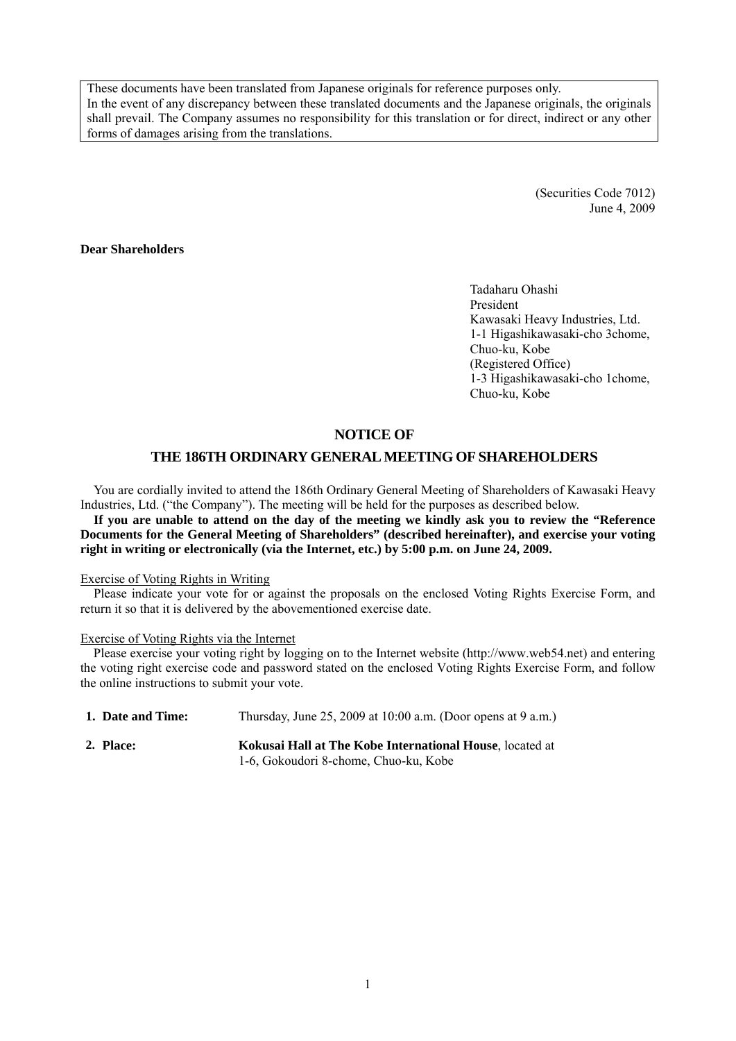These documents have been translated from Japanese originals for reference purposes only. In the event of any discrepancy between these translated documents and the Japanese originals, the originals shall prevail. The Company assumes no responsibility for this translation or for direct, indirect or any other forms of damages arising from the translations.

> (Securities Code 7012) June 4, 2009

### **Dear Shareholders**

Tadaharu Ohashi President Kawasaki Heavy Industries, Ltd. 1-1 Higashikawasaki-cho 3chome, Chuo-ku, Kobe (Registered Office) 1-3 Higashikawasaki-cho 1chome, Chuo-ku, Kobe

### **NOTICE OF**

### **THE 186TH ORDINARY GENERAL MEETING OF SHAREHOLDERS**

You are cordially invited to attend the 186th Ordinary General Meeting of Shareholders of Kawasaki Heavy Industries, Ltd. ("the Company"). The meeting will be held for the purposes as described below.

**If you are unable to attend on the day of the meeting we kindly ask you to review the "Reference Documents for the General Meeting of Shareholders" (described hereinafter), and exercise your voting right in writing or electronically (via the Internet, etc.) by 5:00 p.m. on June 24, 2009.** 

#### Exercise of Voting Rights in Writing

Please indicate your vote for or against the proposals on the enclosed Voting Rights Exercise Form, and return it so that it is delivered by the abovementioned exercise date.

#### Exercise of Voting Rights via the Internet

Please exercise your voting right by logging on to the Internet website (http://www.web54.net) and entering the voting right exercise code and password stated on the enclosed Voting Rights Exercise Form, and follow the online instructions to submit your vote.

| 1. Date and Time: | Thursday, June 25, 2009 at $10:00$ a.m. (Door opens at 9 a.m.) |
|-------------------|----------------------------------------------------------------|
| 2. Place:         | Kokusai Hall at The Kobe International House, located at       |
|                   | 1-6, Gokoudori 8-chome, Chuo-ku, Kobe                          |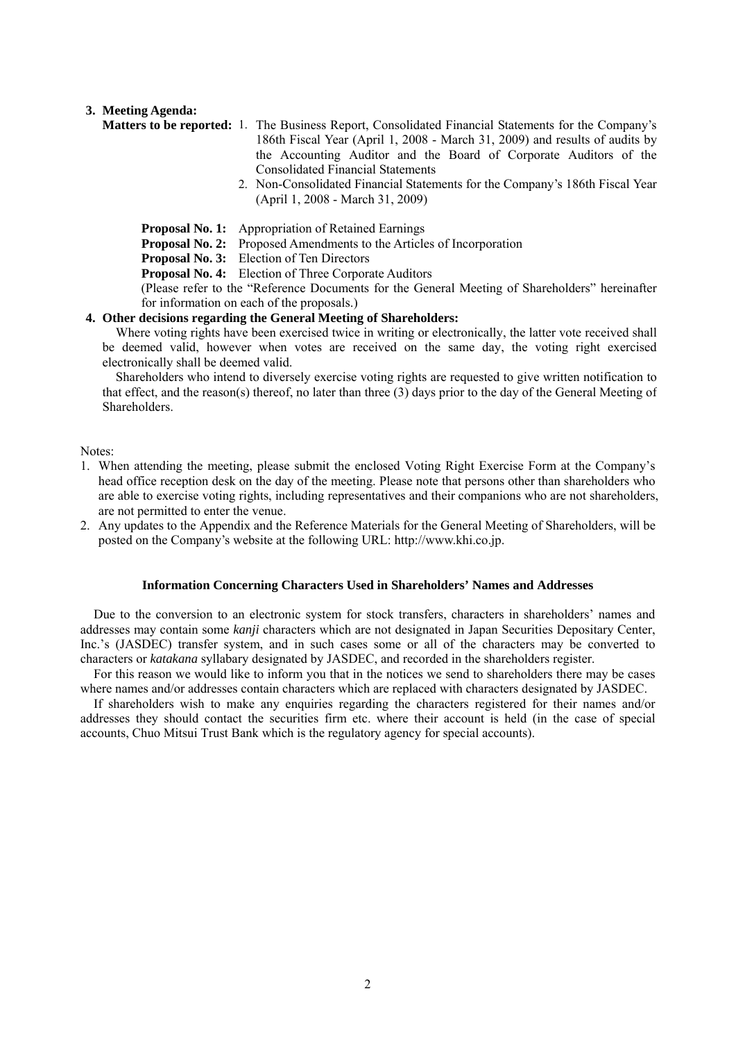#### **3. Meeting Agenda:**

- **Matters to be reported:** 1. The Business Report, Consolidated Financial Statements for the Company's 186th Fiscal Year (April 1, 2008 - March 31, 2009) and results of audits by the Accounting Auditor and the Board of Corporate Auditors of the Consolidated Financial Statements
	- 2. Non-Consolidated Financial Statements for the Company's 186th Fiscal Year (April 1, 2008 - March 31, 2009)
	- **Proposal No. 1:** Appropriation of Retained Earnings
	- **Proposal No. 2:** Proposed Amendments to the Articles of Incorporation
	- **Proposal No. 3:** Election of Ten Directors
	- **Proposal No. 4:** Election of Three Corporate Auditors

(Please refer to the "Reference Documents for the General Meeting of Shareholders" hereinafter for information on each of the proposals.)

### **4. Other decisions regarding the General Meeting of Shareholders:**

Where voting rights have been exercised twice in writing or electronically, the latter vote received shall be deemed valid, however when votes are received on the same day, the voting right exercised electronically shall be deemed valid.

Shareholders who intend to diversely exercise voting rights are requested to give written notification to that effect, and the reason(s) thereof, no later than three (3) days prior to the day of the General Meeting of Shareholders.

Notes:

- 1. When attending the meeting, please submit the enclosed Voting Right Exercise Form at the Company's head office reception desk on the day of the meeting. Please note that persons other than shareholders who are able to exercise voting rights, including representatives and their companions who are not shareholders, are not permitted to enter the venue.
- 2. Any updates to the Appendix and the Reference Materials for the General Meeting of Shareholders, will be posted on the Company's website at the following URL: http://www.khi.co.jp.

#### **Information Concerning Characters Used in Shareholders' Names and Addresses**

Due to the conversion to an electronic system for stock transfers, characters in shareholders' names and addresses may contain some *kanji* characters which are not designated in Japan Securities Depositary Center, Inc.'s (JASDEC) transfer system, and in such cases some or all of the characters may be converted to characters or *katakana* syllabary designated by JASDEC, and recorded in the shareholders register.

For this reason we would like to inform you that in the notices we send to shareholders there may be cases where names and/or addresses contain characters which are replaced with characters designated by JASDEC.

If shareholders wish to make any enquiries regarding the characters registered for their names and/or addresses they should contact the securities firm etc. where their account is held (in the case of special accounts, Chuo Mitsui Trust Bank which is the regulatory agency for special accounts).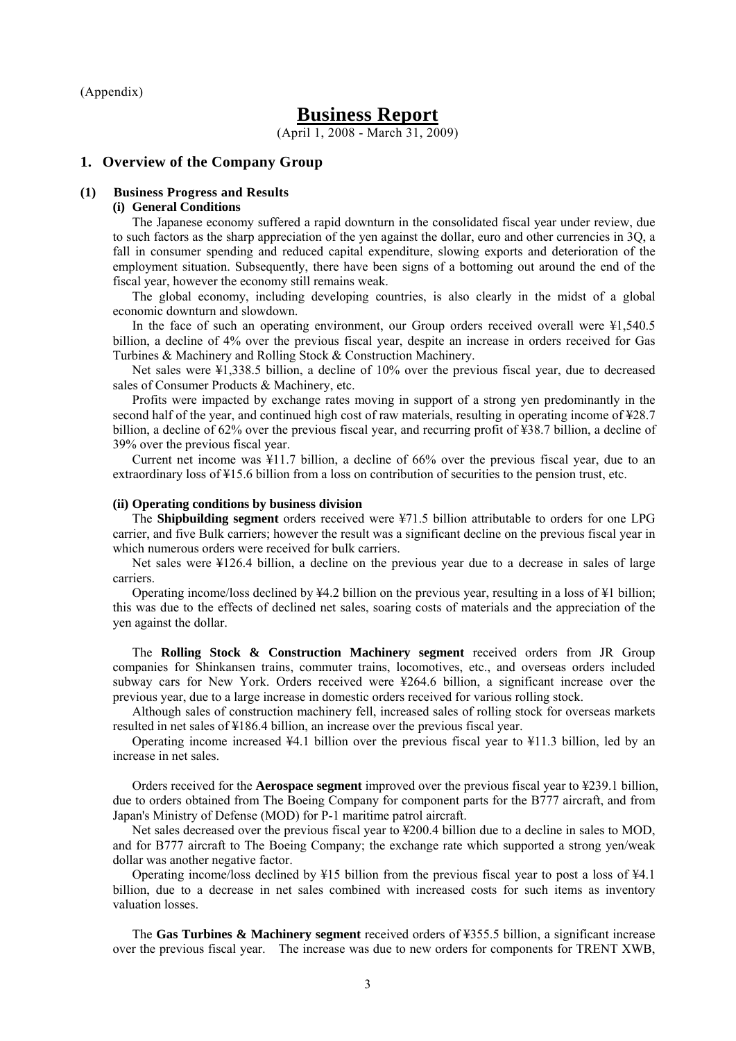(Appendix)

# **Business Report**

(April 1, 2008 - March 31, 2009)

#### **1. Overview of the Company Group**

#### **(1) Business Progress and Results**

#### **(i) General Conditions**

The Japanese economy suffered a rapid downturn in the consolidated fiscal year under review, due to such factors as the sharp appreciation of the yen against the dollar, euro and other currencies in 3Q, a fall in consumer spending and reduced capital expenditure, slowing exports and deterioration of the employment situation. Subsequently, there have been signs of a bottoming out around the end of the fiscal year, however the economy still remains weak.

The global economy, including developing countries, is also clearly in the midst of a global economic downturn and slowdown.

In the face of such an operating environment, our Group orders received overall were ¥1,540.5 billion, a decline of 4% over the previous fiscal year, despite an increase in orders received for Gas Turbines & Machinery and Rolling Stock & Construction Machinery.

Net sales were ¥1,338.5 billion, a decline of 10% over the previous fiscal year, due to decreased sales of Consumer Products & Machinery, etc.

Profits were impacted by exchange rates moving in support of a strong yen predominantly in the second half of the year, and continued high cost of raw materials, resulting in operating income of ¥28.7 billion, a decline of 62% over the previous fiscal year, and recurring profit of ¥38.7 billion, a decline of 39% over the previous fiscal year.

Current net income was ¥11.7 billion, a decline of 66% over the previous fiscal year, due to an extraordinary loss of ¥15.6 billion from a loss on contribution of securities to the pension trust, etc.

#### **(ii) Operating conditions by business division**

The **Shipbuilding segment** orders received were ¥71.5 billion attributable to orders for one LPG carrier, and five Bulk carriers; however the result was a significant decline on the previous fiscal year in which numerous orders were received for bulk carriers.

Net sales were ¥126.4 billion, a decline on the previous year due to a decrease in sales of large carriers.

Operating income/loss declined by  $\frac{1}{2}4.2$  billion on the previous year, resulting in a loss of  $\frac{1}{2}1$  billion; this was due to the effects of declined net sales, soaring costs of materials and the appreciation of the yen against the dollar.

The **Rolling Stock & Construction Machinery segment** received orders from JR Group companies for Shinkansen trains, commuter trains, locomotives, etc., and overseas orders included subway cars for New York. Orders received were ¥264.6 billion, a significant increase over the previous year, due to a large increase in domestic orders received for various rolling stock.

Although sales of construction machinery fell, increased sales of rolling stock for overseas markets resulted in net sales of ¥186.4 billion, an increase over the previous fiscal year.

Operating income increased ¥4.1 billion over the previous fiscal year to ¥11.3 billion, led by an increase in net sales.

Orders received for the **Aerospace segment** improved over the previous fiscal year to ¥239.1 billion, due to orders obtained from The Boeing Company for component parts for the B777 aircraft, and from Japan's Ministry of Defense (MOD) for P-1 maritime patrol aircraft.

Net sales decreased over the previous fiscal year to ¥200.4 billion due to a decline in sales to MOD, and for B777 aircraft to The Boeing Company; the exchange rate which supported a strong yen/weak dollar was another negative factor.

Operating income/loss declined by  $\frac{1}{2}15$  billion from the previous fiscal year to post a loss of  $\frac{1}{4}4.1$ billion, due to a decrease in net sales combined with increased costs for such items as inventory valuation losses.

The **Gas Turbines & Machinery segment** received orders of ¥355.5 billion, a significant increase over the previous fiscal year. The increase was due to new orders for components for TRENT XWB,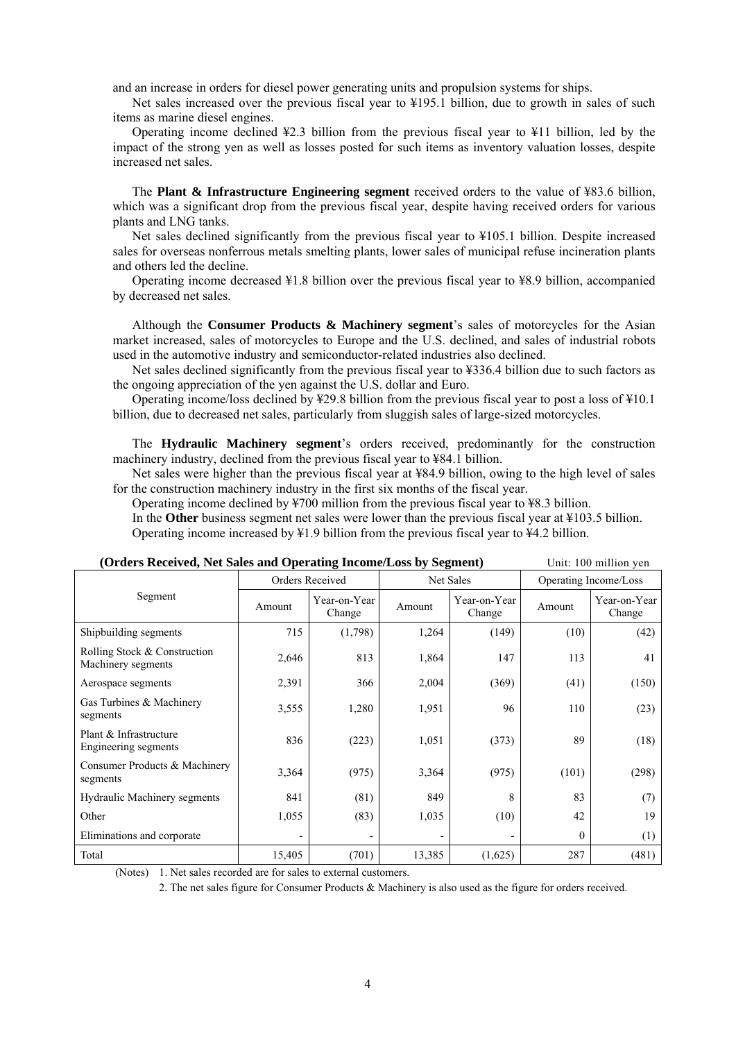and an increase in orders for diesel power generating units and propulsion systems for ships.

Net sales increased over the previous fiscal year to ¥195.1 billion, due to growth in sales of such items as marine diesel engines.

Operating income declined  $\frac{1}{2}$ . billion from the previous fiscal year to  $\frac{1}{2}$  billion, led by the impact of the strong yen as well as losses posted for such items as inventory valuation losses, despite increased net sales.

The **Plant & Infrastructure Engineering segment** received orders to the value of ¥83.6 billion, which was a significant drop from the previous fiscal year, despite having received orders for various plants and LNG tanks.

Net sales declined significantly from the previous fiscal year to ¥105.1 billion. Despite increased sales for overseas nonferrous metals smelting plants, lower sales of municipal refuse incineration plants and others led the decline.

Operating income decreased ¥1.8 billion over the previous fiscal year to ¥8.9 billion, accompanied by decreased net sales.

Although the **Consumer Products & Machinery segment**'s sales of motorcycles for the Asian market increased, sales of motorcycles to Europe and the U.S. declined, and sales of industrial robots used in the automotive industry and semiconductor-related industries also declined.

Net sales declined significantly from the previous fiscal year to ¥336.4 billion due to such factors as the ongoing appreciation of the yen against the U.S. dollar and Euro.

Operating income/loss declined by ¥29.8 billion from the previous fiscal year to post a loss of ¥10.1 billion, due to decreased net sales, particularly from sluggish sales of large-sized motorcycles.

The **Hydraulic Machinery segment**'s orders received, predominantly for the construction machinery industry, declined from the previous fiscal year to ¥84.1 billion.

Net sales were higher than the previous fiscal year at ¥84.9 billion, owing to the high level of sales for the construction machinery industry in the first six months of the fiscal year.

Operating income declined by ¥700 million from the previous fiscal year to ¥8.3 billion.

In the **Other** business segment net sales were lower than the previous fiscal year at ¥103.5 billion. Operating income increased by ¥1.9 billion from the previous fiscal year to ¥4.2 billion.

| (Orders Received, Net Sales and Operating Income/Loss by Segment)<br>Unit: 100 million yen |        |                        |           |                        |                       |                        |
|--------------------------------------------------------------------------------------------|--------|------------------------|-----------|------------------------|-----------------------|------------------------|
|                                                                                            |        | Orders Received        | Net Sales |                        | Operating Income/Loss |                        |
| Segment                                                                                    | Amount | Year-on-Year<br>Change | Amount    | Year-on-Year<br>Change | Amount                | Year-on-Year<br>Change |
| Shipbuilding segments                                                                      | 715    | (1,798)                | 1,264     | (149)                  | (10)                  | (42)                   |
| Rolling Stock & Construction<br>Machinery segments                                         | 2,646  | 813                    | 1,864     | 147                    | 113                   | 41                     |
| Aerospace segments                                                                         | 2,391  | 366                    | 2,004     | (369)                  | (41)                  | (150)                  |
| Gas Turbines & Machinery<br>segments                                                       | 3,555  | 1,280                  | 1,951     | 96                     | 110                   | (23)                   |
| Plant & Infrastructure<br>Engineering segments                                             | 836    | (223)                  | 1,051     | (373)                  | 89                    | (18)                   |
| Consumer Products & Machinery<br>segments                                                  | 3,364  | (975)                  | 3,364     | (975)                  | (101)                 | (298)                  |
| Hydraulic Machinery segments                                                               | 841    | (81)                   | 849       | 8                      | 83                    | (7)                    |
| Other                                                                                      | 1,055  | (83)                   | 1,035     | (10)                   | 42                    | 19                     |
| Eliminations and corporate                                                                 |        |                        |           |                        | $\Omega$              | (1)                    |
| Total                                                                                      | 15,405 | (701)                  | 13,385    | (1,625)                | 287                   | (481)                  |

(Notes) 1. Net sales recorded are for sales to external customers.

2. The net sales figure for Consumer Products & Machinery is also used as the figure for orders received.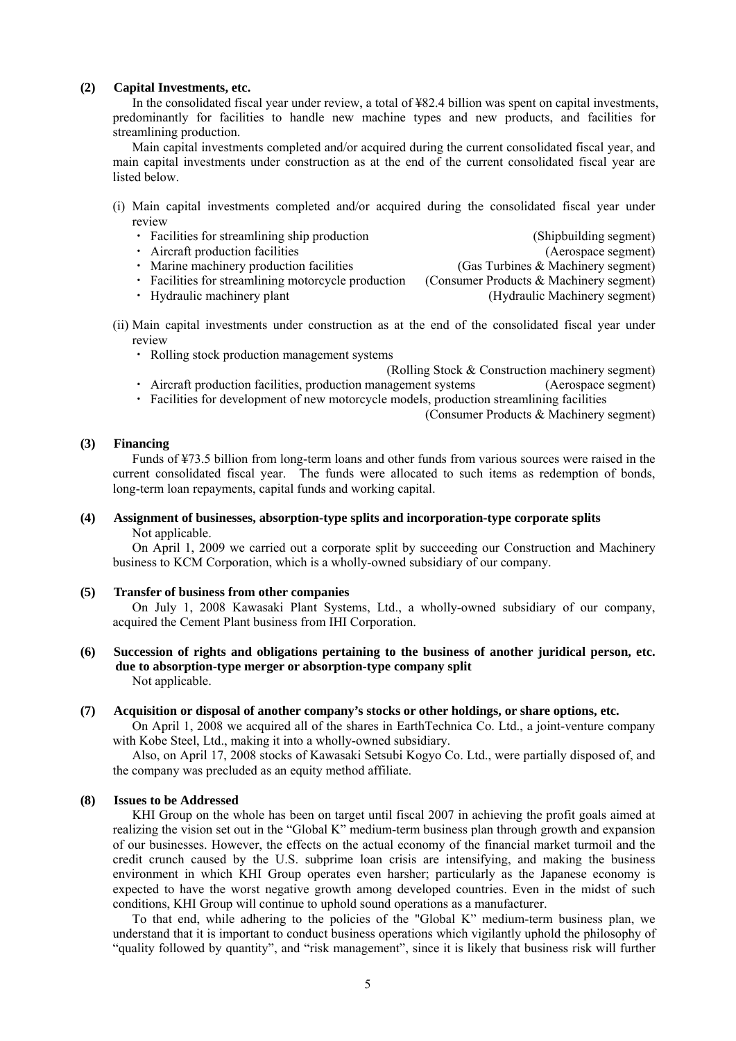#### **(2) Capital Investments, etc.**

In the consolidated fiscal year under review, a total of ¥82.4 billion was spent on capital investments, predominantly for facilities to handle new machine types and new products, and facilities for streamlining production.

Main capital investments completed and/or acquired during the current consolidated fiscal year, and main capital investments under construction as at the end of the current consolidated fiscal year are listed below.

- (i) Main capital investments completed and/or acquired during the consolidated fiscal year under review
	- ・ Facilities for streamlining ship production (Shipbuilding segment)
	- Aircraft production facilities (Aerospace segment)
	- Marine machinery production facilities (Gas Turbines & Machinery segment)
- -
	- Facilities for streamlining motorcycle production (Consumer Products & Machinery segment)
	- ・ Hydraulic machinery plant (Hydraulic Machinery segment)
- (ii) Main capital investments under construction as at the end of the consolidated fiscal year under review
	- ・ Rolling stock production management systems
		- (Rolling Stock & Construction machinery segment)
	- ・ Aircraft production facilities, production management systems (Aerospace segment)
	- ・ Facilities for development of new motorcycle models, production streamlining facilities

(Consumer Products & Machinery segment)

#### **(3) Financing**

Funds of ¥73.5 billion from long-term loans and other funds from various sources were raised in the current consolidated fiscal year. The funds were allocated to such items as redemption of bonds, long-term loan repayments, capital funds and working capital.

## **(4) Assignment of businesses, absorption-type splits and incorporation-type corporate splits**

Not applicable.

On April 1, 2009 we carried out a corporate split by succeeding our Construction and Machinery business to KCM Corporation, which is a wholly-owned subsidiary of our company.

#### **(5) Transfer of business from other companies**

On July 1, 2008 Kawasaki Plant Systems, Ltd., a wholly-owned subsidiary of our company, acquired the Cement Plant business from IHI Corporation.

**(6) Succession of rights and obligations pertaining to the business of another juridical person, etc. due to absorption-type merger or absorption-type company split**  Not applicable.

#### **(7) Acquisition or disposal of another company's stocks or other holdings, or share options, etc.**

On April 1, 2008 we acquired all of the shares in EarthTechnica Co. Ltd., a joint-venture company with Kobe Steel, Ltd., making it into a wholly-owned subsidiary.

Also, on April 17, 2008 stocks of Kawasaki Setsubi Kogyo Co. Ltd., were partially disposed of, and the company was precluded as an equity method affiliate.

#### **(8) Issues to be Addressed**

KHI Group on the whole has been on target until fiscal 2007 in achieving the profit goals aimed at realizing the vision set out in the "Global K" medium-term business plan through growth and expansion of our businesses. However, the effects on the actual economy of the financial market turmoil and the credit crunch caused by the U.S. subprime loan crisis are intensifying, and making the business environment in which KHI Group operates even harsher; particularly as the Japanese economy is expected to have the worst negative growth among developed countries. Even in the midst of such conditions, KHI Group will continue to uphold sound operations as a manufacturer.

To that end, while adhering to the policies of the "Global K" medium-term business plan, we understand that it is important to conduct business operations which vigilantly uphold the philosophy of "quality followed by quantity", and "risk management", since it is likely that business risk will further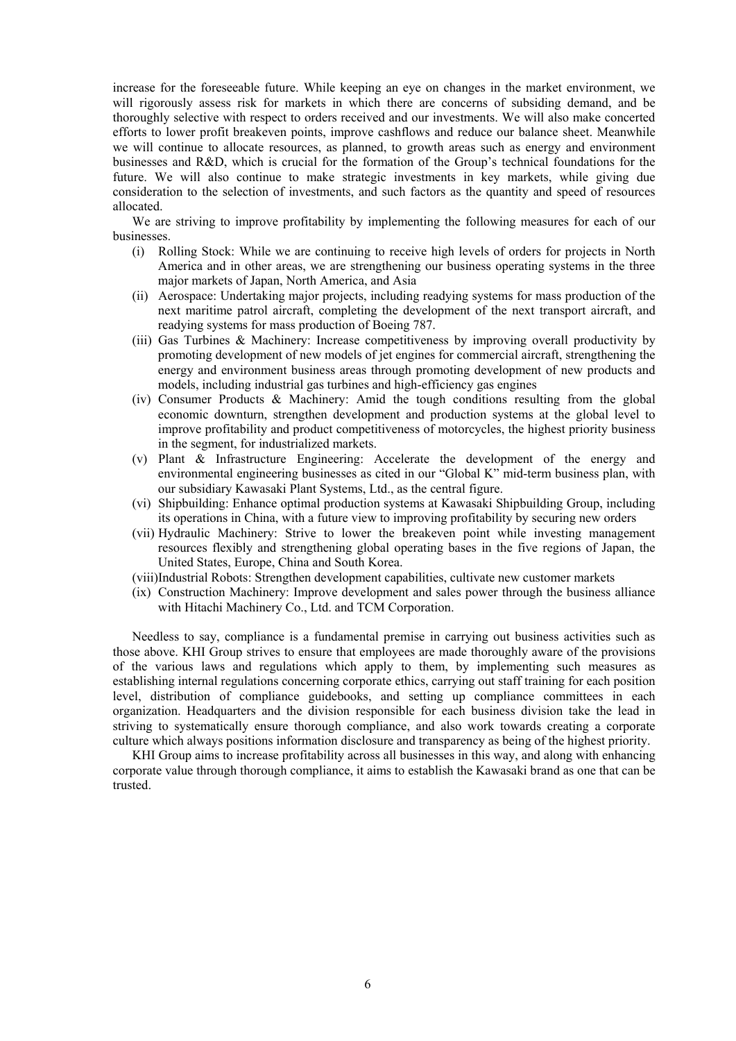increase for the foreseeable future. While keeping an eye on changes in the market environment, we will rigorously assess risk for markets in which there are concerns of subsiding demand, and be thoroughly selective with respect to orders received and our investments. We will also make concerted efforts to lower profit breakeven points, improve cashflows and reduce our balance sheet. Meanwhile we will continue to allocate resources, as planned, to growth areas such as energy and environment businesses and R&D, which is crucial for the formation of the Group's technical foundations for the future. We will also continue to make strategic investments in key markets, while giving due consideration to the selection of investments, and such factors as the quantity and speed of resources allocated.

We are striving to improve profitability by implementing the following measures for each of our businesses.

- (i) Rolling Stock: While we are continuing to receive high levels of orders for projects in North America and in other areas, we are strengthening our business operating systems in the three major markets of Japan, North America, and Asia
- (ii) Aerospace: Undertaking major projects, including readying systems for mass production of the next maritime patrol aircraft, completing the development of the next transport aircraft, and readying systems for mass production of Boeing 787.
- (iii) Gas Turbines & Machinery: Increase competitiveness by improving overall productivity by promoting development of new models of jet engines for commercial aircraft, strengthening the energy and environment business areas through promoting development of new products and models, including industrial gas turbines and high-efficiency gas engines
- (iv) Consumer Products & Machinery: Amid the tough conditions resulting from the global economic downturn, strengthen development and production systems at the global level to improve profitability and product competitiveness of motorcycles, the highest priority business in the segment, for industrialized markets.
- (v) Plant & Infrastructure Engineering: Accelerate the development of the energy and environmental engineering businesses as cited in our "Global K" mid-term business plan, with our subsidiary Kawasaki Plant Systems, Ltd., as the central figure.
- (vi) Shipbuilding: Enhance optimal production systems at Kawasaki Shipbuilding Group, including its operations in China, with a future view to improving profitability by securing new orders
- (vii) Hydraulic Machinery: Strive to lower the breakeven point while investing management resources flexibly and strengthening global operating bases in the five regions of Japan, the United States, Europe, China and South Korea.
- (viii)Industrial Robots: Strengthen development capabilities, cultivate new customer markets
- (ix) Construction Machinery: Improve development and sales power through the business alliance with Hitachi Machinery Co., Ltd. and TCM Corporation.

Needless to say, compliance is a fundamental premise in carrying out business activities such as those above. KHI Group strives to ensure that employees are made thoroughly aware of the provisions of the various laws and regulations which apply to them, by implementing such measures as establishing internal regulations concerning corporate ethics, carrying out staff training for each position level, distribution of compliance guidebooks, and setting up compliance committees in each organization. Headquarters and the division responsible for each business division take the lead in striving to systematically ensure thorough compliance, and also work towards creating a corporate culture which always positions information disclosure and transparency as being of the highest priority.

KHI Group aims to increase profitability across all businesses in this way, and along with enhancing corporate value through thorough compliance, it aims to establish the Kawasaki brand as one that can be trusted.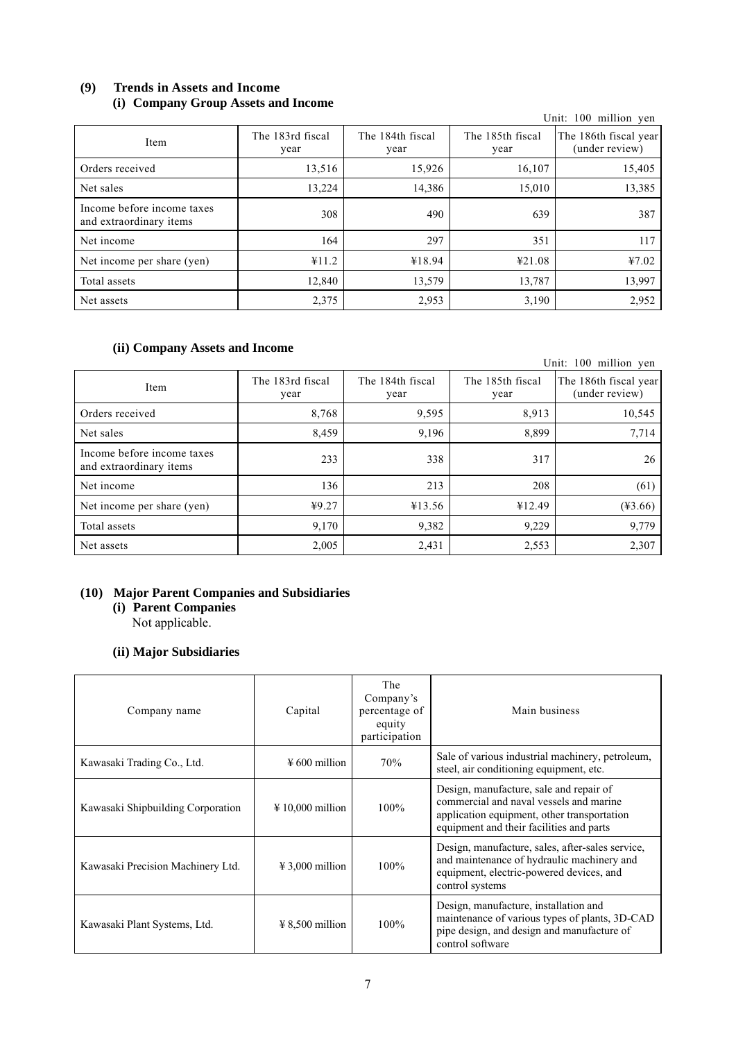## **(9) Trends in Assets and Income (i) Company Group Assets and Income**

| $\sim$ $\prime$                                       |                          |                          |                          | Unit: 100 million yen                   |
|-------------------------------------------------------|--------------------------|--------------------------|--------------------------|-----------------------------------------|
| Item                                                  | The 183rd fiscal<br>year | The 184th fiscal<br>year | The 185th fiscal<br>year | The 186th fiscal year<br>(under review) |
| Orders received                                       | 13,516                   | 15,926                   | 16,107                   | 15,405                                  |
| Net sales                                             | 13,224                   | 14,386                   | 15,010                   | 13,385                                  |
| Income before income taxes<br>and extraordinary items | 308                      | 490                      | 639                      | 387                                     |
| Net income                                            | 164                      | 297                      | 351                      | 117                                     |
| Net income per share (yen)                            | ¥11.2                    | ¥18.94                   | ¥21.08                   | 47.02                                   |
| Total assets                                          | 12,840                   | 13,579                   | 13,787                   | 13,997                                  |
| Net assets                                            | 2,375                    | 2,953                    | 3,190                    | 2,952                                   |

## **(ii) Company Assets and Income**

| $(1)$ company <i>moves</i> and meome                  |                          |                          |                          | Unit: 100 million yen                   |
|-------------------------------------------------------|--------------------------|--------------------------|--------------------------|-----------------------------------------|
| Item                                                  | The 183rd fiscal<br>year | The 184th fiscal<br>year | The 185th fiscal<br>year | The 186th fiscal year<br>(under review) |
| Orders received                                       | 8,768                    | 9,595                    | 8,913                    | 10,545                                  |
| Net sales                                             | 8,459                    | 9,196                    | 8,899                    | 7,714                                   |
| Income before income taxes<br>and extraordinary items | 233                      | 338                      | 317                      | 26                                      |
| Net income                                            | 136                      | 213                      | 208                      | (61)                                    |
| Net income per share (yen)                            | 49.27                    | ¥13.56                   | ¥12.49                   | $(*3.66)$                               |
| Total assets                                          | 9,170                    | 9,382                    | 9,229                    | 9,779                                   |
| Net assets                                            | 2,005                    | 2,431                    | 2,553                    | 2,307                                   |

## **(10) Major Parent Companies and Subsidiaries**

**(i) Parent Companies** 

Not applicable.

## **(ii) Major Subsidiaries**

| Company name                      | Capital                    | The<br>Company's<br>percentage of<br>equity<br>participation | Main business                                                                                                                                                                 |
|-----------------------------------|----------------------------|--------------------------------------------------------------|-------------------------------------------------------------------------------------------------------------------------------------------------------------------------------|
| Kawasaki Trading Co., Ltd.        | $\frac{1}{2}$ 600 million  | 70%                                                          | Sale of various industrial machinery, petroleum,<br>steel, air conditioning equipment, etc.                                                                                   |
| Kawasaki Shipbuilding Corporation | $\text{\#} 10,000$ million | $100\%$                                                      | Design, manufacture, sale and repair of<br>commercial and naval vessels and marine<br>application equipment, other transportation<br>equipment and their facilities and parts |
| Kawasaki Precision Machinery Ltd. | $\text{\#}3,000$ million   | $100\%$                                                      | Design, manufacture, sales, after-sales service,<br>and maintenance of hydraulic machinery and<br>equipment, electric-powered devices, and<br>control systems                 |
| Kawasaki Plant Systems, Ltd.      | $\text{\# }8.500$ million  | $100\%$                                                      | Design, manufacture, installation and<br>maintenance of various types of plants, 3D-CAD<br>pipe design, and design and manufacture of<br>control software                     |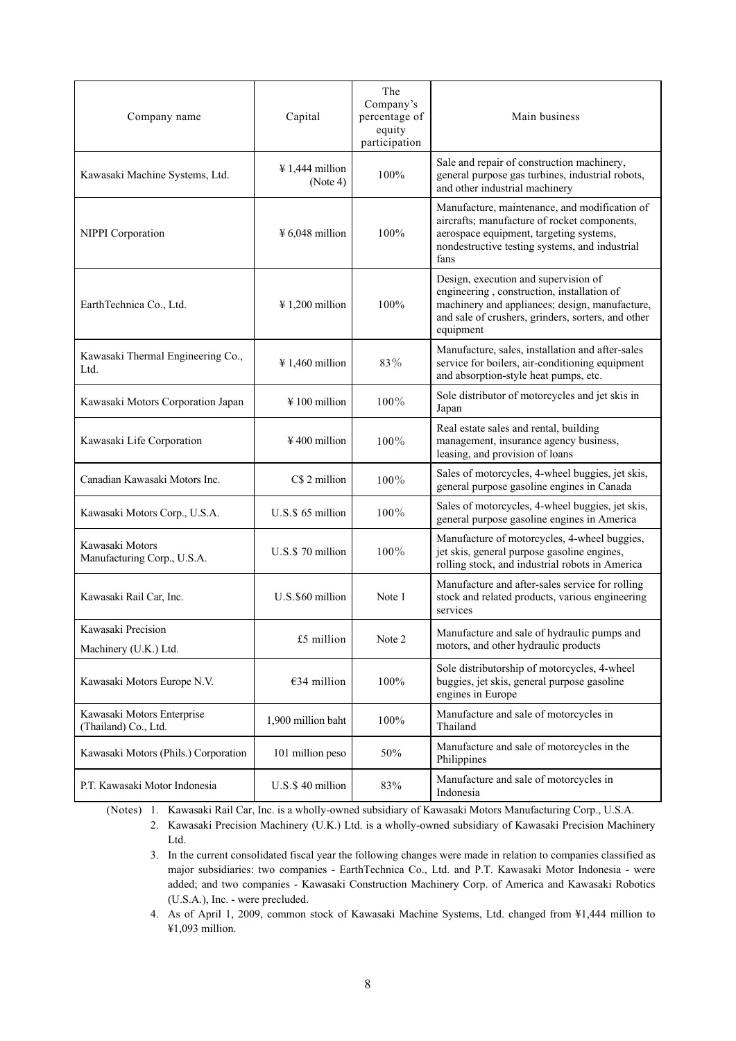| Company name                                       | Capital                                 | The<br>Company's<br>percentage of<br>equity<br>participation | Main business                                                                                                                                                                                           |
|----------------------------------------------------|-----------------------------------------|--------------------------------------------------------------|---------------------------------------------------------------------------------------------------------------------------------------------------------------------------------------------------------|
| Kawasaki Machine Systems, Ltd.                     | $\frac{1}{2}$ 1,444 million<br>(Note 4) | 100%                                                         | Sale and repair of construction machinery,<br>general purpose gas turbines, industrial robots,<br>and other industrial machinery                                                                        |
| NIPPI Corporation                                  | $¥ 6,048$ million                       | 100%                                                         | Manufacture, maintenance, and modification of<br>aircrafts; manufacture of rocket components,<br>aerospace equipment, targeting systems,<br>nondestructive testing systems, and industrial<br>fans      |
| EarthTechnica Co., Ltd.                            | $\frac{1}{200}$ million                 | 100%                                                         | Design, execution and supervision of<br>engineering, construction, installation of<br>machinery and appliances; design, manufacture,<br>and sale of crushers, grinders, sorters, and other<br>equipment |
| Kawasaki Thermal Engineering Co.,<br>Ltd.          | $\frac{1}{2}$ 1,460 million             | 83%                                                          | Manufacture, sales, installation and after-sales<br>service for boilers, air-conditioning equipment<br>and absorption-style heat pumps, etc.                                                            |
| Kawasaki Motors Corporation Japan                  | $\frac{1}{2}$ 100 million               | $100\%$                                                      | Sole distributor of motorcycles and jet skis in<br>Japan                                                                                                                                                |
| Kawasaki Life Corporation                          | $\frac{1}{2}$ 400 million               | 100%                                                         | Real estate sales and rental, building<br>management, insurance agency business,<br>leasing, and provision of loans                                                                                     |
| Canadian Kawasaki Motors Inc.                      | C\$ 2 million                           | 100%                                                         | Sales of motorcycles, 4-wheel buggies, jet skis,<br>general purpose gasoline engines in Canada                                                                                                          |
| Kawasaki Motors Corp., U.S.A.                      | U.S.\$ 65 million                       | $100\%$                                                      | Sales of motorcycles, 4-wheel buggies, jet skis,<br>general purpose gasoline engines in America                                                                                                         |
| Kawasaki Motors<br>Manufacturing Corp., U.S.A.     | U.S.\$70 million                        | 100%                                                         | Manufacture of motorcycles, 4-wheel buggies,<br>jet skis, general purpose gasoline engines,<br>rolling stock, and industrial robots in America                                                          |
| Kawasaki Rail Car, Inc.                            | U.S.\$60 million                        | Note 1                                                       | Manufacture and after-sales service for rolling<br>stock and related products, various engineering<br>services                                                                                          |
| Kawasaki Precision<br>Machinery (U.K.) Ltd.        | £5 million                              | Note 2                                                       | Manufacture and sale of hydraulic pumps and<br>motors, and other hydraulic products                                                                                                                     |
| Kawasaki Motors Europe N.V.                        | €34 million                             | $100\%$                                                      | Sole distributorship of motorcycles, 4-wheel<br>buggies, jet skis, general purpose gasoline<br>engines in Europe                                                                                        |
| Kawasaki Motors Enterprise<br>(Thailand) Co., Ltd. | 1,900 million baht                      | 100%                                                         | Manufacture and sale of motorcycles in<br>Thailand                                                                                                                                                      |
| Kawasaki Motors (Phils.) Corporation               | 101 million peso                        | 50%                                                          | Manufacture and sale of motorcycles in the<br>Philippines                                                                                                                                               |
| P.T. Kawasaki Motor Indonesia                      | U.S.\$40 million                        | 83%                                                          | Manufacture and sale of motorcycles in<br>Indonesia                                                                                                                                                     |

(Notes) 1. Kawasaki Rail Car, Inc. is a wholly-owned subsidiary of Kawasaki Motors Manufacturing Corp., U.S.A.

2. Kawasaki Precision Machinery (U.K.) Ltd. is a wholly-owned subsidiary of Kawasaki Precision Machinery Ltd.

3. In the current consolidated fiscal year the following changes were made in relation to companies classified as major subsidiaries: two companies - EarthTechnica Co., Ltd. and P.T. Kawasaki Motor Indonesia - were added; and two companies - Kawasaki Construction Machinery Corp. of America and Kawasaki Robotics (U.S.A.), Inc. - were precluded.

4. As of April 1, 2009, common stock of Kawasaki Machine Systems, Ltd. changed from ¥1,444 million to ¥1,093 million.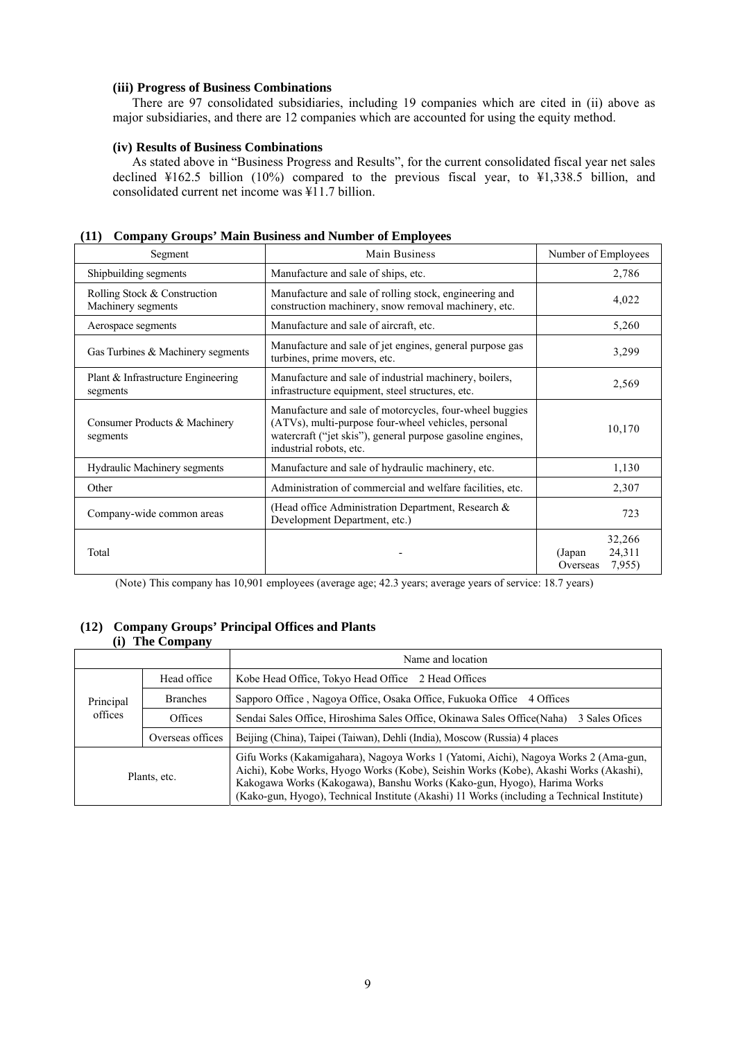### **(iii) Progress of Business Combinations**

There are 97 consolidated subsidiaries, including 19 companies which are cited in (ii) above as major subsidiaries, and there are 12 companies which are accounted for using the equity method.

### **(iv) Results of Business Combinations**

As stated above in "Business Progress and Results", for the current consolidated fiscal year net sales declined ¥162.5 billion (10%) compared to the previous fiscal year, to ¥1,338.5 billion, and consolidated current net income was ¥11.7 billion.

| Segment                                            | Main Business                                                                                                                                                                                           | Number of Employees                              |
|----------------------------------------------------|---------------------------------------------------------------------------------------------------------------------------------------------------------------------------------------------------------|--------------------------------------------------|
| Shipbuilding segments                              | Manufacture and sale of ships, etc.                                                                                                                                                                     | 2,786                                            |
| Rolling Stock & Construction<br>Machinery segments | Manufacture and sale of rolling stock, engineering and<br>construction machinery, snow removal machinery, etc.                                                                                          | 4,022                                            |
| Aerospace segments                                 | Manufacture and sale of aircraft, etc.                                                                                                                                                                  | 5,260                                            |
| Gas Turbines & Machinery segments                  | Manufacture and sale of jet engines, general purpose gas<br>turbines, prime movers, etc.                                                                                                                | 3,299                                            |
| Plant & Infrastructure Engineering<br>segments     | Manufacture and sale of industrial machinery, boilers,<br>infrastructure equipment, steel structures, etc.                                                                                              | 2,569                                            |
| Consumer Products & Machinery<br>segments          | Manufacture and sale of motorcycles, four-wheel buggies<br>(ATVs), multi-purpose four-wheel vehicles, personal<br>watercraft ("jet skis"), general purpose gasoline engines,<br>industrial robots, etc. | 10,170                                           |
| Hydraulic Machinery segments                       | Manufacture and sale of hydraulic machinery, etc.                                                                                                                                                       | 1,130                                            |
| Other                                              | Administration of commercial and welfare facilities, etc.                                                                                                                                               | 2,307                                            |
| Company-wide common areas                          | (Head office Administration Department, Research &<br>Development Department, etc.)                                                                                                                     | 723                                              |
| Total                                              |                                                                                                                                                                                                         | 32,266<br>24,311<br>(Japan<br>7,955)<br>Overseas |

### **(11) Company Groups' Main Business and Number of Employees**

(Note) This company has 10,901 employees (average age; 42.3 years; average years of service: 18.7 years)

#### **(12) Company Groups' Principal Offices and Plants (i) The Company**

|              |                  | Name and location                                                                                                                                                                                                                                                                                                                                    |  |
|--------------|------------------|------------------------------------------------------------------------------------------------------------------------------------------------------------------------------------------------------------------------------------------------------------------------------------------------------------------------------------------------------|--|
|              | Head office      | Kobe Head Office, Tokyo Head Office 2 Head Offices                                                                                                                                                                                                                                                                                                   |  |
| Principal    | <b>Branches</b>  | Sapporo Office, Nagoya Office, Osaka Office, Fukuoka Office<br>4 Offices                                                                                                                                                                                                                                                                             |  |
| offices      | Offices          | Sendai Sales Office, Hiroshima Sales Office, Okinawa Sales Office (Naha)<br>3 Sales Ofices                                                                                                                                                                                                                                                           |  |
|              | Overseas offices | Beijing (China), Taipei (Taiwan), Dehli (India), Moscow (Russia) 4 places                                                                                                                                                                                                                                                                            |  |
| Plants, etc. |                  | Gifu Works (Kakamigahara), Nagoya Works 1 (Yatomi, Aichi), Nagoya Works 2 (Ama-gun,<br>Aichi), Kobe Works, Hyogo Works (Kobe), Seishin Works (Kobe), Akashi Works (Akashi),<br>Kakogawa Works (Kakogawa), Banshu Works (Kako-gun, Hyogo), Harima Works<br>(Kako-gun, Hyogo), Technical Institute (Akashi) 11 Works (including a Technical Institute) |  |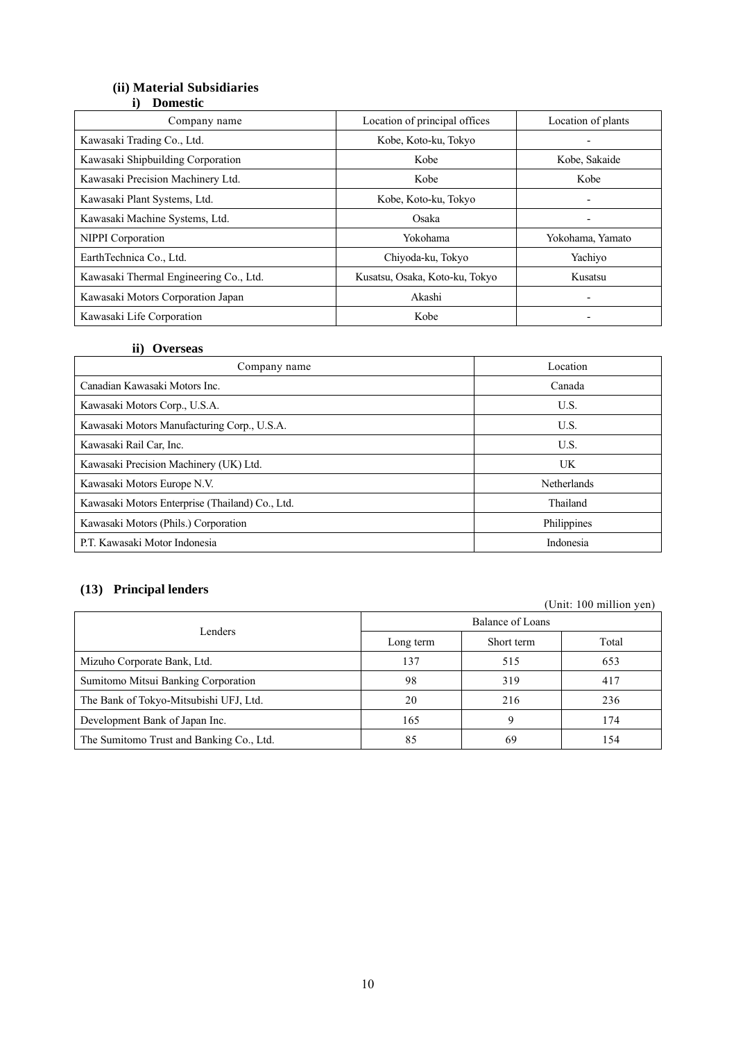# **(ii) Material Subsidiaries**

## **i) Domestic**

| Company name                           | Location of principal offices  | Location of plants       |
|----------------------------------------|--------------------------------|--------------------------|
| Kawasaki Trading Co., Ltd.             | Kobe, Koto-ku, Tokyo           |                          |
| Kawasaki Shipbuilding Corporation      | Kobe                           | Kobe, Sakaide            |
| Kawasaki Precision Machinery Ltd.      | Kobe                           | Kobe                     |
| Kawasaki Plant Systems, Ltd.           | Kobe, Koto-ku, Tokyo           | $\overline{\phantom{a}}$ |
| Kawasaki Machine Systems, Ltd.         | Osaka                          | $\overline{\phantom{a}}$ |
| NIPPI Corporation                      | Yokohama                       | Yokohama, Yamato         |
| EarthTechnica Co., Ltd.                | Chiyoda-ku, Tokyo              | Yachiyo                  |
| Kawasaki Thermal Engineering Co., Ltd. | Kusatsu, Osaka, Koto-ku, Tokyo | Kusatsu                  |
| Kawasaki Motors Corporation Japan      | Akashi                         |                          |
| Kawasaki Life Corporation              | Kobe                           | ۰                        |

### **ii) Overseas**

| Company name                                    | Location    |
|-------------------------------------------------|-------------|
| Canadian Kawasaki Motors Inc.                   | Canada      |
| Kawasaki Motors Corp., U.S.A.                   | U.S.        |
| Kawasaki Motors Manufacturing Corp., U.S.A.     | U.S.        |
| Kawasaki Rail Car, Inc.                         | U.S.        |
| Kawasaki Precision Machinery (UK) Ltd.          | UK          |
| Kawasaki Motors Europe N.V.                     | Netherlands |
| Kawasaki Motors Enterprise (Thailand) Co., Ltd. | Thailand    |
| Kawasaki Motors (Phils.) Corporation            | Philippines |
| P.T. Kawasaki Motor Indonesia<br>Indonesia      |             |

## **(13) Principal lenders**

|                                          |                  |            | (Unit: 100 million yen) |  |
|------------------------------------------|------------------|------------|-------------------------|--|
|                                          | Balance of Loans |            |                         |  |
| Lenders                                  | Long term        | Short term | Total                   |  |
| Mizuho Corporate Bank, Ltd.              | 137              | 515        | 653                     |  |
| Sumitomo Mitsui Banking Corporation      | 98               | 319        | 417                     |  |
| The Bank of Tokyo-Mitsubishi UFJ, Ltd.   | 20               | 216        | 236                     |  |
| Development Bank of Japan Inc.           | 165              | 9          | 174                     |  |
| The Sumitomo Trust and Banking Co., Ltd. | 85               | 69         | 154                     |  |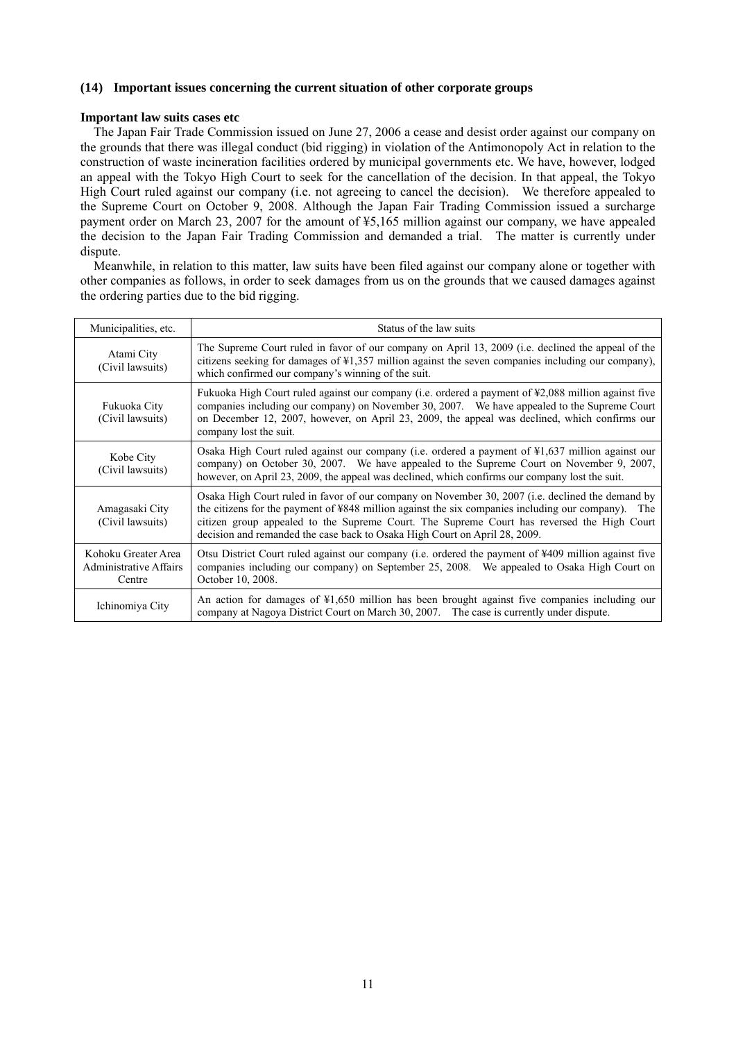### **(14) Important issues concerning the current situation of other corporate groups**

### **Important law suits cases etc**

The Japan Fair Trade Commission issued on June 27, 2006 a cease and desist order against our company on the grounds that there was illegal conduct (bid rigging) in violation of the Antimonopoly Act in relation to the construction of waste incineration facilities ordered by municipal governments etc. We have, however, lodged an appeal with the Tokyo High Court to seek for the cancellation of the decision. In that appeal, the Tokyo High Court ruled against our company (i.e. not agreeing to cancel the decision). We therefore appealed to the Supreme Court on October 9, 2008. Although the Japan Fair Trading Commission issued a surcharge payment order on March 23, 2007 for the amount of ¥5,165 million against our company, we have appealed the decision to the Japan Fair Trading Commission and demanded a trial. The matter is currently under dispute.

Meanwhile, in relation to this matter, law suits have been filed against our company alone or together with other companies as follows, in order to seek damages from us on the grounds that we caused damages against the ordering parties due to the bid rigging.

| Municipalities, etc.                                           | Status of the law suits                                                                                                                                                                                                                                                                                                                                                            |
|----------------------------------------------------------------|------------------------------------------------------------------------------------------------------------------------------------------------------------------------------------------------------------------------------------------------------------------------------------------------------------------------------------------------------------------------------------|
| Atami City<br>(Civil lawsuits)                                 | The Supreme Court ruled in favor of our company on April 13, 2009 (i.e. declined the appeal of the<br>citizens seeking for damages of $\frac{1}{2}$ , 357 million against the seven companies including our company),<br>which confirmed our company's winning of the suit.                                                                                                        |
| Fukuoka City<br>(Civil lawsuits)                               | Fukuoka High Court ruled against our company (i.e. ordered a payment of ¥2,088 million against five<br>companies including our company) on November 30, 2007. We have appealed to the Supreme Court<br>on December 12, 2007, however, on April 23, 2009, the appeal was declined, which confirms our<br>company lost the suit.                                                     |
| Kobe City<br>(Civil lawsuits)                                  | Osaka High Court ruled against our company (i.e. ordered a payment of $\frac{1}{2}$ ,637 million against our<br>company) on October 30, 2007. We have appealed to the Supreme Court on November 9, 2007,<br>however, on April 23, 2009, the appeal was declined, which confirms our company lost the suit.                                                                         |
| Amagasaki City<br>(Civil lawsuits)                             | Osaka High Court ruled in favor of our company on November 30, 2007 (i.e. declined the demand by<br>the citizens for the payment of ¥848 million against the six companies including our company). The<br>citizen group appealed to the Supreme Court. The Supreme Court has reversed the High Court<br>decision and remanded the case back to Osaka High Court on April 28, 2009. |
| Kohoku Greater Area<br><b>Administrative Affairs</b><br>Centre | Otsu District Court ruled against our company (i.e. ordered the payment of ¥409 million against five<br>companies including our company) on September 25, 2008. We appealed to Osaka High Court on<br>October 10, 2008.                                                                                                                                                            |
| Ichinomiya City                                                | An action for damages of $\frac{1}{2}$ ,650 million has been brought against five companies including our<br>company at Nagoya District Court on March 30, 2007. The case is currently under dispute.                                                                                                                                                                              |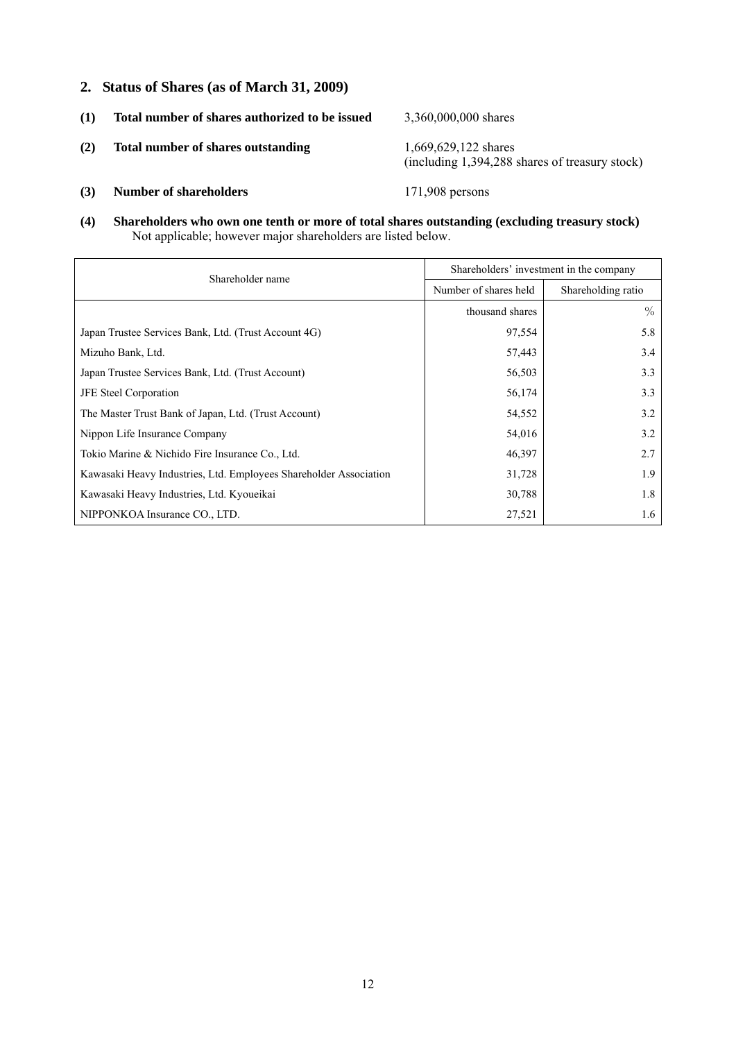**2. Status of Shares (as of March 31, 2009)** 

| (1) | Total number of shares authorized to be issued | 3,360,000,000 shares                                                   |
|-----|------------------------------------------------|------------------------------------------------------------------------|
| (2) | <b>Total number of shares outstanding</b>      | 1,669,629,122 shares<br>(including 1,394,288 shares of treasury stock) |
| (3) | <b>Number of shareholders</b>                  | $171,908$ persons                                                      |

**(4) Shareholders who own one tenth or more of total shares outstanding (excluding treasury stock)**  Not applicable; however major shareholders are listed below.

| Shareholder name                                                  | Shareholders' investment in the company |                    |  |
|-------------------------------------------------------------------|-----------------------------------------|--------------------|--|
|                                                                   | Number of shares held                   | Shareholding ratio |  |
|                                                                   | thousand shares                         | $\%$               |  |
| Japan Trustee Services Bank, Ltd. (Trust Account 4G)              | 97,554                                  | 5.8                |  |
| Mizuho Bank, Ltd.                                                 | 57,443                                  | 3.4                |  |
| Japan Trustee Services Bank, Ltd. (Trust Account)                 | 56,503                                  | 3.3                |  |
| <b>JFE</b> Steel Corporation                                      | 56,174                                  | 3.3                |  |
| The Master Trust Bank of Japan, Ltd. (Trust Account)              | 54,552                                  | 3.2                |  |
| Nippon Life Insurance Company                                     | 54,016                                  | 3.2                |  |
| Tokio Marine & Nichido Fire Insurance Co., Ltd.                   | 46,397                                  | 2.7                |  |
| Kawasaki Heavy Industries, Ltd. Employees Shareholder Association | 31,728                                  | 1.9                |  |
| Kawasaki Heavy Industries, Ltd. Kyoueikai                         | 30,788                                  | 1.8                |  |
| NIPPONKOA Insurance CO., LTD.                                     | 27,521                                  | 1.6                |  |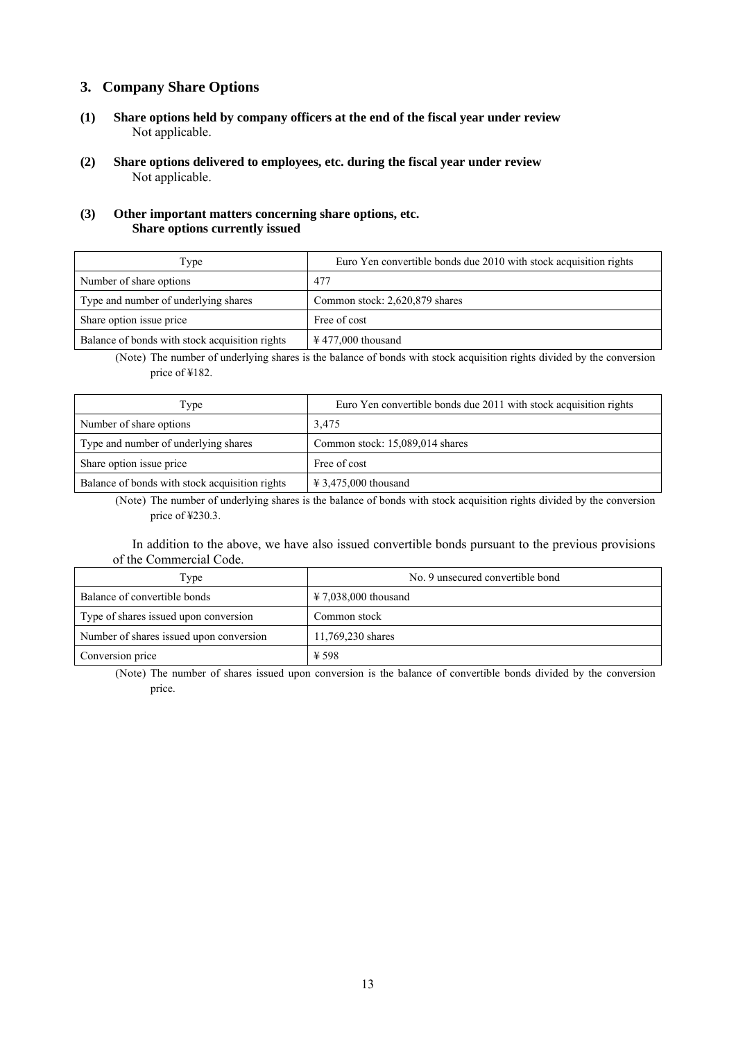## **3. Company Share Options**

- **(1) Share options held by company officers at the end of the fiscal year under review** Not applicable.
- **(2) Share options delivered to employees, etc. during the fiscal year under review** Not applicable.

### **(3) Other important matters concerning share options, etc. Share options currently issued**

| Type                                           | Euro Yen convertible bonds due 2010 with stock acquisition rights |
|------------------------------------------------|-------------------------------------------------------------------|
| Number of share options                        | 477                                                               |
| Type and number of underlying shares           | Common stock: 2,620,879 shares                                    |
| Share option issue price                       | Free of cost                                                      |
| Balance of bonds with stock acquisition rights | $\text{\textsterling}$ 477,000 thousand                           |

(Note) The number of underlying shares is the balance of bonds with stock acquisition rights divided by the conversion price of ¥182.

| Type                                           | Euro Yen convertible bonds due 2011 with stock acquisition rights |
|------------------------------------------------|-------------------------------------------------------------------|
| Number of share options                        | 3,475                                                             |
| Type and number of underlying shares           | Common stock: 15,089,014 shares                                   |
| Share option issue price                       | Free of cost                                                      |
| Balance of bonds with stock acquisition rights | $\text{\textsterling} 3,475,000$ thousand                         |

(Note) The number of underlying shares is the balance of bonds with stock acquisition rights divided by the conversion price of ¥230.3.

In addition to the above, we have also issued convertible bonds pursuant to the previous provisions of the Commercial Code.

| Type                                    | No. 9 unsecured convertible bond          |
|-----------------------------------------|-------------------------------------------|
| Balance of convertible bonds            | $\text{\textsterling} 7.038,000$ thousand |
| Type of shares issued upon conversion   | Common stock                              |
| Number of shares issued upon conversion | 11,769,230 shares                         |
| Conversion price                        | ¥ 598                                     |

(Note) The number of shares issued upon conversion is the balance of convertible bonds divided by the conversion price.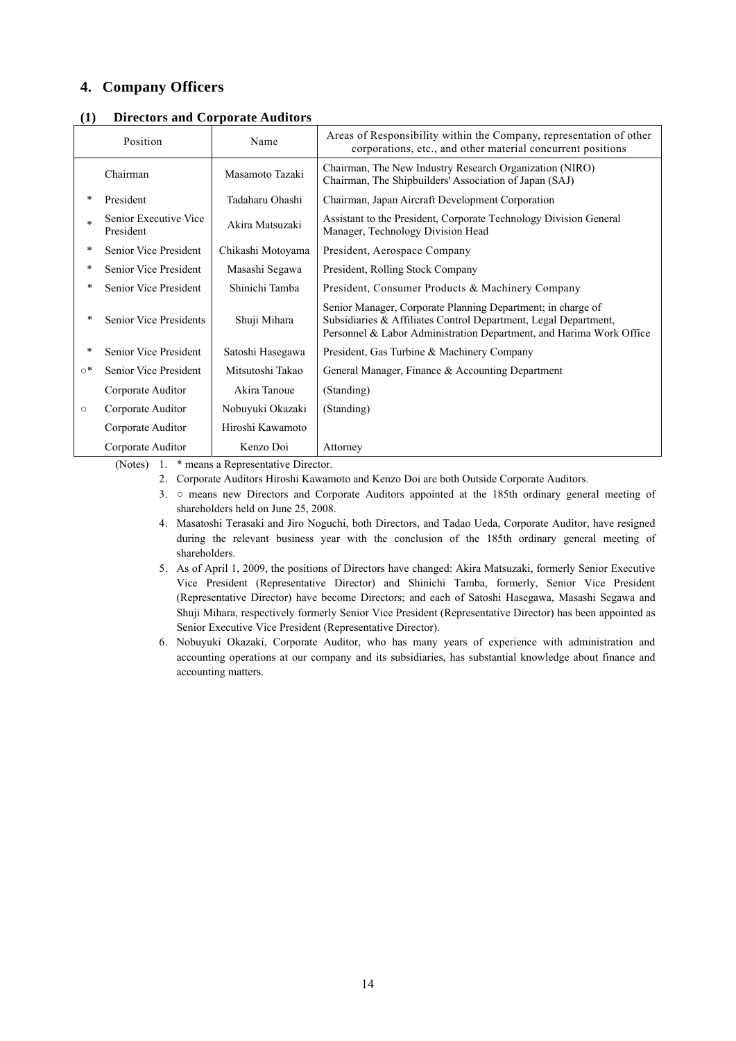## **4. Company Officers**

| (1) Directors and Corporate Auditors |  |
|--------------------------------------|--|
|--------------------------------------|--|

| Position<br>Name |                                    |                   | Areas of Responsibility within the Company, representation of other<br>corporations, etc., and other material concurrent positions                                                                    |  |
|------------------|------------------------------------|-------------------|-------------------------------------------------------------------------------------------------------------------------------------------------------------------------------------------------------|--|
|                  | Chairman                           | Masamoto Tazaki   | Chairman, The New Industry Research Organization (NIRO)<br>Chairman, The Shipbuilders' Association of Japan (SAJ)                                                                                     |  |
|                  | President                          | Tadaharu Ohashi   | Chairman, Japan Aircraft Development Corporation                                                                                                                                                      |  |
|                  | Senior Executive Vice<br>President | Akira Matsuzaki   | Assistant to the President, Corporate Technology Division General<br>Manager, Technology Division Head                                                                                                |  |
| *                | Senior Vice President              | Chikashi Motoyama | President, Aerospace Company                                                                                                                                                                          |  |
| *                | Senior Vice President              | Masashi Segawa    | President, Rolling Stock Company                                                                                                                                                                      |  |
| $\ast$           | Senior Vice President              | Shinichi Tamba    | President, Consumer Products & Machinery Company                                                                                                                                                      |  |
| $\ast$           | Senior Vice Presidents             | Shuji Mihara      | Senior Manager, Corporate Planning Department; in charge of<br>Subsidiaries & Affiliates Control Department, Legal Department,<br>Personnel & Labor Administration Department, and Harima Work Office |  |
| $\ast$           | Senior Vice President              | Satoshi Hasegawa  | President, Gas Turbine & Machinery Company                                                                                                                                                            |  |
| ⊙*               | Senior Vice President              | Mitsutoshi Takao  | General Manager, Finance & Accounting Department                                                                                                                                                      |  |
|                  | Corporate Auditor                  | Akira Tanoue      | (Standing)                                                                                                                                                                                            |  |
| О                | Corporate Auditor                  | Nobuyuki Okazaki  | (Standing)                                                                                                                                                                                            |  |
|                  | Corporate Auditor                  | Hiroshi Kawamoto  |                                                                                                                                                                                                       |  |
|                  | Corporate Auditor                  | Kenzo Doi         | Attorney                                                                                                                                                                                              |  |

(Notes) 1. \* means a Representative Director.

- 2. Corporate Auditors Hiroshi Kawamoto and Kenzo Doi are both Outside Corporate Auditors.
- 3. means new Directors and Corporate Auditors appointed at the 185th ordinary general meeting of shareholders held on June 25, 2008.
- 4. Masatoshi Terasaki and Jiro Noguchi, both Directors, and Tadao Ueda, Corporate Auditor, have resigned during the relevant business year with the conclusion of the 185th ordinary general meeting of shareholders.
- 5. As of April 1, 2009, the positions of Directors have changed: Akira Matsuzaki, formerly Senior Executive Vice President (Representative Director) and Shinichi Tamba, formerly, Senior Vice President (Representative Director) have become Directors; and each of Satoshi Hasegawa, Masashi Segawa and Shuji Mihara, respectively formerly Senior Vice President (Representative Director) has been appointed as Senior Executive Vice President (Representative Director).
- 6. Nobuyuki Okazaki, Corporate Auditor, who has many years of experience with administration and accounting operations at our company and its subsidiaries, has substantial knowledge about finance and accounting matters.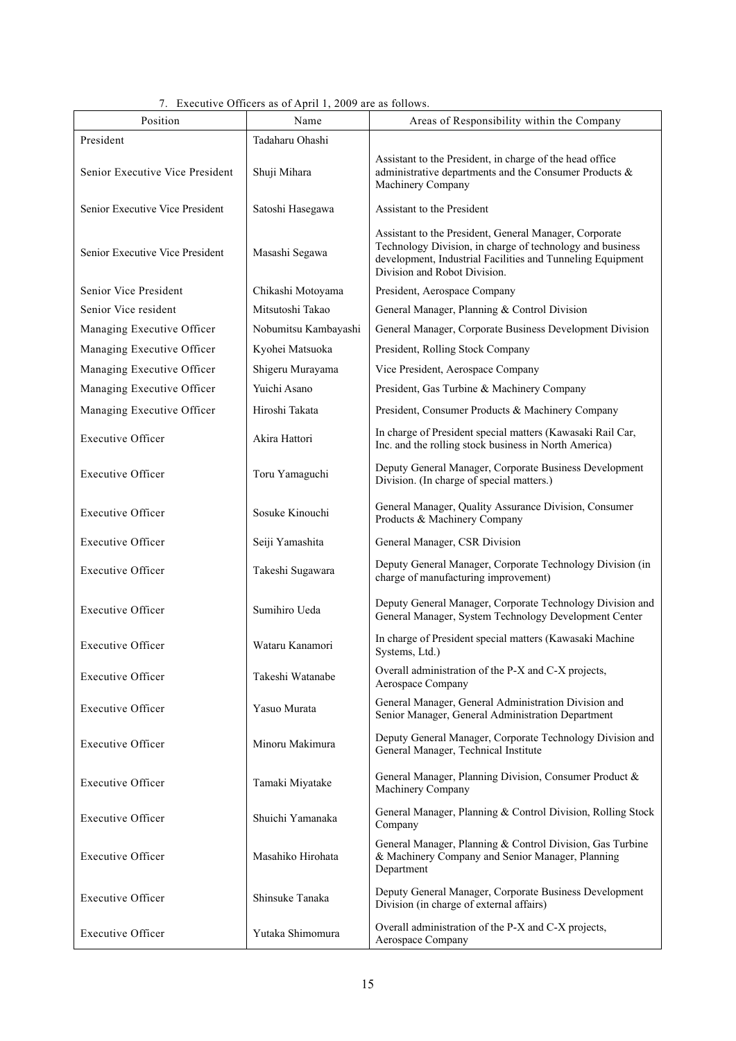## 7. Executive Officers as of April 1, 2009 are as follows.

| Position                        | Name                 | Areas of Responsibility within the Company                                                                                                                                                                        |
|---------------------------------|----------------------|-------------------------------------------------------------------------------------------------------------------------------------------------------------------------------------------------------------------|
| President                       | Tadaharu Ohashi      |                                                                                                                                                                                                                   |
| Senior Executive Vice President | Shuji Mihara         | Assistant to the President, in charge of the head office<br>administrative departments and the Consumer Products &<br>Machinery Company                                                                           |
| Senior Executive Vice President | Satoshi Hasegawa     | Assistant to the President                                                                                                                                                                                        |
| Senior Executive Vice President | Masashi Segawa       | Assistant to the President, General Manager, Corporate<br>Technology Division, in charge of technology and business<br>development, Industrial Facilities and Tunneling Equipment<br>Division and Robot Division. |
| Senior Vice President           | Chikashi Motoyama    | President, Aerospace Company                                                                                                                                                                                      |
| Senior Vice resident            | Mitsutoshi Takao     | General Manager, Planning & Control Division                                                                                                                                                                      |
| Managing Executive Officer      | Nobumitsu Kambayashi | General Manager, Corporate Business Development Division                                                                                                                                                          |
| Managing Executive Officer      | Kyohei Matsuoka      | President, Rolling Stock Company                                                                                                                                                                                  |
| Managing Executive Officer      | Shigeru Murayama     | Vice President, Aerospace Company                                                                                                                                                                                 |
| Managing Executive Officer      | Yuichi Asano         | President, Gas Turbine & Machinery Company                                                                                                                                                                        |
| Managing Executive Officer      | Hiroshi Takata       | President, Consumer Products & Machinery Company                                                                                                                                                                  |
| <b>Executive Officer</b>        | Akira Hattori        | In charge of President special matters (Kawasaki Rail Car,<br>Inc. and the rolling stock business in North America)                                                                                               |
| <b>Executive Officer</b>        | Toru Yamaguchi       | Deputy General Manager, Corporate Business Development<br>Division. (In charge of special matters.)                                                                                                               |
| <b>Executive Officer</b>        | Sosuke Kinouchi      | General Manager, Quality Assurance Division, Consumer<br>Products & Machinery Company                                                                                                                             |
| <b>Executive Officer</b>        | Seiji Yamashita      | General Manager, CSR Division                                                                                                                                                                                     |
| <b>Executive Officer</b>        | Takeshi Sugawara     | Deputy General Manager, Corporate Technology Division (in<br>charge of manufacturing improvement)                                                                                                                 |
| <b>Executive Officer</b>        | Sumihiro Ueda        | Deputy General Manager, Corporate Technology Division and<br>General Manager, System Technology Development Center                                                                                                |
| <b>Executive Officer</b>        | Wataru Kanamori      | In charge of President special matters (Kawasaki Machine<br>Systems, Ltd.)                                                                                                                                        |
| <b>Executive Officer</b>        | Takeshi Watanabe     | Overall administration of the P-X and C-X projects,<br>Aerospace Company                                                                                                                                          |
| <b>Executive Officer</b>        | Yasuo Murata         | General Manager, General Administration Division and<br>Senior Manager, General Administration Department                                                                                                         |
| <b>Executive Officer</b>        | Minoru Makimura      | Deputy General Manager, Corporate Technology Division and<br>General Manager, Technical Institute                                                                                                                 |
| <b>Executive Officer</b>        | Tamaki Miyatake      | General Manager, Planning Division, Consumer Product &<br>Machinery Company                                                                                                                                       |
| <b>Executive Officer</b>        | Shuichi Yamanaka     | General Manager, Planning & Control Division, Rolling Stock<br>Company                                                                                                                                            |
| <b>Executive Officer</b>        | Masahiko Hirohata    | General Manager, Planning & Control Division, Gas Turbine<br>& Machinery Company and Senior Manager, Planning<br>Department                                                                                       |
| <b>Executive Officer</b>        | Shinsuke Tanaka      | Deputy General Manager, Corporate Business Development<br>Division (in charge of external affairs)                                                                                                                |
| <b>Executive Officer</b>        | Yutaka Shimomura     | Overall administration of the P-X and C-X projects,<br>Aerospace Company                                                                                                                                          |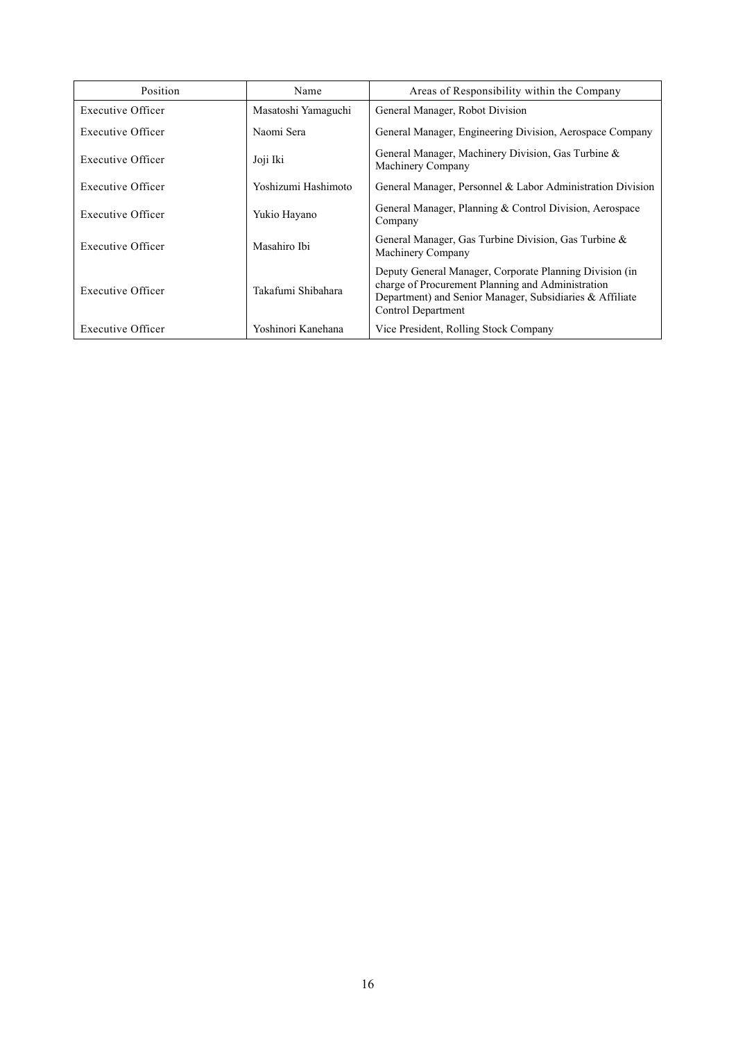| Position                                 | Name                | Areas of Responsibility within the Company                                                                                                                                                     |
|------------------------------------------|---------------------|------------------------------------------------------------------------------------------------------------------------------------------------------------------------------------------------|
| Executive Officer<br>Masatoshi Yamaguchi |                     | General Manager, Robot Division                                                                                                                                                                |
| Executive Officer                        | Naomi Sera          | General Manager, Engineering Division, Aerospace Company                                                                                                                                       |
| Executive Officer                        | Joji Iki            | General Manager, Machinery Division, Gas Turbine &<br>Machinery Company                                                                                                                        |
| Executive Officer                        | Yoshizumi Hashimoto | General Manager, Personnel & Labor Administration Division                                                                                                                                     |
| Executive Officer                        | Yukio Hayano        | General Manager, Planning & Control Division, Aerospace<br>Company                                                                                                                             |
| Executive Officer                        | Masahiro Ibi        | General Manager, Gas Turbine Division, Gas Turbine &<br>Machinery Company                                                                                                                      |
| Executive Officer                        | Takafumi Shibahara  | Deputy General Manager, Corporate Planning Division (in<br>charge of Procurement Planning and Administration<br>Department) and Senior Manager, Subsidiaries & Affiliate<br>Control Department |
| Executive Officer                        | Yoshinori Kanehana  | Vice President, Rolling Stock Company                                                                                                                                                          |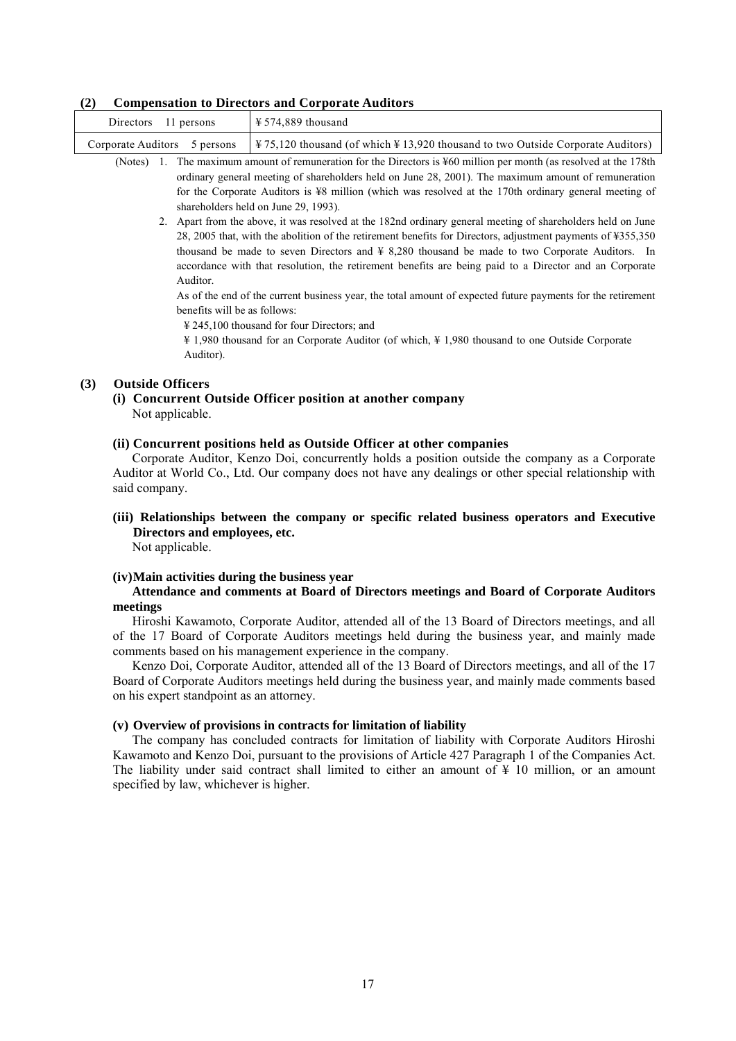#### **(2) Compensation to Directors and Corporate Auditors**

| Directors 11 persons | $\frac{12}{2}$ \$574,889 thousand                                                                                        |
|----------------------|--------------------------------------------------------------------------------------------------------------------------|
|                      | Corporate Auditors 5 persons $\frac{475,120}{2}$ thousand (of which \#13,920 thousand to two Outside Corporate Auditors) |

(Notes) 1. The maximum amount of remuneration for the Directors is ¥60 million per month (as resolved at the 178th ordinary general meeting of shareholders held on June 28, 2001). The maximum amount of remuneration for the Corporate Auditors is ¥8 million (which was resolved at the 170th ordinary general meeting of shareholders held on June 29, 1993).

2. Apart from the above, it was resolved at the 182nd ordinary general meeting of shareholders held on June 28, 2005 that, with the abolition of the retirement benefits for Directors, adjustment payments of ¥355,350 thousand be made to seven Directors and ¥ 8,280 thousand be made to two Corporate Auditors. In accordance with that resolution, the retirement benefits are being paid to a Director and an Corporate Auditor.

As of the end of the current business year, the total amount of expected future payments for the retirement benefits will be as follows:

¥ 245,100 thousand for four Directors; and

¥ 1,980 thousand for an Corporate Auditor (of which, ¥ 1,980 thousand to one Outside Corporate Auditor).

### **(3) Outside Officers**

**(i) Concurrent Outside Officer position at another company**  Not applicable.

#### **(ii) Concurrent positions held as Outside Officer at other companies**

Corporate Auditor, Kenzo Doi, concurrently holds a position outside the company as a Corporate Auditor at World Co., Ltd. Our company does not have any dealings or other special relationship with said company.

## **(iii) Relationships between the company or specific related business operators and Executive Directors and employees, etc.**

Not applicable.

#### **(iv) Main activities during the business year**

#### **Attendance and comments at Board of Directors meetings and Board of Corporate Auditors meetings**

Hiroshi Kawamoto, Corporate Auditor, attended all of the 13 Board of Directors meetings, and all of the 17 Board of Corporate Auditors meetings held during the business year, and mainly made comments based on his management experience in the company.

Kenzo Doi, Corporate Auditor, attended all of the 13 Board of Directors meetings, and all of the 17 Board of Corporate Auditors meetings held during the business year, and mainly made comments based on his expert standpoint as an attorney.

#### **(v) Overview of provisions in contracts for limitation of liability**

The company has concluded contracts for limitation of liability with Corporate Auditors Hiroshi Kawamoto and Kenzo Doi, pursuant to the provisions of Article 427 Paragraph 1 of the Companies Act. The liability under said contract shall limited to either an amount of  $\frac{1}{2}$  10 million, or an amount specified by law, whichever is higher.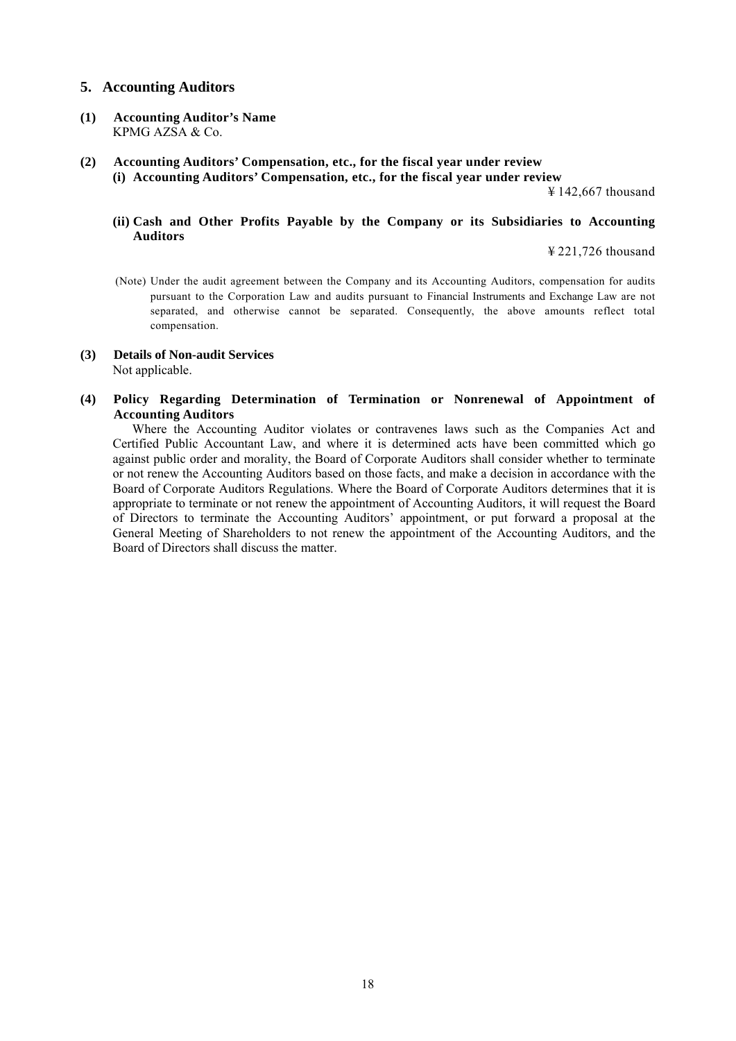## **5. Accounting Auditors**

- **(1) Accounting Auditor's Name**  KPMG AZSA & Co.
- **(2) Accounting Auditors' Compensation, etc., for the fiscal year under review (i) Accounting Auditors' Compensation, etc., for the fiscal year under review**

¥ 142,667 thousand

### **(ii) Cash and Other Profits Payable by the Company or its Subsidiaries to Accounting Auditors**

¥ 221,726 thousand

- (Note) Under the audit agreement between the Company and its Accounting Auditors, compensation for audits pursuant to the Corporation Law and audits pursuant to Financial Instruments and Exchange Law are not separated, and otherwise cannot be separated. Consequently, the above amounts reflect total compensation.
- **(3) Details of Non-audit Services**  Not applicable.
- **(4) Policy Regarding Determination of Termination or Nonrenewal of Appointment of Accounting Auditors**

Where the Accounting Auditor violates or contravenes laws such as the Companies Act and Certified Public Accountant Law, and where it is determined acts have been committed which go against public order and morality, the Board of Corporate Auditors shall consider whether to terminate or not renew the Accounting Auditors based on those facts, and make a decision in accordance with the Board of Corporate Auditors Regulations. Where the Board of Corporate Auditors determines that it is appropriate to terminate or not renew the appointment of Accounting Auditors, it will request the Board of Directors to terminate the Accounting Auditors' appointment, or put forward a proposal at the General Meeting of Shareholders to not renew the appointment of the Accounting Auditors, and the Board of Directors shall discuss the matter.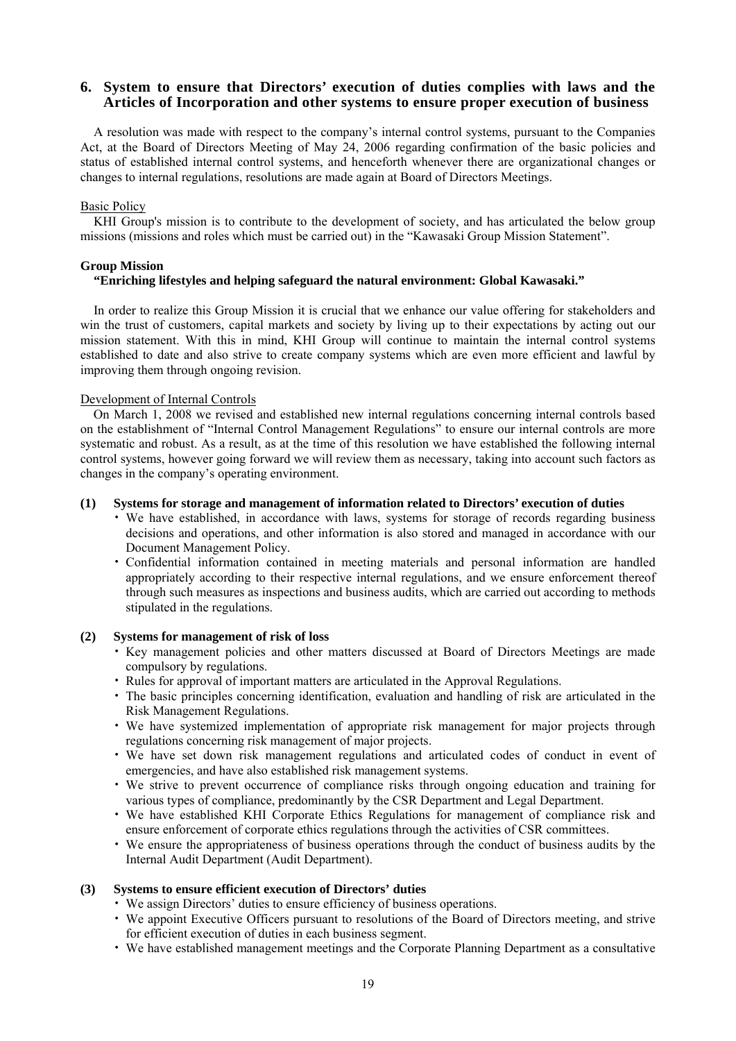## **6. System to ensure that Directors' execution of duties complies with laws and the Articles of Incorporation and other systems to ensure proper execution of business**

A resolution was made with respect to the company's internal control systems, pursuant to the Companies Act, at the Board of Directors Meeting of May 24, 2006 regarding confirmation of the basic policies and status of established internal control systems, and henceforth whenever there are organizational changes or changes to internal regulations, resolutions are made again at Board of Directors Meetings.

#### **Basic Policy**

KHI Group's mission is to contribute to the development of society, and has articulated the below group missions (missions and roles which must be carried out) in the "Kawasaki Group Mission Statement".

#### **Group Mission**

#### **"Enriching lifestyles and helping safeguard the natural environment: Global Kawasaki."**

In order to realize this Group Mission it is crucial that we enhance our value offering for stakeholders and win the trust of customers, capital markets and society by living up to their expectations by acting out our mission statement. With this in mind, KHI Group will continue to maintain the internal control systems established to date and also strive to create company systems which are even more efficient and lawful by improving them through ongoing revision.

#### Development of Internal Controls

On March 1, 2008 we revised and established new internal regulations concerning internal controls based on the establishment of "Internal Control Management Regulations" to ensure our internal controls are more systematic and robust. As a result, as at the time of this resolution we have established the following internal control systems, however going forward we will review them as necessary, taking into account such factors as changes in the company's operating environment.

#### **(1) Systems for storage and management of information related to Directors' execution of duties**

- We have established, in accordance with laws, systems for storage of records regarding business decisions and operations, and other information is also stored and managed in accordance with our Document Management Policy.
- Confidential information contained in meeting materials and personal information are handled appropriately according to their respective internal regulations, and we ensure enforcement thereof through such measures as inspections and business audits, which are carried out according to methods stipulated in the regulations.

#### **(2) Systems for management of risk of loss**

- Key management policies and other matters discussed at Board of Directors Meetings are made compulsory by regulations.
- Rules for approval of important matters are articulated in the Approval Regulations.
- The basic principles concerning identification, evaluation and handling of risk are articulated in the Risk Management Regulations.
- We have systemized implementation of appropriate risk management for major projects through regulations concerning risk management of major projects.
- We have set down risk management regulations and articulated codes of conduct in event of emergencies, and have also established risk management systems.
- We strive to prevent occurrence of compliance risks through ongoing education and training for various types of compliance, predominantly by the CSR Department and Legal Department.
- We have established KHI Corporate Ethics Regulations for management of compliance risk and ensure enforcement of corporate ethics regulations through the activities of CSR committees.
- We ensure the appropriateness of business operations through the conduct of business audits by the Internal Audit Department (Audit Department).

#### **(3) Systems to ensure efficient execution of Directors' duties**

- We assign Directors' duties to ensure efficiency of business operations.
- We appoint Executive Officers pursuant to resolutions of the Board of Directors meeting, and strive for efficient execution of duties in each business segment.
- We have established management meetings and the Corporate Planning Department as a consultative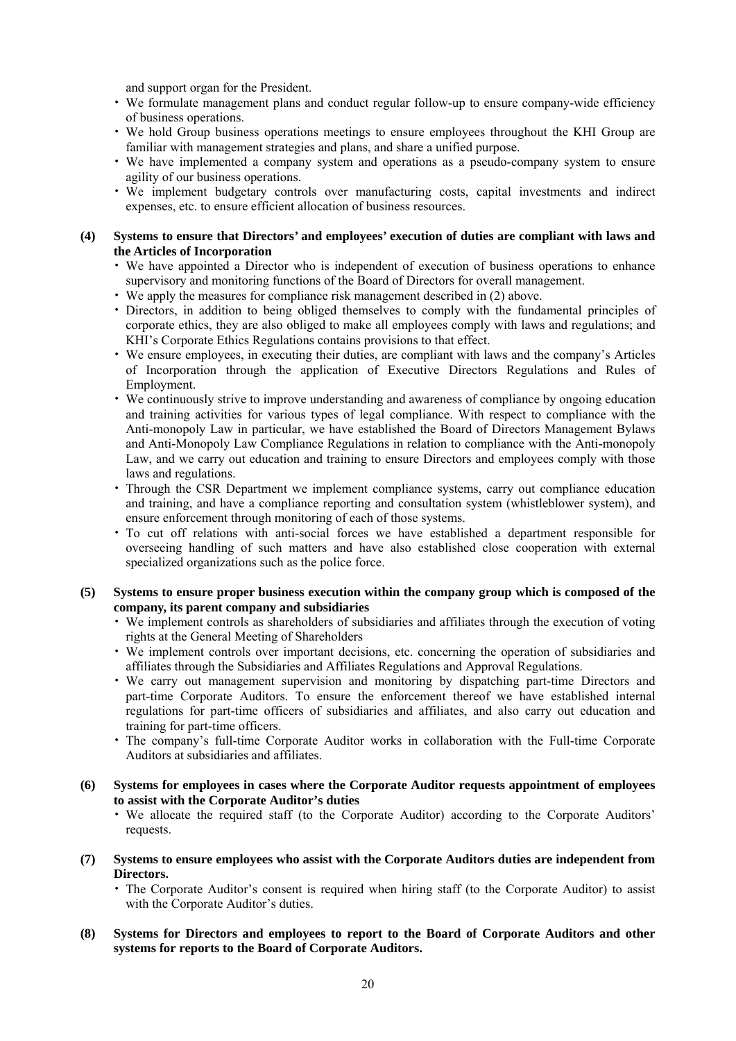and support organ for the President.

- We formulate management plans and conduct regular follow-up to ensure company-wide efficiency of business operations.
- We hold Group business operations meetings to ensure employees throughout the KHI Group are familiar with management strategies and plans, and share a unified purpose.
- We have implemented a company system and operations as a pseudo-company system to ensure agility of our business operations.
- We implement budgetary controls over manufacturing costs, capital investments and indirect expenses, etc. to ensure efficient allocation of business resources.
- **(4) Systems to ensure that Directors' and employees' execution of duties are compliant with laws and the Articles of Incorporation** 
	- We have appointed a Director who is independent of execution of business operations to enhance supervisory and monitoring functions of the Board of Directors for overall management.
	- We apply the measures for compliance risk management described in (2) above.
	- Directors, in addition to being obliged themselves to comply with the fundamental principles of corporate ethics, they are also obliged to make all employees comply with laws and regulations; and KHI's Corporate Ethics Regulations contains provisions to that effect.
	- We ensure employees, in executing their duties, are compliant with laws and the company's Articles of Incorporation through the application of Executive Directors Regulations and Rules of Employment.
	- We continuously strive to improve understanding and awareness of compliance by ongoing education and training activities for various types of legal compliance. With respect to compliance with the Anti-monopoly Law in particular, we have established the Board of Directors Management Bylaws and Anti-Monopoly Law Compliance Regulations in relation to compliance with the Anti-monopoly Law, and we carry out education and training to ensure Directors and employees comply with those laws and regulations.
	- Through the CSR Department we implement compliance systems, carry out compliance education and training, and have a compliance reporting and consultation system (whistleblower system), and ensure enforcement through monitoring of each of those systems.
	- To cut off relations with anti-social forces we have established a department responsible for overseeing handling of such matters and have also established close cooperation with external specialized organizations such as the police force.
- **(5) Systems to ensure proper business execution within the company group which is composed of the company, its parent company and subsidiaries** 
	- We implement controls as shareholders of subsidiaries and affiliates through the execution of voting rights at the General Meeting of Shareholders
	- We implement controls over important decisions, etc. concerning the operation of subsidiaries and affiliates through the Subsidiaries and Affiliates Regulations and Approval Regulations.
	- We carry out management supervision and monitoring by dispatching part-time Directors and part-time Corporate Auditors. To ensure the enforcement thereof we have established internal regulations for part-time officers of subsidiaries and affiliates, and also carry out education and training for part-time officers.
	- The company's full-time Corporate Auditor works in collaboration with the Full-time Corporate Auditors at subsidiaries and affiliates.
- **(6) Systems for employees in cases where the Corporate Auditor requests appointment of employees to assist with the Corporate Auditor's duties** 
	- We allocate the required staff (to the Corporate Auditor) according to the Corporate Auditors' requests.
- **(7) Systems to ensure employees who assist with the Corporate Auditors duties are independent from Directors.** 
	- The Corporate Auditor's consent is required when hiring staff (to the Corporate Auditor) to assist with the Corporate Auditor's duties.
- **(8) Systems for Directors and employees to report to the Board of Corporate Auditors and other systems for reports to the Board of Corporate Auditors.**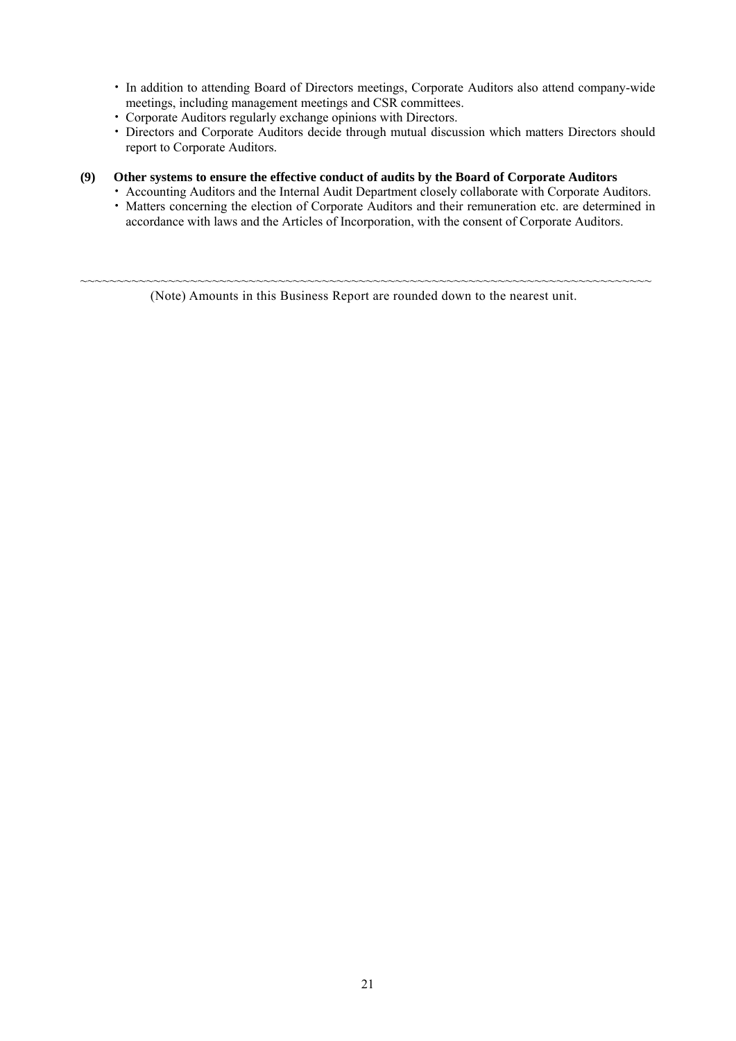- In addition to attending Board of Directors meetings, Corporate Auditors also attend company-wide meetings, including management meetings and CSR committees.
- Corporate Auditors regularly exchange opinions with Directors.
- Directors and Corporate Auditors decide through mutual discussion which matters Directors should report to Corporate Auditors.

## **(9) Other systems to ensure the effective conduct of audits by the Board of Corporate Auditors**

- Accounting Auditors and the Internal Audit Department closely collaborate with Corporate Auditors.
- Matters concerning the election of Corporate Auditors and their remuneration etc. are determined in accordance with laws and the Articles of Incorporation, with the consent of Corporate Auditors.

~~~~~~~~~~~~~~~~~~~~~~~~~~~~~~~~~~~~~~~~~~~~~~~~~~~~~~~~~~~~~~~~~~~~~~~~~~~~~~ (Note) Amounts in this Business Report are rounded down to the nearest unit.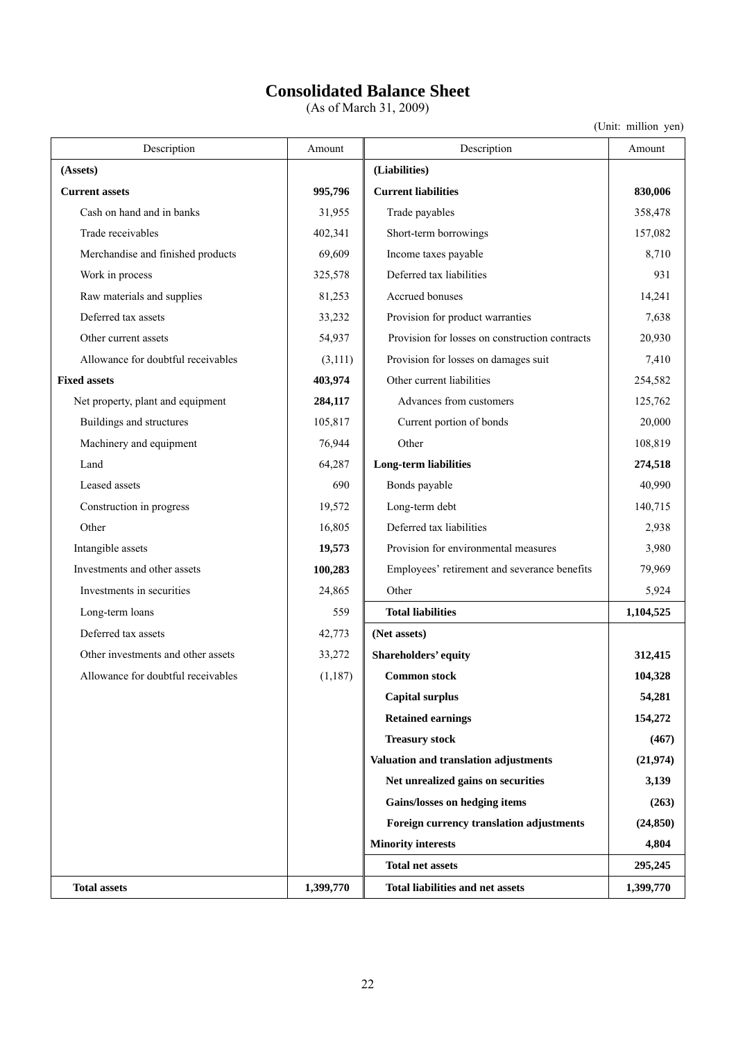# **Consolidated Balance Sheet**

(As of March 31, 2009)

| Description                        | Amount    | Description                                    | Amount    |
|------------------------------------|-----------|------------------------------------------------|-----------|
| (Assets)                           |           | (Liabilities)                                  |           |
| <b>Current assets</b>              | 995,796   | <b>Current liabilities</b>                     | 830,006   |
| Cash on hand and in banks          | 31,955    | Trade payables                                 | 358,478   |
| Trade receivables                  | 402,341   | Short-term borrowings                          | 157,082   |
| Merchandise and finished products  | 69,609    | Income taxes payable                           | 8,710     |
| Work in process                    | 325,578   | Deferred tax liabilities                       | 931       |
| Raw materials and supplies         | 81,253    | Accrued bonuses                                | 14,241    |
| Deferred tax assets                | 33,232    | Provision for product warranties               | 7,638     |
| Other current assets               | 54,937    | Provision for losses on construction contracts | 20,930    |
| Allowance for doubtful receivables | (3,111)   | Provision for losses on damages suit           | 7,410     |
| <b>Fixed assets</b>                | 403,974   | Other current liabilities                      | 254,582   |
| Net property, plant and equipment  | 284,117   | Advances from customers                        | 125,762   |
| Buildings and structures           | 105,817   | Current portion of bonds                       | 20,000    |
| Machinery and equipment            | 76,944    | Other                                          | 108,819   |
| Land                               | 64,287    | <b>Long-term liabilities</b>                   | 274,518   |
| Leased assets                      | 690       | Bonds payable                                  | 40,990    |
| Construction in progress           | 19,572    | Long-term debt                                 | 140,715   |
| Other                              | 16,805    | Deferred tax liabilities                       | 2,938     |
| Intangible assets                  | 19,573    | Provision for environmental measures           | 3,980     |
| Investments and other assets       | 100,283   | Employees' retirement and severance benefits   | 79,969    |
| Investments in securities          | 24,865    | Other                                          | 5,924     |
| Long-term loans                    | 559       | <b>Total liabilities</b>                       | 1,104,525 |
| Deferred tax assets                | 42,773    | (Net assets)                                   |           |
| Other investments and other assets | 33,272    | Shareholders' equity                           | 312,415   |
| Allowance for doubtful receivables | (1, 187)  | <b>Common stock</b>                            | 104,328   |
|                                    |           | <b>Capital surplus</b>                         | 54,281    |
|                                    |           | <b>Retained earnings</b>                       | 154,272   |
|                                    |           | <b>Treasury stock</b>                          | (467)     |
|                                    |           | Valuation and translation adjustments          | (21, 974) |
|                                    |           | Net unrealized gains on securities             | 3,139     |
|                                    |           | Gains/losses on hedging items                  | (263)     |
|                                    |           | Foreign currency translation adjustments       | (24, 850) |
|                                    |           | <b>Minority interests</b>                      | 4,804     |
|                                    |           | <b>Total net assets</b>                        | 295,245   |
| <b>Total assets</b>                | 1,399,770 | <b>Total liabilities and net assets</b>        | 1,399,770 |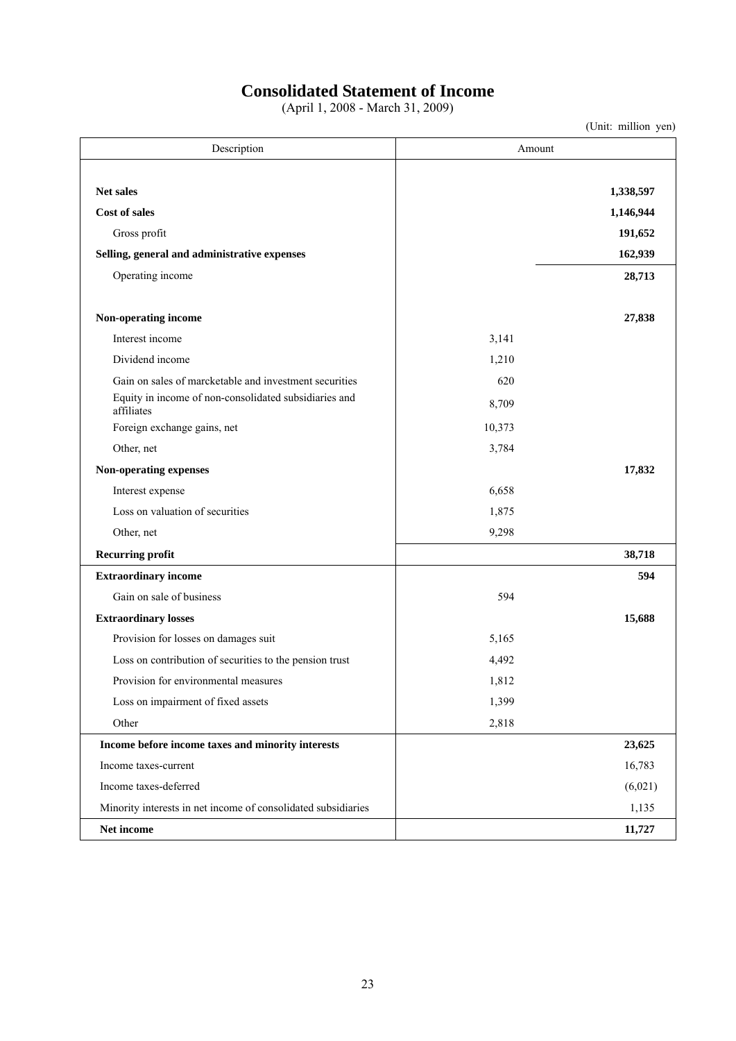## **Consolidated Statement of Income**

(April 1, 2008 - March 31, 2009)

| Description                                                         | Amount |           |
|---------------------------------------------------------------------|--------|-----------|
| <b>Net sales</b>                                                    |        | 1,338,597 |
| <b>Cost of sales</b>                                                |        | 1,146,944 |
| Gross profit                                                        |        |           |
|                                                                     |        | 191,652   |
| Selling, general and administrative expenses                        |        | 162,939   |
| Operating income                                                    |        | 28,713    |
| Non-operating income                                                |        | 27,838    |
| Interest income                                                     | 3,141  |           |
| Dividend income                                                     | 1,210  |           |
| Gain on sales of marcketable and investment securities              | 620    |           |
| Equity in income of non-consolidated subsidiaries and<br>affiliates | 8,709  |           |
| Foreign exchange gains, net                                         | 10,373 |           |
| Other, net                                                          | 3,784  |           |
| Non-operating expenses                                              |        | 17,832    |
| Interest expense                                                    | 6,658  |           |
| Loss on valuation of securities                                     | 1,875  |           |
| Other, net                                                          | 9,298  |           |
| <b>Recurring profit</b>                                             |        | 38,718    |
| <b>Extraordinary income</b>                                         |        | 594       |
| Gain on sale of business                                            | 594    |           |
| <b>Extraordinary losses</b>                                         |        | 15,688    |
| Provision for losses on damages suit                                | 5,165  |           |
| Loss on contribution of securities to the pension trust             | 4,492  |           |
| Provision for environmental measures                                | 1,812  |           |
| Loss on impairment of fixed assets                                  | 1,399  |           |
| Other                                                               | 2,818  |           |
| Income before income taxes and minority interests                   |        | 23,625    |
| Income taxes-current                                                |        | 16,783    |
| Income taxes-deferred                                               |        | (6,021)   |
| Minority interests in net income of consolidated subsidiaries       |        | 1,135     |
| Net income                                                          |        | 11,727    |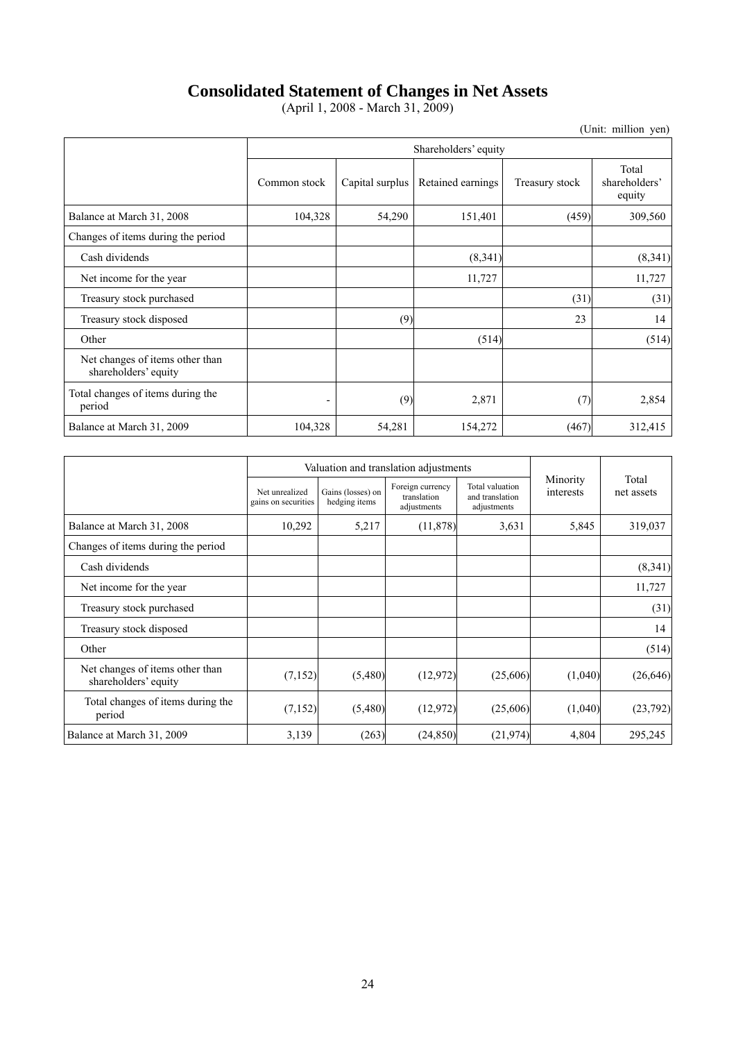## **Consolidated Statement of Changes in Net Assets**

(April 1, 2008 - March 31, 2009)

|                                                         | Shareholders' equity |                 |                   |                |                                  |  |
|---------------------------------------------------------|----------------------|-----------------|-------------------|----------------|----------------------------------|--|
|                                                         | Common stock         | Capital surplus | Retained earnings | Treasury stock | Total<br>shareholders'<br>equity |  |
| Balance at March 31, 2008                               | 104,328              | 54,290          | 151,401           | (459)          | 309,560                          |  |
| Changes of items during the period                      |                      |                 |                   |                |                                  |  |
| Cash dividends                                          |                      |                 | (8,341)           |                | (8,341)                          |  |
| Net income for the year                                 |                      |                 | 11,727            |                | 11,727                           |  |
| Treasury stock purchased                                |                      |                 |                   | (31)           | (31)                             |  |
| Treasury stock disposed                                 |                      | (9)             |                   | 23             | 14                               |  |
| Other                                                   |                      |                 | (514)             |                | (514)                            |  |
| Net changes of items other than<br>shareholders' equity |                      |                 |                   |                |                                  |  |
| Total changes of items during the<br>period             | ۰                    | (9)             | 2,871             | (7)            | 2,854                            |  |
| Balance at March 31, 2009                               | 104,328              | 54,281          | 154,272           | (467)          | 312,415                          |  |

|                                                         |                                       | Valuation and translation adjustments |                                                |                                                   |                       |                     |
|---------------------------------------------------------|---------------------------------------|---------------------------------------|------------------------------------------------|---------------------------------------------------|-----------------------|---------------------|
|                                                         | Net unrealized<br>gains on securities | Gains (losses) on<br>hedging items    | Foreign currency<br>translation<br>adjustments | Total valuation<br>and translation<br>adjustments | Minority<br>interests | Total<br>net assets |
| Balance at March 31, 2008                               | 10,292                                | 5,217                                 | (11, 878)                                      | 3,631                                             | 5,845                 | 319,037             |
| Changes of items during the period                      |                                       |                                       |                                                |                                                   |                       |                     |
| Cash dividends                                          |                                       |                                       |                                                |                                                   |                       | (8,341)             |
| Net income for the year.                                |                                       |                                       |                                                |                                                   |                       | 11,727              |
| Treasury stock purchased                                |                                       |                                       |                                                |                                                   |                       | (31)                |
| Treasury stock disposed                                 |                                       |                                       |                                                |                                                   |                       | 14                  |
| Other                                                   |                                       |                                       |                                                |                                                   |                       | (514)               |
| Net changes of items other than<br>shareholders' equity | (7, 152)                              | (5,480)                               | (12, 972)                                      | (25,606)                                          | (1,040)               | (26, 646)           |
| Total changes of items during the<br>period             | (7,152)                               | (5,480)                               | (12, 972)                                      | (25,606)                                          | (1,040)               | (23,792)            |
| Balance at March 31, 2009                               | 3,139                                 | (263)                                 | (24, 850)                                      | (21, 974)                                         | 4,804                 | 295,245             |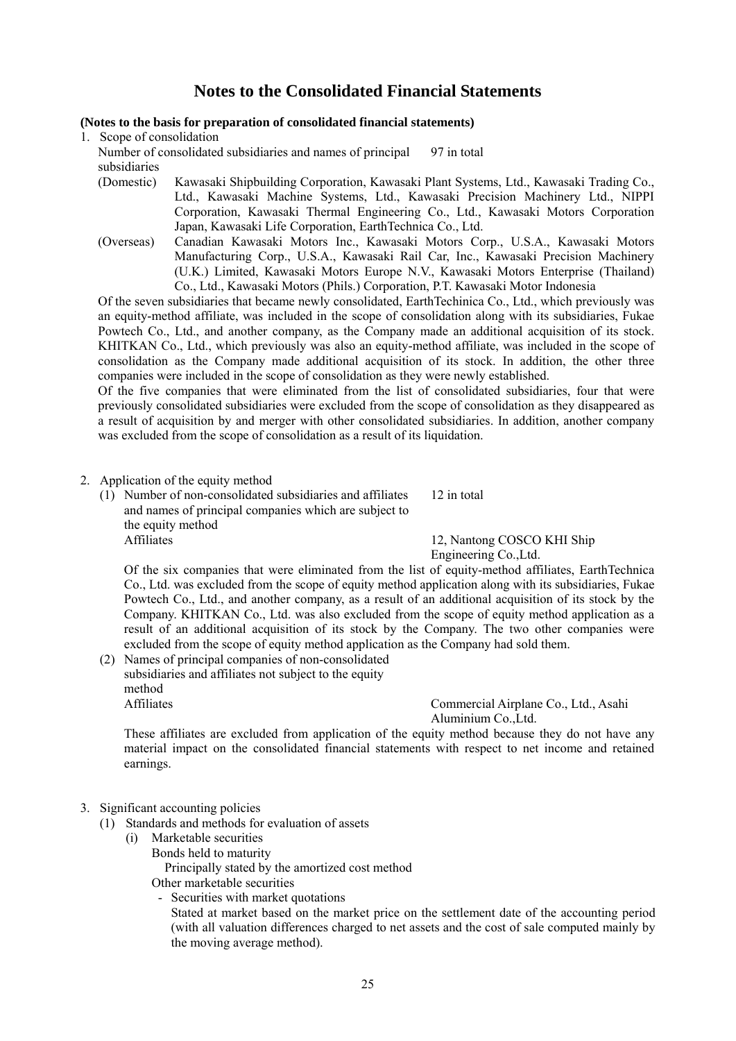## **Notes to the Consolidated Financial Statements**

### **(Notes to the basis for preparation of consolidated financial statements)**

1. Scope of consolidation

Number of consolidated subsidiaries and names of principal subsidiaries 97 in total

- (Domestic) Kawasaki Shipbuilding Corporation, Kawasaki Plant Systems, Ltd., Kawasaki Trading Co., Ltd., Kawasaki Machine Systems, Ltd., Kawasaki Precision Machinery Ltd., NIPPI Corporation, Kawasaki Thermal Engineering Co., Ltd., Kawasaki Motors Corporation Japan, Kawasaki Life Corporation, EarthTechnica Co., Ltd.
- (Overseas) Canadian Kawasaki Motors Inc., Kawasaki Motors Corp., U.S.A., Kawasaki Motors Manufacturing Corp., U.S.A., Kawasaki Rail Car, Inc., Kawasaki Precision Machinery (U.K.) Limited, Kawasaki Motors Europe N.V., Kawasaki Motors Enterprise (Thailand) Co., Ltd., Kawasaki Motors (Phils.) Corporation, P.T. Kawasaki Motor Indonesia

Of the seven subsidiaries that became newly consolidated, EarthTechinica Co., Ltd., which previously was an equity-method affiliate, was included in the scope of consolidation along with its subsidiaries, Fukae Powtech Co., Ltd., and another company, as the Company made an additional acquisition of its stock. KHITKAN Co., Ltd., which previously was also an equity-method affiliate, was included in the scope of consolidation as the Company made additional acquisition of its stock. In addition, the other three companies were included in the scope of consolidation as they were newly established.

Of the five companies that were eliminated from the list of consolidated subsidiaries, four that were previously consolidated subsidiaries were excluded from the scope of consolidation as they disappeared as a result of acquisition by and merger with other consolidated subsidiaries. In addition, another company was excluded from the scope of consolidation as a result of its liquidation.

### 2. Application of the equity method

(1) Number of non-consolidated subsidiaries and affiliates and names of principal companies which are subject to the equity method 12 in total Affiliates 12, Nantong COSCO KHI Ship

Engineering Co.,Ltd.

Of the six companies that were eliminated from the list of equity-method affiliates, EarthTechnica Co., Ltd. was excluded from the scope of equity method application along with its subsidiaries, Fukae Powtech Co., Ltd., and another company, as a result of an additional acquisition of its stock by the Company. KHITKAN Co., Ltd. was also excluded from the scope of equity method application as a result of an additional acquisition of its stock by the Company. The two other companies were excluded from the scope of equity method application as the Company had sold them.

(2) Names of principal companies of non-consolidated subsidiaries and affiliates not subject to the equity method Affiliates Commercial Airplane Co., Ltd., Asahi

Aluminium Co.,Ltd.

These affiliates are excluded from application of the equity method because they do not have any material impact on the consolidated financial statements with respect to net income and retained earnings.

## 3. Significant accounting policies

- (1) Standards and methods for evaluation of assets
	- (i) Marketable securities

Bonds held to maturity

Principally stated by the amortized cost method

- Other marketable securities
- Securities with market quotations

Stated at market based on the market price on the settlement date of the accounting period (with all valuation differences charged to net assets and the cost of sale computed mainly by the moving average method).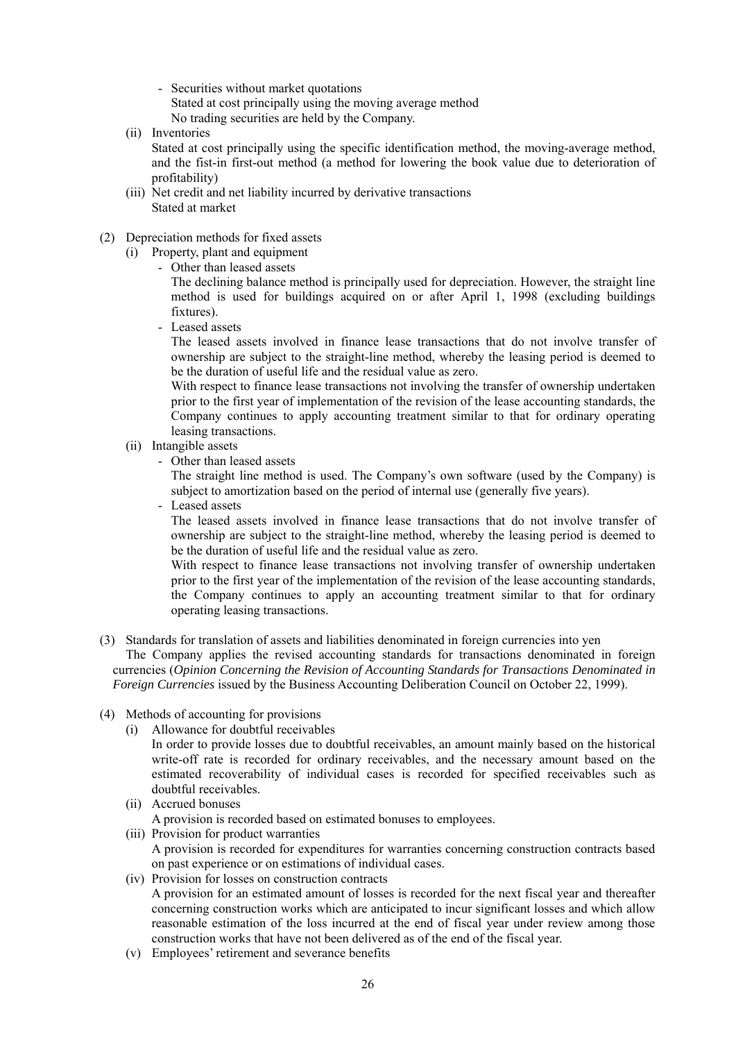- Securities without market quotations Stated at cost principally using the moving average method No trading securities are held by the Company.

- (ii) Inventories Stated at cost principally using the specific identification method, the moving-average method, and the fist-in first-out method (a method for lowering the book value due to deterioration of profitability)
- (iii) Net credit and net liability incurred by derivative transactions Stated at market
- (2) Depreciation methods for fixed assets

(i) Property, plant and equipment

- Other than leased assets

The declining balance method is principally used for depreciation. However, the straight line method is used for buildings acquired on or after April 1, 1998 (excluding buildings fixtures).

- Leased assets

The leased assets involved in finance lease transactions that do not involve transfer of ownership are subject to the straight-line method, whereby the leasing period is deemed to be the duration of useful life and the residual value as zero.

With respect to finance lease transactions not involving the transfer of ownership undertaken prior to the first year of implementation of the revision of the lease accounting standards, the Company continues to apply accounting treatment similar to that for ordinary operating leasing transactions.

- (ii) Intangible assets
	- Other than leased assets

The straight line method is used. The Company's own software (used by the Company) is subject to amortization based on the period of internal use (generally five years).

- Leased assets

The leased assets involved in finance lease transactions that do not involve transfer of ownership are subject to the straight-line method, whereby the leasing period is deemed to be the duration of useful life and the residual value as zero.

With respect to finance lease transactions not involving transfer of ownership undertaken prior to the first year of the implementation of the revision of the lease accounting standards, the Company continues to apply an accounting treatment similar to that for ordinary operating leasing transactions.

(3) Standards for translation of assets and liabilities denominated in foreign currencies into yen

The Company applies the revised accounting standards for transactions denominated in foreign currencies (*Opinion Concerning the Revision of Accounting Standards for Transactions Denominated in Foreign Currencies* issued by the Business Accounting Deliberation Council on October 22, 1999).

- (4) Methods of accounting for provisions
	- (i) Allowance for doubtful receivables In order to provide losses due to doubtful receivables, an amount mainly based on the historical write-off rate is recorded for ordinary receivables, and the necessary amount based on the estimated recoverability of individual cases is recorded for specified receivables such as doubtful receivables.
	- (ii) Accrued bonuses
	- A provision is recorded based on estimated bonuses to employees. (iii) Provision for product warranties A provision is recorded for expenditures for warranties concerning construction contracts based on past experience or on estimations of individual cases.
	- (iv) Provision for losses on construction contracts A provision for an estimated amount of losses is recorded for the next fiscal year and thereafter concerning construction works which are anticipated to incur significant losses and which allow reasonable estimation of the loss incurred at the end of fiscal year under review among those construction works that have not been delivered as of the end of the fiscal year.
	- (v) Employees' retirement and severance benefits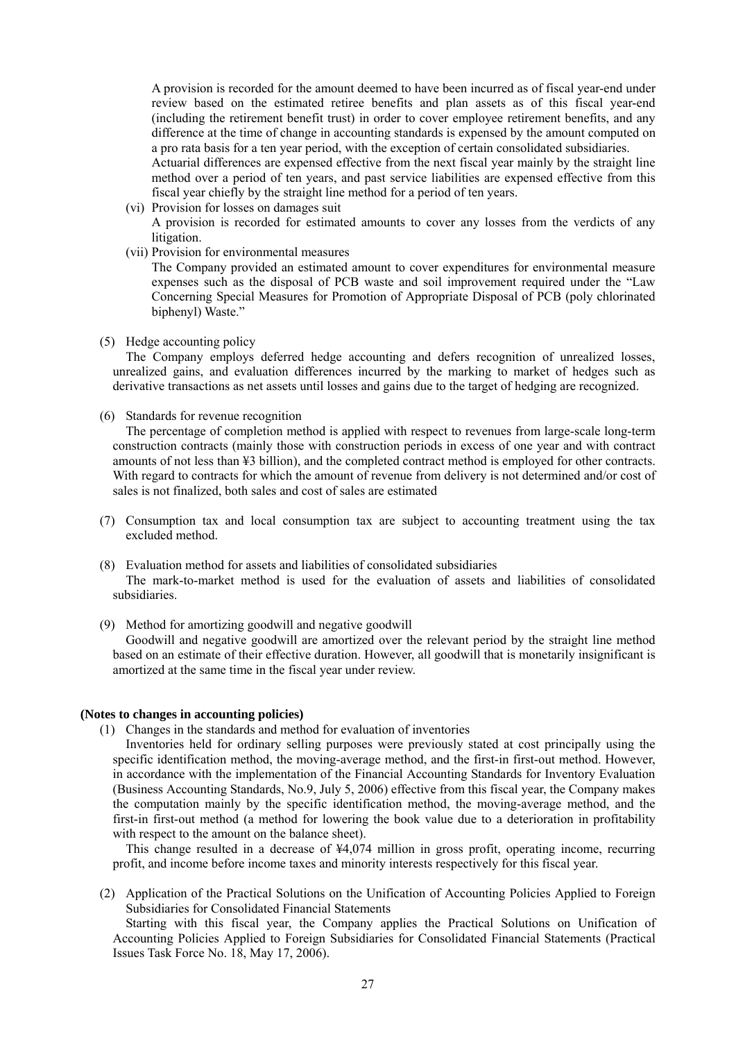A provision is recorded for the amount deemed to have been incurred as of fiscal year-end under review based on the estimated retiree benefits and plan assets as of this fiscal year-end (including the retirement benefit trust) in order to cover employee retirement benefits, and any difference at the time of change in accounting standards is expensed by the amount computed on a pro rata basis for a ten year period, with the exception of certain consolidated subsidiaries.

Actuarial differences are expensed effective from the next fiscal year mainly by the straight line method over a period of ten years, and past service liabilities are expensed effective from this fiscal year chiefly by the straight line method for a period of ten years.

- (vi) Provision for losses on damages suit A provision is recorded for estimated amounts to cover any losses from the verdicts of any litigation.
- (vii) Provision for environmental measures The Company provided an estimated amount to cover expenditures for environmental measure

expenses such as the disposal of PCB waste and soil improvement required under the "Law Concerning Special Measures for Promotion of Appropriate Disposal of PCB (poly chlorinated biphenyl) Waste."

(5) Hedge accounting policy

The Company employs deferred hedge accounting and defers recognition of unrealized losses, unrealized gains, and evaluation differences incurred by the marking to market of hedges such as derivative transactions as net assets until losses and gains due to the target of hedging are recognized.

(6) Standards for revenue recognition

The percentage of completion method is applied with respect to revenues from large-scale long-term construction contracts (mainly those with construction periods in excess of one year and with contract amounts of not less than ¥3 billion), and the completed contract method is employed for other contracts. With regard to contracts for which the amount of revenue from delivery is not determined and/or cost of sales is not finalized, both sales and cost of sales are estimated

- (7) Consumption tax and local consumption tax are subject to accounting treatment using the tax excluded method.
- (8) Evaluation method for assets and liabilities of consolidated subsidiaries The mark-to-market method is used for the evaluation of assets and liabilities of consolidated subsidiaries.
- (9) Method for amortizing goodwill and negative goodwill

Goodwill and negative goodwill are amortized over the relevant period by the straight line method based on an estimate of their effective duration. However, all goodwill that is monetarily insignificant is amortized at the same time in the fiscal year under review.

#### **(Notes to changes in accounting policies)**

(1) Changes in the standards and method for evaluation of inventories

Inventories held for ordinary selling purposes were previously stated at cost principally using the specific identification method, the moving-average method, and the first-in first-out method. However, in accordance with the implementation of the Financial Accounting Standards for Inventory Evaluation (Business Accounting Standards, No.9, July 5, 2006) effective from this fiscal year, the Company makes the computation mainly by the specific identification method, the moving-average method, and the first-in first-out method (a method for lowering the book value due to a deterioration in profitability with respect to the amount on the balance sheet).

This change resulted in a decrease of ¥4,074 million in gross profit, operating income, recurring profit, and income before income taxes and minority interests respectively for this fiscal year.

(2) Application of the Practical Solutions on the Unification of Accounting Policies Applied to Foreign Subsidiaries for Consolidated Financial Statements

Starting with this fiscal year, the Company applies the Practical Solutions on Unification of Accounting Policies Applied to Foreign Subsidiaries for Consolidated Financial Statements (Practical Issues Task Force No. 18, May 17, 2006).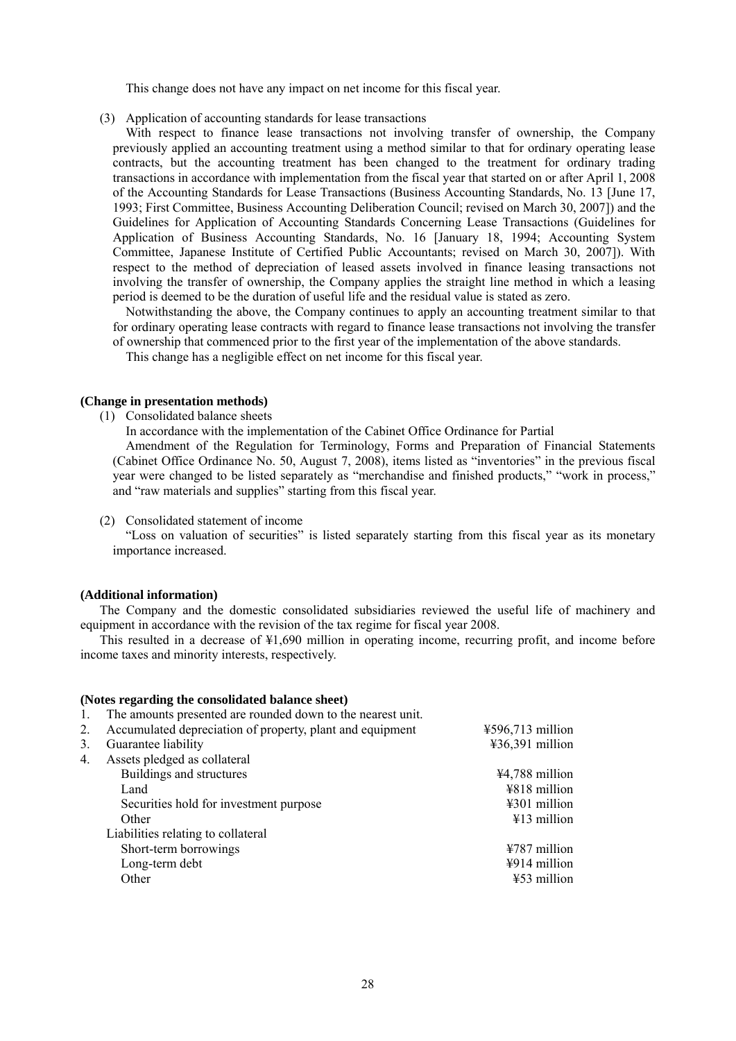This change does not have any impact on net income for this fiscal year.

(3) Application of accounting standards for lease transactions

With respect to finance lease transactions not involving transfer of ownership, the Company previously applied an accounting treatment using a method similar to that for ordinary operating lease contracts, but the accounting treatment has been changed to the treatment for ordinary trading transactions in accordance with implementation from the fiscal year that started on or after April 1, 2008 of the Accounting Standards for Lease Transactions (Business Accounting Standards, No. 13 [June 17, 1993; First Committee, Business Accounting Deliberation Council; revised on March 30, 2007]) and the Guidelines for Application of Accounting Standards Concerning Lease Transactions (Guidelines for Application of Business Accounting Standards, No. 16 [January 18, 1994; Accounting System Committee, Japanese Institute of Certified Public Accountants; revised on March 30, 2007]). With respect to the method of depreciation of leased assets involved in finance leasing transactions not involving the transfer of ownership, the Company applies the straight line method in which a leasing period is deemed to be the duration of useful life and the residual value is stated as zero.

Notwithstanding the above, the Company continues to apply an accounting treatment similar to that for ordinary operating lease contracts with regard to finance lease transactions not involving the transfer of ownership that commenced prior to the first year of the implementation of the above standards.

This change has a negligible effect on net income for this fiscal year.

#### **(Change in presentation methods)**

(1) Consolidated balance sheets

In accordance with the implementation of the Cabinet Office Ordinance for Partial

Amendment of the Regulation for Terminology, Forms and Preparation of Financial Statements (Cabinet Office Ordinance No. 50, August 7, 2008), items listed as "inventories" in the previous fiscal year were changed to be listed separately as "merchandise and finished products," "work in process," and "raw materials and supplies" starting from this fiscal year.

(2) Consolidated statement of income

**(Notes regarding the consolidated balance sheet)** 

"Loss on valuation of securities" is listed separately starting from this fiscal year as its monetary importance increased.

### **(Additional information)**

The Company and the domestic consolidated subsidiaries reviewed the useful life of machinery and equipment in accordance with the revision of the tax regime for fiscal year 2008.

This resulted in a decrease of ¥1,690 million in operating income, recurring profit, and income before income taxes and minority interests, respectively.

| 1. | The amounts presented are rounded down to the nearest unit. |                          |
|----|-------------------------------------------------------------|--------------------------|
| 2. | Accumulated depreciation of property, plant and equipment   | $4596,713$ million       |
| 3. | Guarantee liability                                         | $436,391$ million        |
| 4. | Assets pledged as collateral                                |                          |
|    | Buildings and structures                                    | ¥4,788 million           |
|    | Land                                                        | ¥818 million             |
|    | Securities hold for investment purpose                      | ¥301 million             |
|    | Other                                                       | $\text{\#}13$ million    |
|    | Liabilities relating to collateral                          |                          |
|    | Short-term borrowings                                       | $4787$ million           |
|    | Long-term debt                                              | $\frac{1}{2}914$ million |
|    | Other                                                       | $453$ million            |
|    |                                                             |                          |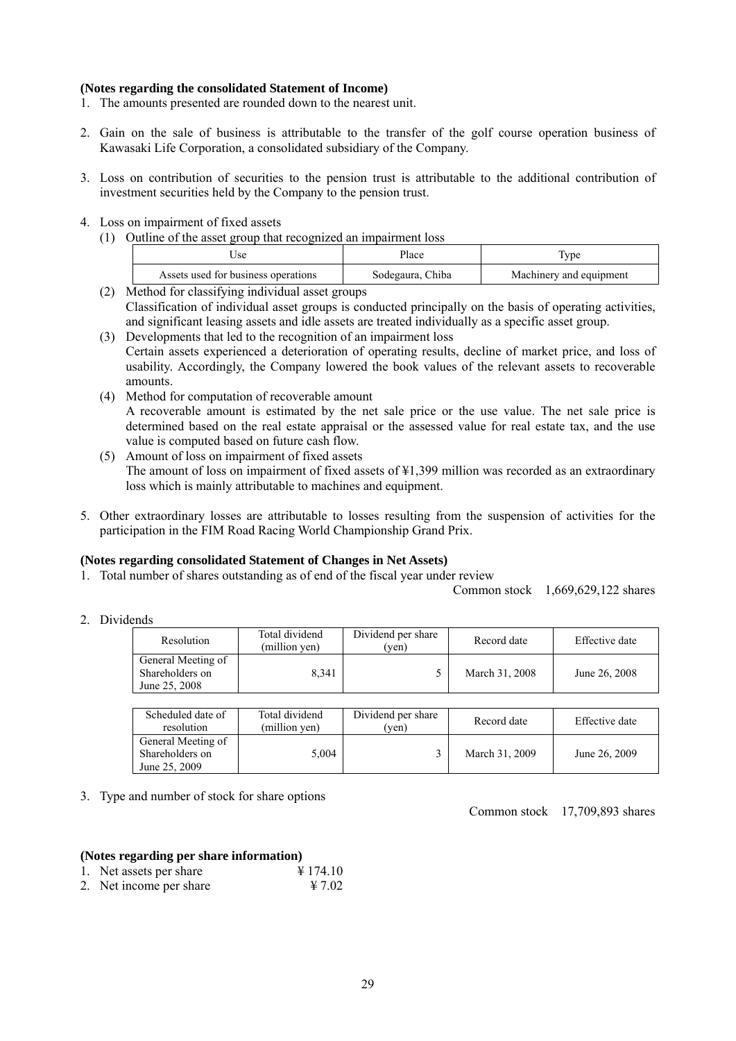### **(Notes regarding the consolidated Statement of Income)**

- 1. The amounts presented are rounded down to the nearest unit.
- 2. Gain on the sale of business is attributable to the transfer of the golf course operation business of Kawasaki Life Corporation, a consolidated subsidiary of the Company.
- 3. Loss on contribution of securities to the pension trust is attributable to the additional contribution of investment securities held by the Company to the pension trust.
- 4. Loss on impairment of fixed assets
	- (1) Outline of the asset group that recognized an impairment loss

| Jse                                 | Place            | t ype                   |
|-------------------------------------|------------------|-------------------------|
| Assets used for business operations | Sodegaura, Chiba | Machinery and equipment |

- (2) Method for classifying individual asset groups Classification of individual asset groups is conducted principally on the basis of operating activities, and significant leasing assets and idle assets are treated individually as a specific asset group.
- (3) Developments that led to the recognition of an impairment loss Certain assets experienced a deterioration of operating results, decline of market price, and loss of usability. Accordingly, the Company lowered the book values of the relevant assets to recoverable amounts.
- (4) Method for computation of recoverable amount A recoverable amount is estimated by the net sale price or the use value. The net sale price is determined based on the real estate appraisal or the assessed value for real estate tax, and the use value is computed based on future cash flow.
- (5) Amount of loss on impairment of fixed assets The amount of loss on impairment of fixed assets of ¥1,399 million was recorded as an extraordinary loss which is mainly attributable to machines and equipment.
- 5. Other extraordinary losses are attributable to losses resulting from the suspension of activities for the participation in the FIM Road Racing World Championship Grand Prix.

### **(Notes regarding consolidated Statement of Changes in Net Assets)**

1. Total number of shares outstanding as of end of the fiscal year under review

Common stock 1,669,629,122 shares

2. Dividends

| Resolution                                             | Total dividend<br>(million ven) | Dividend per share<br>'ven) | Record date    | Effective date |
|--------------------------------------------------------|---------------------------------|-----------------------------|----------------|----------------|
| General Meeting of<br>Shareholders on<br>June 25, 2008 | 8.341                           |                             | March 31, 2008 | June 26, 2008  |

| Scheduled date of<br>resolution                        | Total dividend<br>(million yen) | Dividend per share<br>ven) | Record date    | Effective date |
|--------------------------------------------------------|---------------------------------|----------------------------|----------------|----------------|
| General Meeting of<br>Shareholders on<br>June 25, 2009 | 5.004                           |                            | March 31, 2009 | June 26, 2009  |

3. Type and number of stock for share options

Common stock 17,709,893 shares

#### **(Notes regarding per share information)**

| 1. Net assets per share     | $\text{\textsterling} 174.10$ |
|-----------------------------|-------------------------------|
| $\sim$ $\sim$ $\sim$ $\sim$ | $\cdots$ $\sim$ $\sim$        |

2. Net income per share  $\frac{47.02}{ }$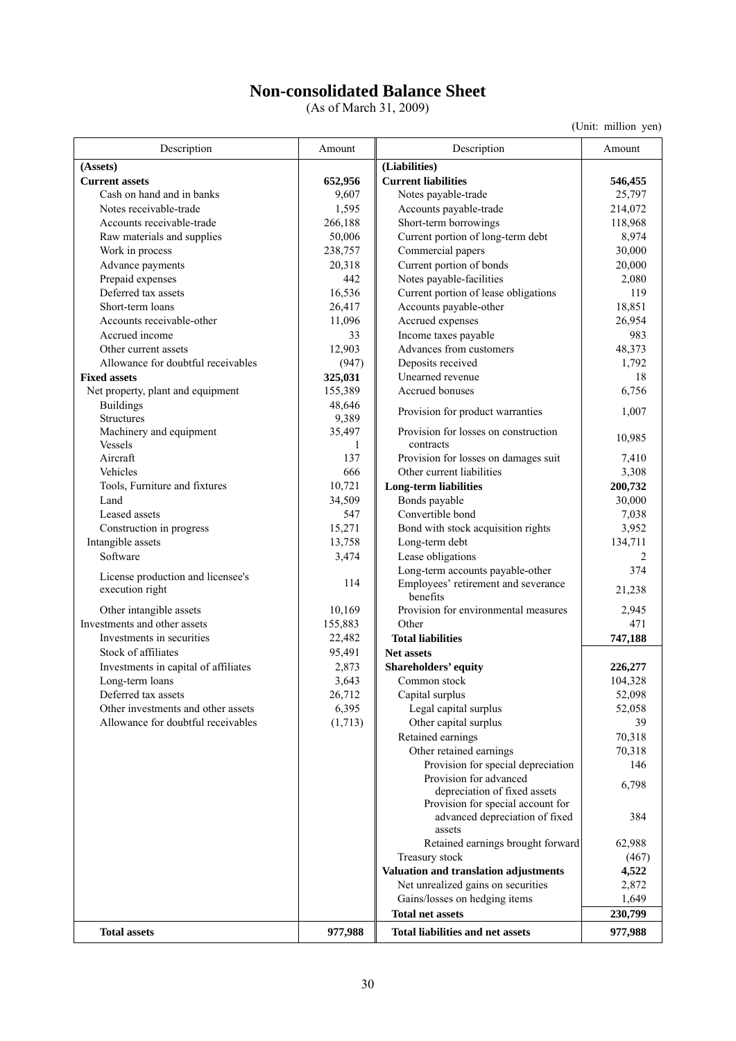## **Non-consolidated Balance Sheet**

(As of March 31, 2009)

| Description                               | Amount      | Description                                                                 | Amount         |
|-------------------------------------------|-------------|-----------------------------------------------------------------------------|----------------|
| (Assets)                                  |             | (Liabilities)                                                               |                |
| <b>Current assets</b>                     | 652,956     | <b>Current liabilities</b>                                                  | 546,455        |
| Cash on hand and in banks                 | 9,607       | Notes payable-trade                                                         | 25,797         |
| Notes receivable-trade                    | 1,595       | Accounts payable-trade                                                      | 214,072        |
| Accounts receivable-trade                 | 266,188     | Short-term borrowings                                                       | 118,968        |
| Raw materials and supplies                | 50,006      | Current portion of long-term debt                                           | 8,974          |
| Work in process                           | 238,757     | Commercial papers                                                           | 30,000         |
| Advance payments                          | 20,318      | Current portion of bonds                                                    | 20,000         |
| Prepaid expenses                          | 442         | Notes payable-facilities                                                    | 2,080          |
| Deferred tax assets                       | 16,536      | Current portion of lease obligations                                        | 119            |
| Short-term loans                          | 26,417      | Accounts payable-other                                                      | 18,851         |
| Accounts receivable-other                 | 11,096      | Accrued expenses                                                            | 26,954         |
| Accrued income                            | 33          | Income taxes payable                                                        | 983            |
| Other current assets                      | 12,903      | Advances from customers                                                     | 48,373         |
| Allowance for doubtful receivables        | (947)       | Deposits received                                                           | 1,792          |
| <b>Fixed assets</b>                       | 325,031     | Unearned revenue                                                            | 18             |
| Net property, plant and equipment         | 155,389     | Accrued bonuses                                                             | 6,756          |
| <b>Buildings</b>                          | 48,646      | Provision for product warranties                                            | 1,007          |
| <b>Structures</b>                         | 9,389       |                                                                             |                |
| Machinery and equipment<br><b>Vessels</b> | 35,497<br>1 | Provision for losses on construction<br>contracts                           | 10,985         |
| Aircraft                                  | 137         | Provision for losses on damages suit                                        | 7,410          |
| Vehicles                                  | 666         | Other current liabilities                                                   | 3,308          |
| Tools, Furniture and fixtures             | 10,721      | <b>Long-term liabilities</b>                                                | 200,732        |
| Land                                      | 34,509      | Bonds payable                                                               | 30,000         |
| Leased assets                             | 547         | Convertible bond                                                            | 7,038          |
| Construction in progress                  | 15,271      | Bond with stock acquisition rights                                          | 3,952          |
| Intangible assets                         | 13,758      | Long-term debt                                                              | 134,711        |
| Software                                  | 3,474       | Lease obligations                                                           | 2              |
| License production and licensee's         |             | Long-term accounts payable-other                                            | 374            |
| execution right                           | 114         | Employees' retirement and severance<br>benefits                             | 21,238         |
| Other intangible assets                   | 10,169      | Provision for environmental measures                                        | 2,945          |
| Investments and other assets              | 155,883     | Other                                                                       | 471            |
| Investments in securities                 | 22,482      | <b>Total liabilities</b>                                                    | 747,188        |
| Stock of affiliates                       | 95,491      | <b>Net assets</b>                                                           |                |
| Investments in capital of affiliates      | 2,873       | Shareholders' equity                                                        | 226,277        |
| Long-term loans                           | 3,643       | Common stock                                                                | 104,328        |
| Deferred tax assets                       | 26,712      | Capital surplus                                                             | 52,098         |
| Other investments and other assets        | 6,395       | Legal capital surplus                                                       | 52,058         |
| Allowance for doubtful receivables        | (1,713)     | Other capital surplus                                                       | 39             |
|                                           |             | Retained earnings                                                           | 70,318         |
|                                           |             | Other retained earnings                                                     | 70,318         |
|                                           |             | Provision for special depreciation                                          | 146            |
|                                           |             | Provision for advanced<br>depreciation of fixed assets                      | 6,798          |
|                                           |             | Provision for special account for<br>advanced depreciation of fixed         | 384            |
|                                           |             | assets<br>Retained earnings brought forward                                 | 62,988         |
|                                           |             |                                                                             |                |
|                                           |             | Treasury stock                                                              | (467)          |
|                                           |             | Valuation and translation adjustments<br>Net unrealized gains on securities | 4,522<br>2,872 |
|                                           |             | Gains/losses on hedging items                                               | 1,649          |
|                                           |             | <b>Total net assets</b>                                                     | 230,799        |
|                                           |             |                                                                             |                |
| <b>Total assets</b>                       | 977,988     | <b>Total liabilities and net assets</b>                                     | 977,988        |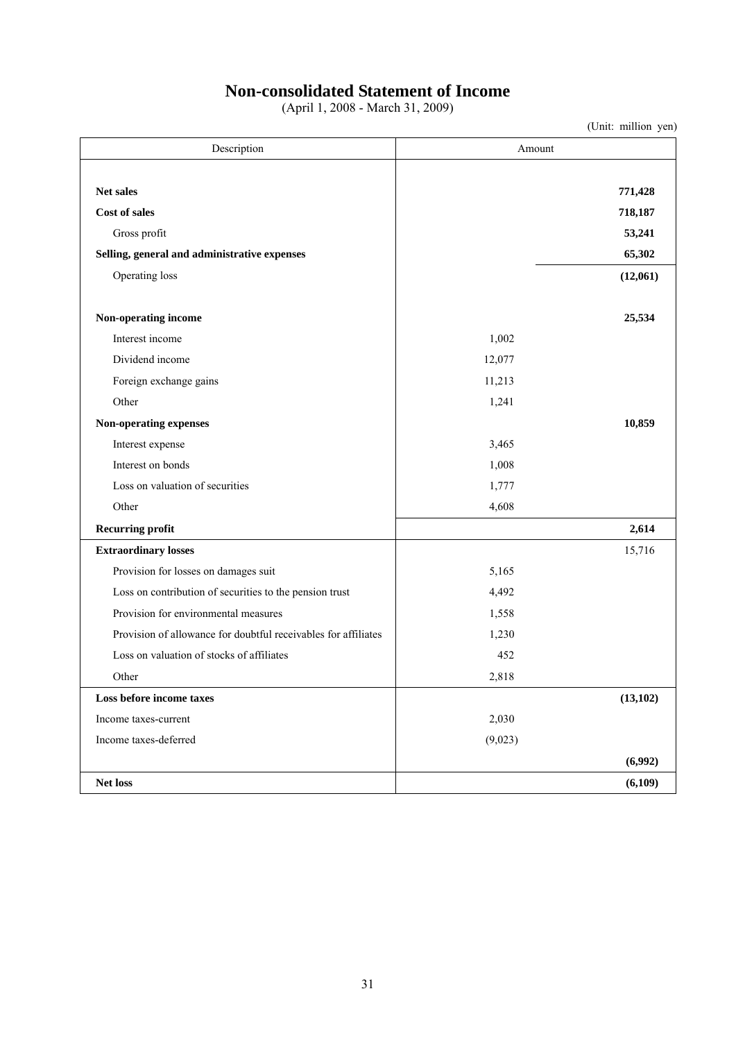## **Non-consolidated Statement of Income**

(April 1, 2008 - March 31, 2009)

| Description                                                    | Amount  |           |  |  |
|----------------------------------------------------------------|---------|-----------|--|--|
|                                                                |         |           |  |  |
| Net sales                                                      |         | 771,428   |  |  |
| Cost of sales                                                  |         | 718,187   |  |  |
| Gross profit                                                   |         | 53,241    |  |  |
| Selling, general and administrative expenses                   |         | 65,302    |  |  |
| Operating loss                                                 |         | (12,061)  |  |  |
|                                                                |         |           |  |  |
| Non-operating income                                           |         | 25,534    |  |  |
| Interest income                                                | 1,002   |           |  |  |
| Dividend income                                                | 12,077  |           |  |  |
| Foreign exchange gains                                         | 11,213  |           |  |  |
| Other                                                          | 1,241   |           |  |  |
| Non-operating expenses                                         |         | 10,859    |  |  |
| Interest expense                                               | 3,465   |           |  |  |
| Interest on bonds                                              | 1,008   |           |  |  |
| Loss on valuation of securities                                | 1,777   |           |  |  |
| Other                                                          | 4,608   |           |  |  |
| <b>Recurring profit</b>                                        |         | 2,614     |  |  |
| <b>Extraordinary losses</b>                                    |         | 15,716    |  |  |
| Provision for losses on damages suit                           | 5,165   |           |  |  |
| Loss on contribution of securities to the pension trust        | 4,492   |           |  |  |
| Provision for environmental measures                           | 1,558   |           |  |  |
| Provision of allowance for doubtful receivables for affiliates | 1,230   |           |  |  |
| Loss on valuation of stocks of affiliates                      | 452     |           |  |  |
| Other                                                          | 2,818   |           |  |  |
| Loss before income taxes                                       |         | (13, 102) |  |  |
| Income taxes-current                                           | 2,030   |           |  |  |
| Income taxes-deferred                                          | (9,023) |           |  |  |
|                                                                |         | (6,992)   |  |  |
| Net loss                                                       |         | (6,109)   |  |  |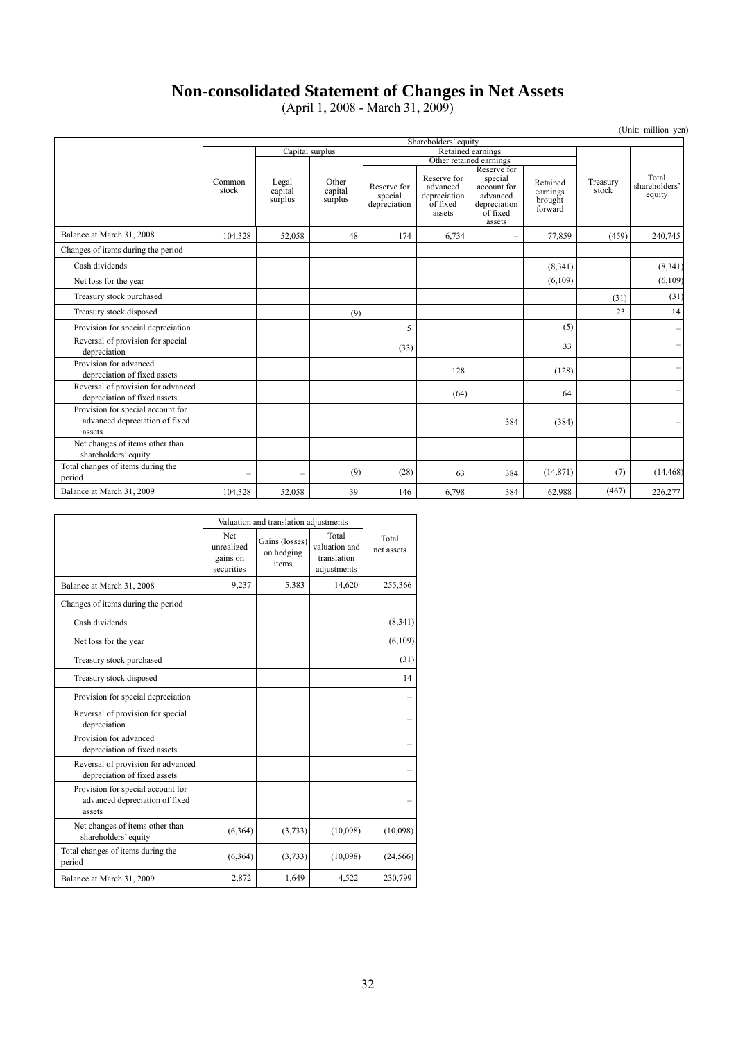## **Non-consolidated Statement of Changes in Net Assets**

(April 1, 2008 - March 31, 2009)

|                                                                               | Shareholders' equity |                             |                             |                                        |                                                               |                                                                                         |                                            |                   |                                  |
|-------------------------------------------------------------------------------|----------------------|-----------------------------|-----------------------------|----------------------------------------|---------------------------------------------------------------|-----------------------------------------------------------------------------------------|--------------------------------------------|-------------------|----------------------------------|
|                                                                               |                      | Capital surplus             |                             | Retained earnings                      |                                                               |                                                                                         |                                            |                   |                                  |
|                                                                               |                      |                             |                             |                                        | Other retained earnings                                       |                                                                                         |                                            |                   |                                  |
|                                                                               | Common<br>stock      | Legal<br>capital<br>surplus | Other<br>capital<br>surplus | Reserve for<br>special<br>depreciation | Reserve for<br>advanced<br>depreciation<br>of fixed<br>assets | Reserve for<br>special<br>account for<br>advanced<br>depreciation<br>of fixed<br>assets | Retained<br>earnings<br>brought<br>forward | Treasury<br>stock | Total<br>shareholders'<br>equity |
| Balance at March 31, 2008                                                     | 104,328              | 52,058                      | 48                          | 174                                    | 6,734                                                         | $\equiv$                                                                                | 77,859                                     | (459)             | 240,745                          |
| Changes of items during the period                                            |                      |                             |                             |                                        |                                                               |                                                                                         |                                            |                   |                                  |
| Cash dividends                                                                |                      |                             |                             |                                        |                                                               |                                                                                         | (8,341)                                    |                   | (8, 341)                         |
| Net loss for the year                                                         |                      |                             |                             |                                        |                                                               |                                                                                         | (6,109)                                    |                   | (6, 109)                         |
| Treasury stock purchased                                                      |                      |                             |                             |                                        |                                                               |                                                                                         |                                            | (31)              | (31)                             |
| Treasury stock disposed                                                       |                      |                             | (9)                         |                                        |                                                               |                                                                                         |                                            | 23                | 14                               |
| Provision for special depreciation                                            |                      |                             |                             | 5                                      |                                                               |                                                                                         | (5)                                        |                   |                                  |
| Reversal of provision for special<br>depreciation                             |                      |                             |                             | (33)                                   |                                                               |                                                                                         | 33                                         |                   |                                  |
| Provision for advanced<br>depreciation of fixed assets                        |                      |                             |                             |                                        | 128                                                           |                                                                                         | (128)                                      |                   |                                  |
| Reversal of provision for advanced<br>depreciation of fixed assets            |                      |                             |                             |                                        | (64)                                                          |                                                                                         | 64                                         |                   |                                  |
| Provision for special account for<br>advanced depreciation of fixed<br>assets |                      |                             |                             |                                        |                                                               | 384                                                                                     | (384)                                      |                   |                                  |
| Net changes of items other than<br>shareholders' equity                       |                      |                             |                             |                                        |                                                               |                                                                                         |                                            |                   |                                  |
| Total changes of items during the<br>period                                   |                      | -                           | (9)                         | (28)                                   | 63                                                            | 384                                                                                     | (14, 871)                                  | (7)               | (14, 468)                        |
| Balance at March 31, 2009                                                     | 104,328              | 52.058                      | 39                          | 146                                    | 6.798                                                         | 384                                                                                     | 62,988                                     | (467)             | 226,277                          |

|                                                                               |                                                    | Valuation and translation adjustments |                                                      |                     |
|-------------------------------------------------------------------------------|----------------------------------------------------|---------------------------------------|------------------------------------------------------|---------------------|
|                                                                               | <b>Net</b><br>unrealized<br>gains on<br>securities | Gains (losses)<br>on hedging<br>items | Total<br>valuation and<br>translation<br>adjustments | Total<br>net assets |
| Balance at March 31, 2008                                                     | 9,237                                              | 5,383                                 | 14,620                                               | 255,366             |
| Changes of items during the period                                            |                                                    |                                       |                                                      |                     |
| Cash dividends                                                                |                                                    |                                       |                                                      | (8,341)             |
| Net loss for the year                                                         |                                                    |                                       |                                                      | (6,109)             |
| Treasury stock purchased                                                      |                                                    |                                       |                                                      | (31)                |
| Treasury stock disposed                                                       |                                                    |                                       |                                                      | 14                  |
| Provision for special depreciation                                            |                                                    |                                       |                                                      |                     |
| Reversal of provision for special<br>depreciation                             |                                                    |                                       |                                                      |                     |
| Provision for advanced<br>depreciation of fixed assets                        |                                                    |                                       |                                                      |                     |
| Reversal of provision for advanced<br>depreciation of fixed assets            |                                                    |                                       |                                                      |                     |
| Provision for special account for<br>advanced depreciation of fixed<br>assets |                                                    |                                       |                                                      |                     |
| Net changes of items other than<br>shareholders' equity                       | (6,364)                                            | (3,733)                               | (10,098)                                             | (10,098)            |
| Total changes of items during the<br>period                                   | (6,364)                                            | (3,733)                               | (10,098)                                             | (24, 566)           |
| Balance at March 31, 2009                                                     | 2,872                                              | 1,649                                 | 4,522                                                | 230,799             |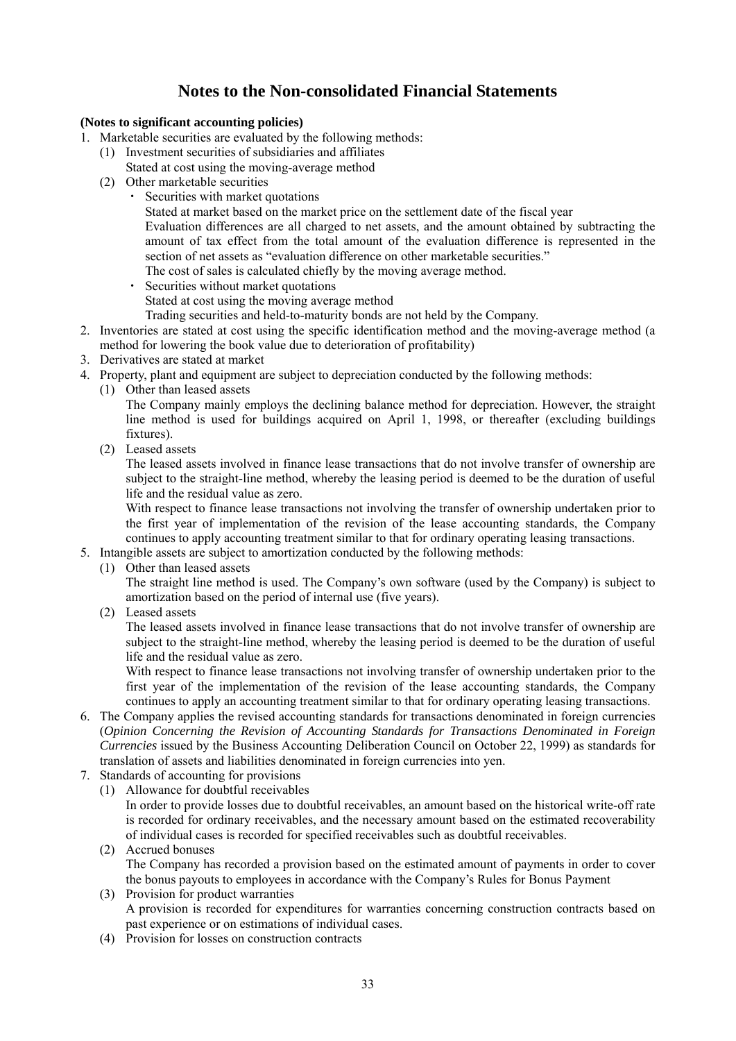## **Notes to the Non-consolidated Financial Statements**

## **(Notes to significant accounting policies)**

- 1. Marketable securities are evaluated by the following methods:
	- (1) Investment securities of subsidiaries and affiliates
	- Stated at cost using the moving-average method
	- (2) Other marketable securities Securities with market quotations
		- Stated at market based on the market price on the settlement date of the fiscal year

Evaluation differences are all charged to net assets, and the amount obtained by subtracting the amount of tax effect from the total amount of the evaluation difference is represented in the section of net assets as "evaluation difference on other marketable securities."

The cost of sales is calculated chiefly by the moving average method.

・ Securities without market quotations

Stated at cost using the moving average method

- Trading securities and held-to-maturity bonds are not held by the Company.
- 2. Inventories are stated at cost using the specific identification method and the moving-average method (a method for lowering the book value due to deterioration of profitability)
- 3. Derivatives are stated at market
- 4. Property, plant and equipment are subject to depreciation conducted by the following methods:
	- (1) Other than leased assets

The Company mainly employs the declining balance method for depreciation. However, the straight line method is used for buildings acquired on April 1, 1998, or thereafter (excluding buildings fixtures).

(2) Leased assets

The leased assets involved in finance lease transactions that do not involve transfer of ownership are subject to the straight-line method, whereby the leasing period is deemed to be the duration of useful life and the residual value as zero.

With respect to finance lease transactions not involving the transfer of ownership undertaken prior to the first year of implementation of the revision of the lease accounting standards, the Company continues to apply accounting treatment similar to that for ordinary operating leasing transactions.

- 5. Intangible assets are subject to amortization conducted by the following methods:
	- (1) Other than leased assets

The straight line method is used. The Company's own software (used by the Company) is subject to amortization based on the period of internal use (five years).

(2) Leased assets

The leased assets involved in finance lease transactions that do not involve transfer of ownership are subject to the straight-line method, whereby the leasing period is deemed to be the duration of useful life and the residual value as zero.

With respect to finance lease transactions not involving transfer of ownership undertaken prior to the first year of the implementation of the revision of the lease accounting standards, the Company continues to apply an accounting treatment similar to that for ordinary operating leasing transactions.

- 6. The Company applies the revised accounting standards for transactions denominated in foreign currencies (*Opinion Concerning the Revision of Accounting Standards for Transactions Denominated in Foreign Currencies* issued by the Business Accounting Deliberation Council on October 22, 1999) as standards for translation of assets and liabilities denominated in foreign currencies into yen.
- 7. Standards of accounting for provisions
	- (1) Allowance for doubtful receivables

In order to provide losses due to doubtful receivables, an amount based on the historical write-off rate is recorded for ordinary receivables, and the necessary amount based on the estimated recoverability of individual cases is recorded for specified receivables such as doubtful receivables.

- (2) Accrued bonuses The Company has recorded a provision based on the estimated amount of payments in order to cover the bonus payouts to employees in accordance with the Company's Rules for Bonus Payment
- (3) Provision for product warranties A provision is recorded for expenditures for warranties concerning construction contracts based on past experience or on estimations of individual cases.
- (4) Provision for losses on construction contracts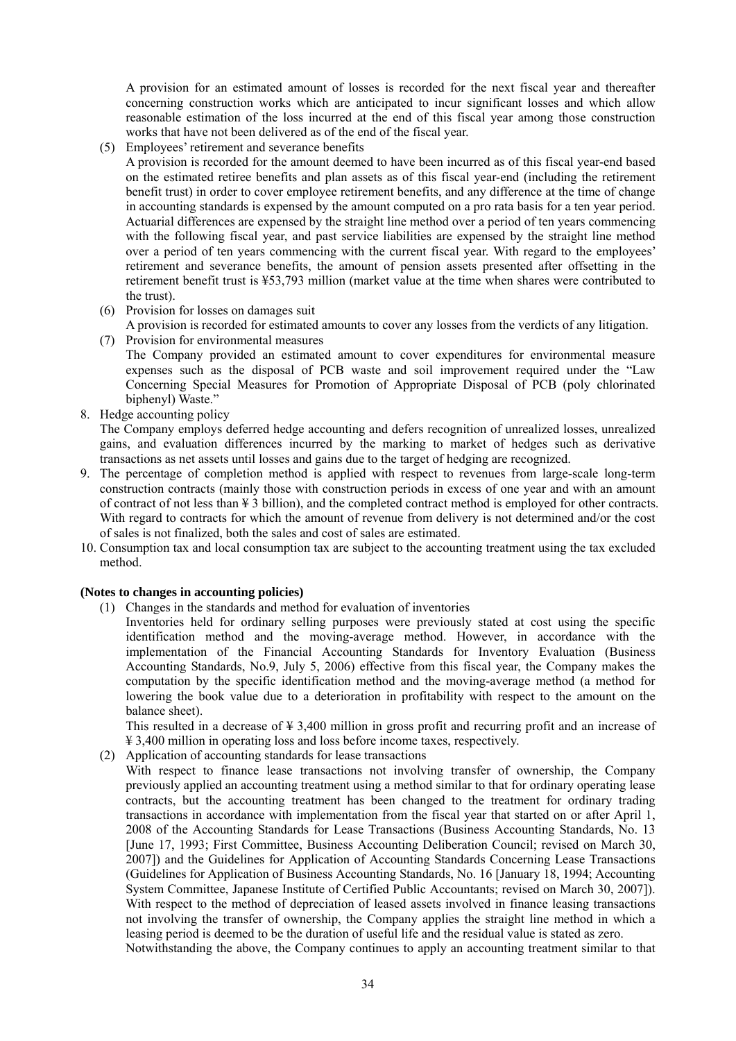A provision for an estimated amount of losses is recorded for the next fiscal year and thereafter concerning construction works which are anticipated to incur significant losses and which allow reasonable estimation of the loss incurred at the end of this fiscal year among those construction works that have not been delivered as of the end of the fiscal year.

(5) Employees' retirement and severance benefits

A provision is recorded for the amount deemed to have been incurred as of this fiscal year-end based on the estimated retiree benefits and plan assets as of this fiscal year-end (including the retirement benefit trust) in order to cover employee retirement benefits, and any difference at the time of change in accounting standards is expensed by the amount computed on a pro rata basis for a ten year period. Actuarial differences are expensed by the straight line method over a period of ten years commencing with the following fiscal year, and past service liabilities are expensed by the straight line method over a period of ten years commencing with the current fiscal year. With regard to the employees' retirement and severance benefits, the amount of pension assets presented after offsetting in the retirement benefit trust is ¥53,793 million (market value at the time when shares were contributed to the trust).

- (6) Provision for losses on damages suit
- A provision is recorded for estimated amounts to cover any losses from the verdicts of any litigation.
- (7) Provision for environmental measures The Company provided an estimated amount to cover expenditures for environmental measure expenses such as the disposal of PCB waste and soil improvement required under the "Law Concerning Special Measures for Promotion of Appropriate Disposal of PCB (poly chlorinated biphenyl) Waste."
- 8. Hedge accounting policy

The Company employs deferred hedge accounting and defers recognition of unrealized losses, unrealized gains, and evaluation differences incurred by the marking to market of hedges such as derivative transactions as net assets until losses and gains due to the target of hedging are recognized.

- 9. The percentage of completion method is applied with respect to revenues from large-scale long-term construction contracts (mainly those with construction periods in excess of one year and with an amount of contract of not less than ¥ 3 billion), and the completed contract method is employed for other contracts. With regard to contracts for which the amount of revenue from delivery is not determined and/or the cost of sales is not finalized, both the sales and cost of sales are estimated.
- 10. Consumption tax and local consumption tax are subject to the accounting treatment using the tax excluded method.

#### **(Notes to changes in accounting policies)**

- (1) Changes in the standards and method for evaluation of inventories
	- Inventories held for ordinary selling purposes were previously stated at cost using the specific identification method and the moving-average method. However, in accordance with the implementation of the Financial Accounting Standards for Inventory Evaluation (Business Accounting Standards, No.9, July 5, 2006) effective from this fiscal year, the Company makes the computation by the specific identification method and the moving-average method (a method for lowering the book value due to a deterioration in profitability with respect to the amount on the balance sheet).

This resulted in a decrease of ¥ 3,400 million in gross profit and recurring profit and an increase of ¥ 3,400 million in operating loss and loss before income taxes, respectively.

(2) Application of accounting standards for lease transactions

With respect to finance lease transactions not involving transfer of ownership, the Company previously applied an accounting treatment using a method similar to that for ordinary operating lease contracts, but the accounting treatment has been changed to the treatment for ordinary trading transactions in accordance with implementation from the fiscal year that started on or after April 1, 2008 of the Accounting Standards for Lease Transactions (Business Accounting Standards, No. 13 [June 17, 1993; First Committee, Business Accounting Deliberation Council; revised on March 30, 2007]) and the Guidelines for Application of Accounting Standards Concerning Lease Transactions (Guidelines for Application of Business Accounting Standards, No. 16 [January 18, 1994; Accounting System Committee, Japanese Institute of Certified Public Accountants; revised on March 30, 2007]). With respect to the method of depreciation of leased assets involved in finance leasing transactions not involving the transfer of ownership, the Company applies the straight line method in which a leasing period is deemed to be the duration of useful life and the residual value is stated as zero. Notwithstanding the above, the Company continues to apply an accounting treatment similar to that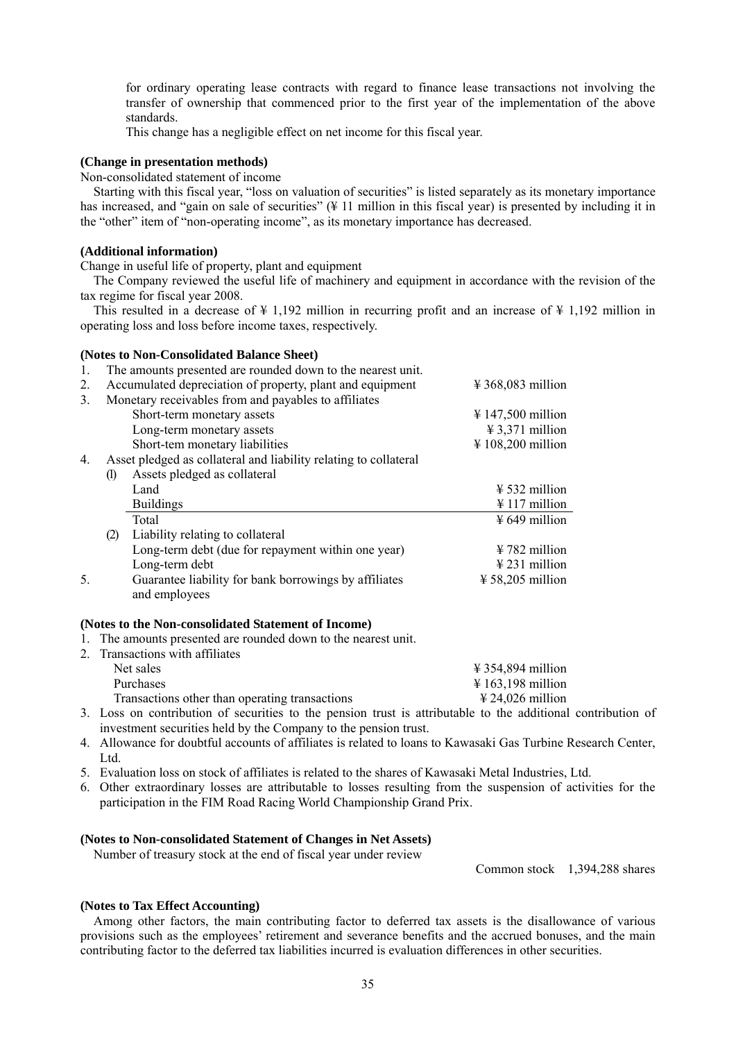for ordinary operating lease contracts with regard to finance lease transactions not involving the transfer of ownership that commenced prior to the first year of the implementation of the above standards.

This change has a negligible effect on net income for this fiscal year.

#### **(Change in presentation methods)**

Non-consolidated statement of income

Starting with this fiscal year, "loss on valuation of securities" is listed separately as its monetary importance has increased, and "gain on sale of securities" (¥ 11 million in this fiscal year) is presented by including it in the "other" item of "non-operating income", as its monetary importance has decreased.

#### **(Additional information)**

Change in useful life of property, plant and equipment

The Company reviewed the useful life of machinery and equipment in accordance with the revision of the tax regime for fiscal year 2008.

This resulted in a decrease of  $\frac{1}{4}$  1,192 million in recurring profit and an increase of  $\frac{1}{4}$  1,192 million in operating loss and loss before income taxes, respectively.

#### **(Notes to Non-Consolidated Balance Sheet)**

| 1. |                            | The amounts presented are rounded down to the nearest unit.      |                                        |
|----|----------------------------|------------------------------------------------------------------|----------------------------------------|
| 2. |                            | Accumulated depreciation of property, plant and equipment        | $\text{\textsterling} 368,083$ million |
| 3. |                            | Monetary receivables from and payables to affiliates             |                                        |
|    |                            | Short-term monetary assets                                       | $\frac{1}{2}$ 147,500 million          |
|    |                            | Long-term monetary assets                                        | $\text{\#}3,371$ million               |
|    |                            | Short-tem monetary liabilities                                   | $\text{\textsterling} 108,200$ million |
| 4. |                            | Asset pledged as collateral and liability relating to collateral |                                        |
|    | $\left( \mathbf{I}\right)$ | Assets pledged as collateral                                     |                                        |
|    |                            | Land                                                             | $\frac{1}{2}$ 532 million              |
|    |                            | <b>Buildings</b>                                                 | $\frac{1}{2}$ 117 million              |
|    |                            | Total                                                            | $\frac{1}{2}$ 649 million              |
|    | (2)                        | Liability relating to collateral                                 |                                        |
|    |                            | Long-term debt (due for repayment within one year)               | $\frac{1}{2}$ 782 million              |
|    |                            | Long-term debt                                                   | $\text{\#}231$ million                 |
| 5. |                            | Guarantee liability for bank borrowings by affiliates            | $\frac{1}{2}$ 58,205 million           |
|    |                            | and employees                                                    |                                        |

#### **(Notes to the Non-consolidated Statement of Income)**

- 1. The amounts presented are rounded down to the nearest unit.
- 2. Transactions with affiliates

| Net sales                                                                                                       | $\frac{1}{2}$ 354,894 million          |
|-----------------------------------------------------------------------------------------------------------------|----------------------------------------|
| Purchases                                                                                                       | $\text{\textsterling} 163,198$ million |
| Transactions other than operating transactions                                                                  | $\text{\textsterling} 24,026$ million  |
| rent and the contract of the contract and the contract of the contract of the contract of the contract of the c |                                        |

- 3. Loss on contribution of securities to the pension trust is attributable to the additional contribution of investment securities held by the Company to the pension trust.
- 4. Allowance for doubtful accounts of affiliates is related to loans to Kawasaki Gas Turbine Research Center, Ltd.
- 5. Evaluation loss on stock of affiliates is related to the shares of Kawasaki Metal Industries, Ltd.
- 6. Other extraordinary losses are attributable to losses resulting from the suspension of activities for the participation in the FIM Road Racing World Championship Grand Prix.

#### **(Notes to Non-consolidated Statement of Changes in Net Assets)**

Number of treasury stock at the end of fiscal year under review

Common stock 1,394,288 shares

#### **(Notes to Tax Effect Accounting)**

Among other factors, the main contributing factor to deferred tax assets is the disallowance of various provisions such as the employees' retirement and severance benefits and the accrued bonuses, and the main contributing factor to the deferred tax liabilities incurred is evaluation differences in other securities.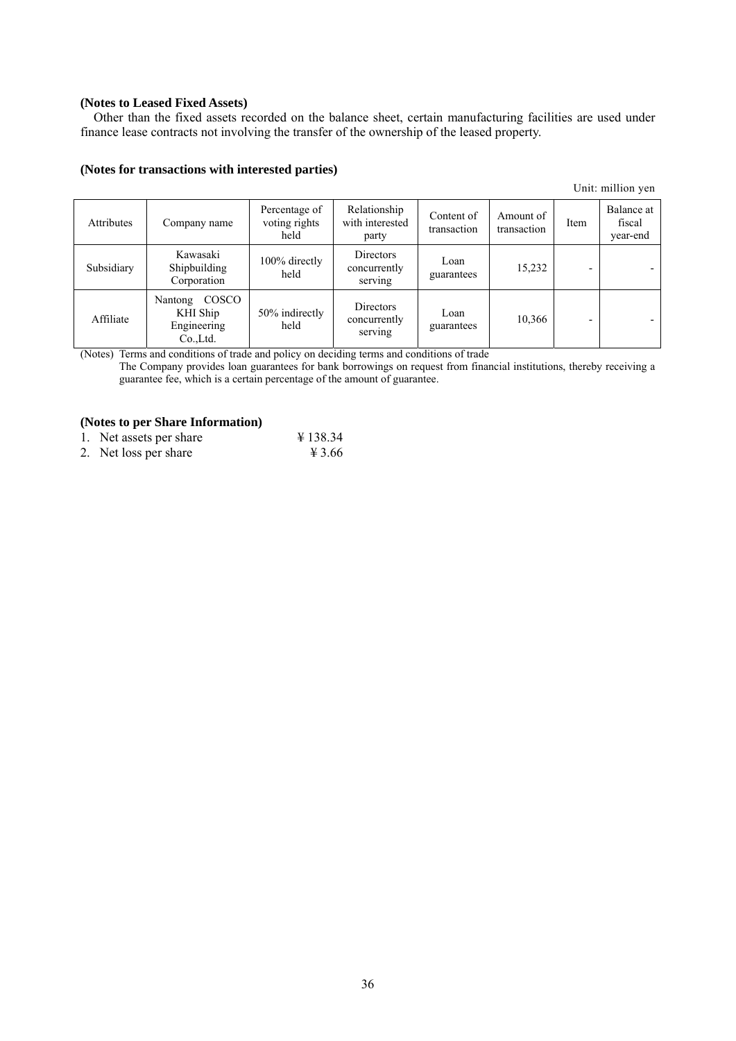## **(Notes to Leased Fixed Assets)**

Other than the fixed assets recorded on the balance sheet, certain manufacturing facilities are used under finance lease contracts not involving the transfer of the ownership of the leased property.

### **(Notes for transactions with interested parties)**

Unit: million yen

| <b>Attributes</b> | Company name                                             | Percentage of<br>voting rights<br>held | Relationship<br>with interested<br>party | Content of<br>transaction | Amount of<br>transaction | Item | Balance at<br>fiscal<br>year-end |
|-------------------|----------------------------------------------------------|----------------------------------------|------------------------------------------|---------------------------|--------------------------|------|----------------------------------|
| Subsidiary        | Kawasaki<br>Shipbuilding<br>Corporation                  | 100% directly<br>held                  | Directors<br>concurrently<br>serving     | Loan<br>guarantees        | 15,232                   |      |                                  |
| Affiliate         | COSCO<br>Nantong<br>KHI Ship<br>Engineering<br>Co., Ltd. | 50% indirectly<br>held                 | Directors<br>concurrently<br>serving     | Loan<br>guarantees        | 10,366                   | -    |                                  |

(Notes) Terms and conditions of trade and policy on deciding terms and conditions of trade

The Company provides loan guarantees for bank borrowings on request from financial institutions, thereby receiving a guarantee fee, which is a certain percentage of the amount of guarantee.

## **(Notes to per Share Information)**

| 1. Net assets per share | ¥ 138.34 |
|-------------------------|----------|
|                         |          |

2. Net loss per share  $\frac{4}{3.66}$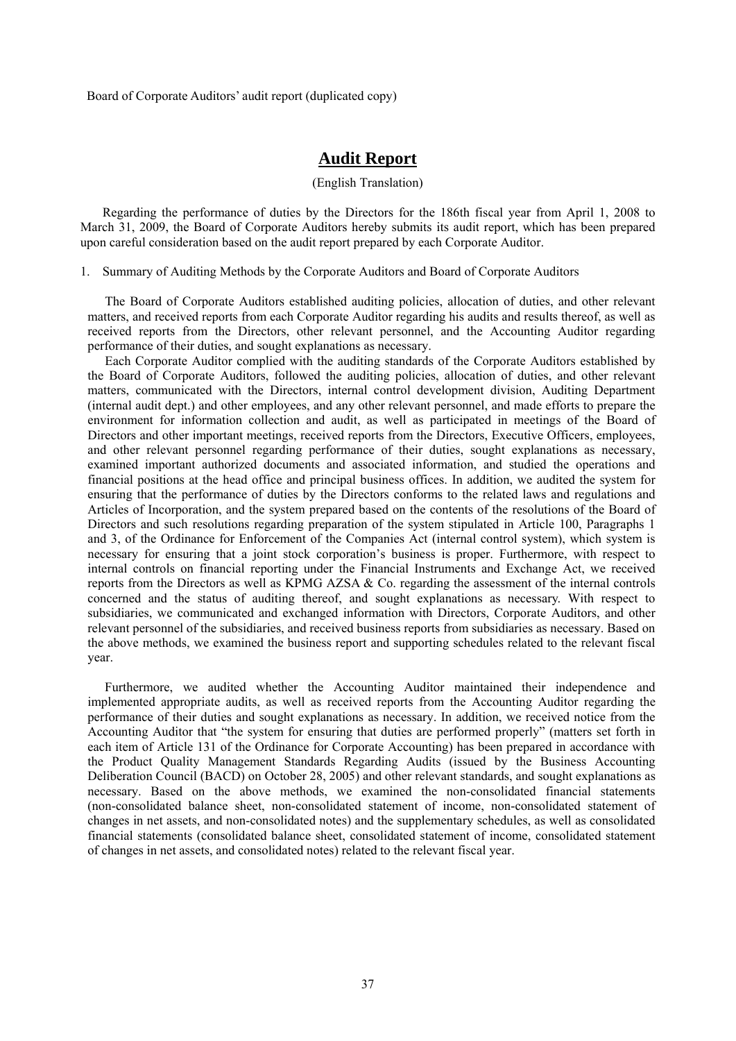Board of Corporate Auditors' audit report (duplicated copy)

## **Audit Report**

#### (English Translation)

Regarding the performance of duties by the Directors for the 186th fiscal year from April 1, 2008 to March 31, 2009, the Board of Corporate Auditors hereby submits its audit report, which has been prepared upon careful consideration based on the audit report prepared by each Corporate Auditor.

1. Summary of Auditing Methods by the Corporate Auditors and Board of Corporate Auditors

The Board of Corporate Auditors established auditing policies, allocation of duties, and other relevant matters, and received reports from each Corporate Auditor regarding his audits and results thereof, as well as received reports from the Directors, other relevant personnel, and the Accounting Auditor regarding performance of their duties, and sought explanations as necessary.

Each Corporate Auditor complied with the auditing standards of the Corporate Auditors established by the Board of Corporate Auditors, followed the auditing policies, allocation of duties, and other relevant matters, communicated with the Directors, internal control development division, Auditing Department (internal audit dept.) and other employees, and any other relevant personnel, and made efforts to prepare the environment for information collection and audit, as well as participated in meetings of the Board of Directors and other important meetings, received reports from the Directors, Executive Officers, employees, and other relevant personnel regarding performance of their duties, sought explanations as necessary, examined important authorized documents and associated information, and studied the operations and financial positions at the head office and principal business offices. In addition, we audited the system for ensuring that the performance of duties by the Directors conforms to the related laws and regulations and Articles of Incorporation, and the system prepared based on the contents of the resolutions of the Board of Directors and such resolutions regarding preparation of the system stipulated in Article 100, Paragraphs 1 and 3, of the Ordinance for Enforcement of the Companies Act (internal control system), which system is necessary for ensuring that a joint stock corporation's business is proper. Furthermore, with respect to internal controls on financial reporting under the Financial Instruments and Exchange Act, we received reports from the Directors as well as KPMG AZSA & Co. regarding the assessment of the internal controls concerned and the status of auditing thereof, and sought explanations as necessary. With respect to subsidiaries, we communicated and exchanged information with Directors, Corporate Auditors, and other relevant personnel of the subsidiaries, and received business reports from subsidiaries as necessary. Based on the above methods, we examined the business report and supporting schedules related to the relevant fiscal year.

Furthermore, we audited whether the Accounting Auditor maintained their independence and implemented appropriate audits, as well as received reports from the Accounting Auditor regarding the performance of their duties and sought explanations as necessary. In addition, we received notice from the Accounting Auditor that "the system for ensuring that duties are performed properly" (matters set forth in each item of Article 131 of the Ordinance for Corporate Accounting) has been prepared in accordance with the Product Quality Management Standards Regarding Audits (issued by the Business Accounting Deliberation Council (BACD) on October 28, 2005) and other relevant standards, and sought explanations as necessary. Based on the above methods, we examined the non-consolidated financial statements (non-consolidated balance sheet, non-consolidated statement of income, non-consolidated statement of changes in net assets, and non-consolidated notes) and the supplementary schedules, as well as consolidated financial statements (consolidated balance sheet, consolidated statement of income, consolidated statement of changes in net assets, and consolidated notes) related to the relevant fiscal year.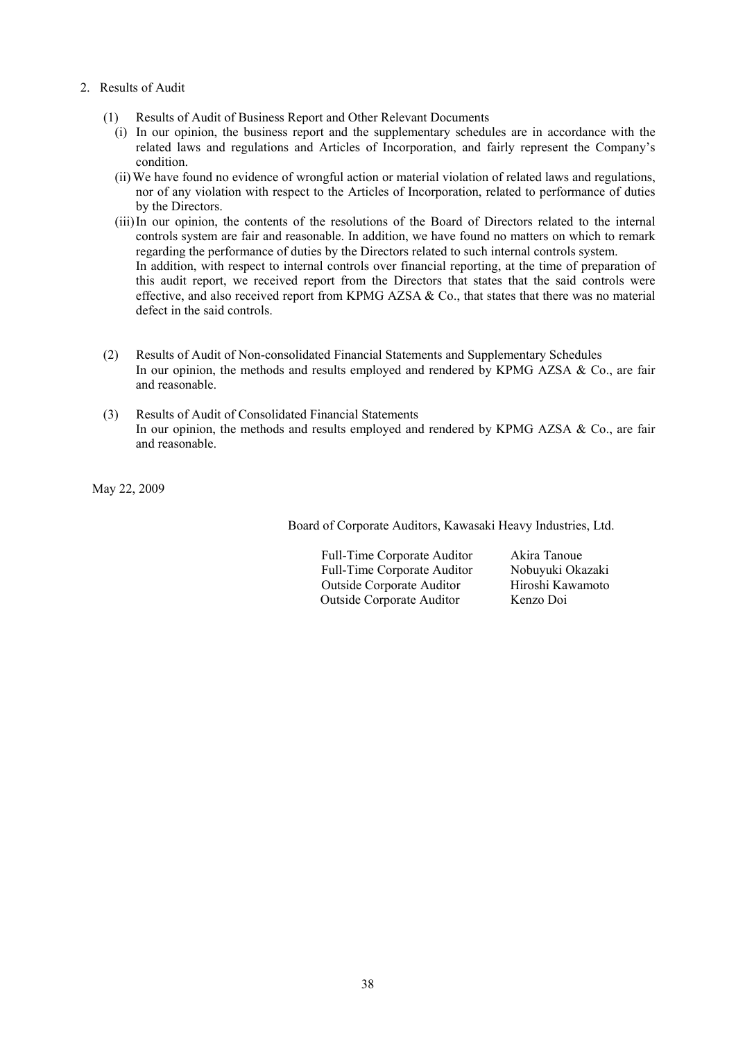- 2. Results of Audit
	- (1) Results of Audit of Business Report and Other Relevant Documents
		- (i) In our opinion, the business report and the supplementary schedules are in accordance with the related laws and regulations and Articles of Incorporation, and fairly represent the Company's condition.
		- (ii) We have found no evidence of wrongful action or material violation of related laws and regulations, nor of any violation with respect to the Articles of Incorporation, related to performance of duties by the Directors.
		- (iii) In our opinion, the contents of the resolutions of the Board of Directors related to the internal controls system are fair and reasonable. In addition, we have found no matters on which to remark regarding the performance of duties by the Directors related to such internal controls system. In addition, with respect to internal controls over financial reporting, at the time of preparation of this audit report, we received report from the Directors that states that the said controls were effective, and also received report from KPMG AZSA  $\&$  Co., that states that there was no material defect in the said controls.
	- (2) Results of Audit of Non-consolidated Financial Statements and Supplementary Schedules In our opinion, the methods and results employed and rendered by KPMG AZSA & Co., are fair and reasonable.
	- (3) Results of Audit of Consolidated Financial Statements In our opinion, the methods and results employed and rendered by KPMG AZSA & Co., are fair and reasonable.

May 22, 2009

Board of Corporate Auditors, Kawasaki Heavy Industries, Ltd.

Full-Time Corporate Auditor Akira Tanoue Full-Time Corporate Auditor Nobuyuki Okazaki Outside Corporate Auditor Hiroshi Kawamoto Outside Corporate Auditor Kenzo Doi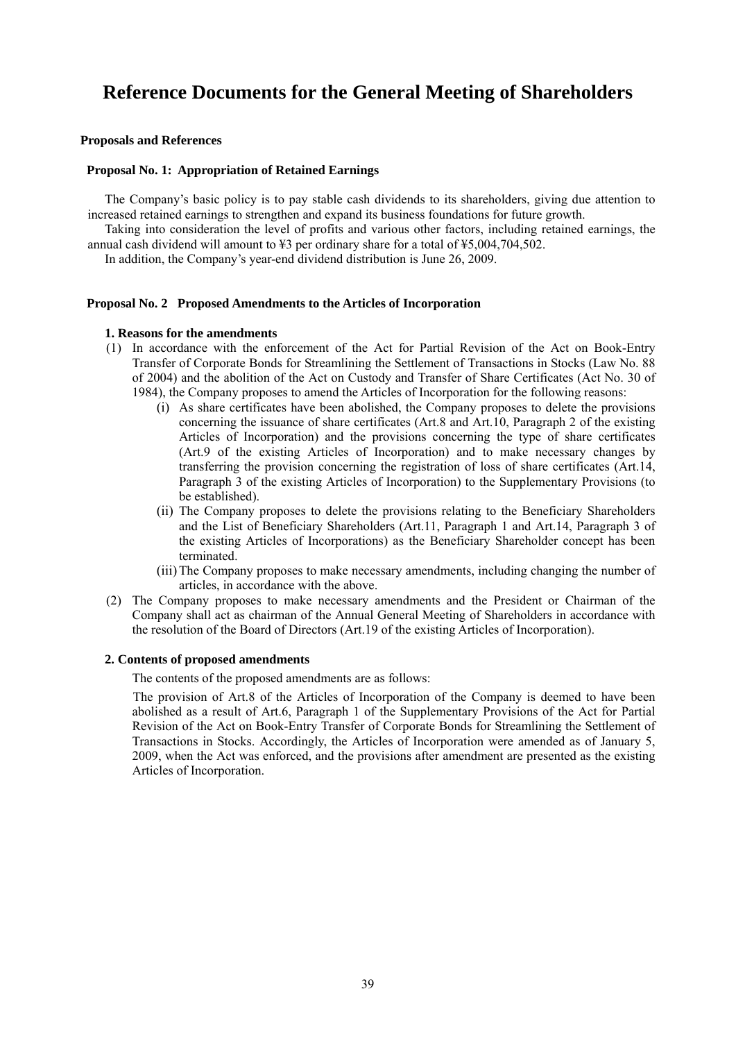# **Reference Documents for the General Meeting of Shareholders**

### **Proposals and References**

#### **Proposal No. 1: Appropriation of Retained Earnings**

The Company's basic policy is to pay stable cash dividends to its shareholders, giving due attention to increased retained earnings to strengthen and expand its business foundations for future growth.

Taking into consideration the level of profits and various other factors, including retained earnings, the annual cash dividend will amount to ¥3 per ordinary share for a total of ¥5,004,704,502.

In addition, the Company's year-end dividend distribution is June 26, 2009.

#### **Proposal No. 2 Proposed Amendments to the Articles of Incorporation**

#### **1. Reasons for the amendments**

- (1) In accordance with the enforcement of the Act for Partial Revision of the Act on Book-Entry Transfer of Corporate Bonds for Streamlining the Settlement of Transactions in Stocks (Law No. 88 of 2004) and the abolition of the Act on Custody and Transfer of Share Certificates (Act No. 30 of 1984), the Company proposes to amend the Articles of Incorporation for the following reasons:
	- (i) As share certificates have been abolished, the Company proposes to delete the provisions concerning the issuance of share certificates (Art.8 and Art.10, Paragraph 2 of the existing Articles of Incorporation) and the provisions concerning the type of share certificates (Art.9 of the existing Articles of Incorporation) and to make necessary changes by transferring the provision concerning the registration of loss of share certificates (Art.14, Paragraph 3 of the existing Articles of Incorporation) to the Supplementary Provisions (to be established).
	- (ii) The Company proposes to delete the provisions relating to the Beneficiary Shareholders and the List of Beneficiary Shareholders (Art.11, Paragraph 1 and Art.14, Paragraph 3 of the existing Articles of Incorporations) as the Beneficiary Shareholder concept has been terminated.
	- (iii) The Company proposes to make necessary amendments, including changing the number of articles, in accordance with the above.
- (2) The Company proposes to make necessary amendments and the President or Chairman of the Company shall act as chairman of the Annual General Meeting of Shareholders in accordance with the resolution of the Board of Directors (Art.19 of the existing Articles of Incorporation).

#### **2. Contents of proposed amendments**

The contents of the proposed amendments are as follows:

The provision of Art.8 of the Articles of Incorporation of the Company is deemed to have been abolished as a result of Art.6, Paragraph 1 of the Supplementary Provisions of the Act for Partial Revision of the Act on Book-Entry Transfer of Corporate Bonds for Streamlining the Settlement of Transactions in Stocks. Accordingly, the Articles of Incorporation were amended as of January 5, 2009, when the Act was enforced, and the provisions after amendment are presented as the existing Articles of Incorporation.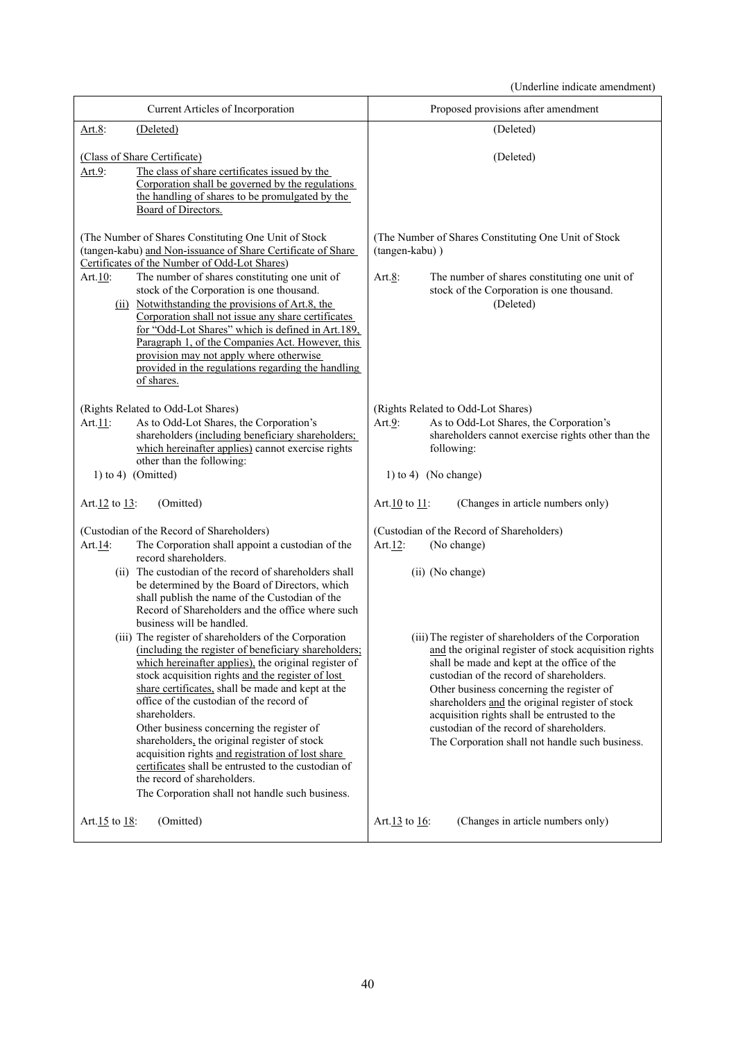(Underline indicate amendment)

| Current Articles of Incorporation                                                                                                                                                                                                                                                                                                                                                                                                                                                                                                                                                                                                                                                                                                                                                                                                                                                                                                                                                                                                                              | Proposed provisions after amendment                                                                                                                                                                                                                                                                                                                                                                                                                                                                                                                                                                                 |  |  |
|----------------------------------------------------------------------------------------------------------------------------------------------------------------------------------------------------------------------------------------------------------------------------------------------------------------------------------------------------------------------------------------------------------------------------------------------------------------------------------------------------------------------------------------------------------------------------------------------------------------------------------------------------------------------------------------------------------------------------------------------------------------------------------------------------------------------------------------------------------------------------------------------------------------------------------------------------------------------------------------------------------------------------------------------------------------|---------------------------------------------------------------------------------------------------------------------------------------------------------------------------------------------------------------------------------------------------------------------------------------------------------------------------------------------------------------------------------------------------------------------------------------------------------------------------------------------------------------------------------------------------------------------------------------------------------------------|--|--|
| Art.8:<br>(Deleted)                                                                                                                                                                                                                                                                                                                                                                                                                                                                                                                                                                                                                                                                                                                                                                                                                                                                                                                                                                                                                                            | (Deleted)                                                                                                                                                                                                                                                                                                                                                                                                                                                                                                                                                                                                           |  |  |
| (Class of Share Certificate)<br>The class of share certificates issued by the<br>Art. $9$ :<br>Corporation shall be governed by the regulations<br>the handling of shares to be promulgated by the<br>Board of Directors.                                                                                                                                                                                                                                                                                                                                                                                                                                                                                                                                                                                                                                                                                                                                                                                                                                      | (Deleted)                                                                                                                                                                                                                                                                                                                                                                                                                                                                                                                                                                                                           |  |  |
| (The Number of Shares Constituting One Unit of Stock<br>(tangen-kabu) and Non-issuance of Share Certificate of Share<br>Certificates of the Number of Odd-Lot Shares)<br>The number of shares constituting one unit of<br>Art.10:<br>stock of the Corporation is one thousand.<br>(ii) Notwithstanding the provisions of Art.8, the<br>Corporation shall not issue any share certificates<br>for "Odd-Lot Shares" which is defined in Art.189,<br>Paragraph 1, of the Companies Act. However, this<br>provision may not apply where otherwise<br>provided in the regulations regarding the handling<br>of shares.                                                                                                                                                                                                                                                                                                                                                                                                                                              | (The Number of Shares Constituting One Unit of Stock)<br>(tangen-kabu))<br>Art. $8$ :<br>The number of shares constituting one unit of<br>stock of the Corporation is one thousand.<br>(Deleted)                                                                                                                                                                                                                                                                                                                                                                                                                    |  |  |
| (Rights Related to Odd-Lot Shares)<br>As to Odd-Lot Shares, the Corporation's<br>Art.11:<br>shareholders (including beneficiary shareholders;<br>which hereinafter applies) cannot exercise rights<br>other than the following:<br>$1)$ to $4)$ (Omitted)                                                                                                                                                                                                                                                                                                                                                                                                                                                                                                                                                                                                                                                                                                                                                                                                      | (Rights Related to Odd-Lot Shares)<br>As to Odd-Lot Shares, the Corporation's<br>Art. $9$ :<br>shareholders cannot exercise rights other than the<br>following:<br>1) to 4) (No change)                                                                                                                                                                                                                                                                                                                                                                                                                             |  |  |
| (Omitted)<br>Art. $12$ to $13$ :                                                                                                                                                                                                                                                                                                                                                                                                                                                                                                                                                                                                                                                                                                                                                                                                                                                                                                                                                                                                                               | (Changes in article numbers only)<br>Art. $10$ to $11$ :                                                                                                                                                                                                                                                                                                                                                                                                                                                                                                                                                            |  |  |
| (Custodian of the Record of Shareholders)<br>The Corporation shall appoint a custodian of the<br>Art.14:<br>record shareholders.<br>(ii) The custodian of the record of shareholders shall<br>be determined by the Board of Directors, which<br>shall publish the name of the Custodian of the<br>Record of Shareholders and the office where such<br>business will be handled.<br>(iii) The register of shareholders of the Corporation<br>(including the register of beneficiary shareholders;<br>which hereinafter applies), the original register of<br>stock acquisition rights and the register of lost<br>share certificates, shall be made and kept at the<br>office of the custodian of the record of<br>shareholders.<br>Other business concerning the register of<br>shareholders, the original register of stock<br>acquisition rights and registration of lost share<br>certificates shall be entrusted to the custodian of<br>the record of shareholders.<br>The Corporation shall not handle such business.<br>(Omitted)<br>Art. $15$ to $18$ : | (Custodian of the Record of Shareholders)<br>Art. $12$ :<br>(No change)<br>(ii) (No change)<br>(iii) The register of shareholders of the Corporation<br>and the original register of stock acquisition rights<br>shall be made and kept at the office of the<br>custodian of the record of shareholders.<br>Other business concerning the register of<br>shareholders and the original register of stock<br>acquisition rights shall be entrusted to the<br>custodian of the record of shareholders.<br>The Corporation shall not handle such business.<br>(Changes in article numbers only)<br>Art. $13$ to $16$ : |  |  |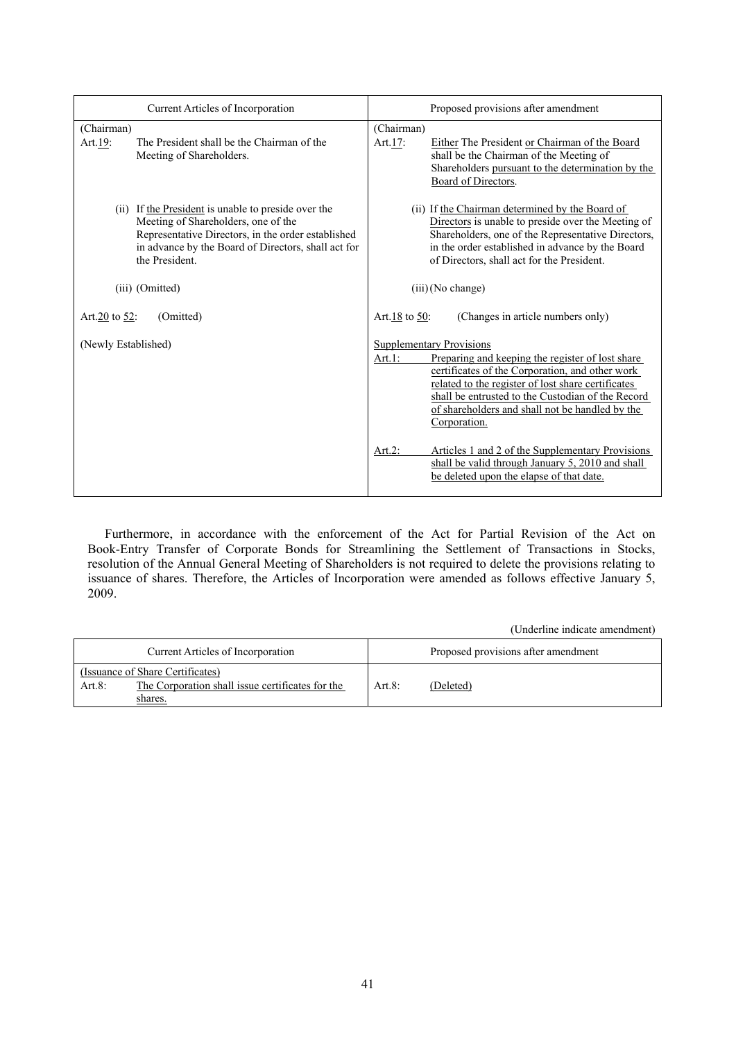| Current Articles of Incorporation                                                                                                                                                                                         | Proposed provisions after amendment                                                                                                                                                                                                                                                                                                |
|---------------------------------------------------------------------------------------------------------------------------------------------------------------------------------------------------------------------------|------------------------------------------------------------------------------------------------------------------------------------------------------------------------------------------------------------------------------------------------------------------------------------------------------------------------------------|
| (Chairman)<br>The President shall be the Chairman of the<br>Art.19:<br>Meeting of Shareholders.                                                                                                                           | (Chairman)<br>Art.17:<br>Either The President or Chairman of the Board<br>shall be the Chairman of the Meeting of<br>Shareholders pursuant to the determination by the<br>Board of Directors.                                                                                                                                      |
| (ii) If the President is unable to preside over the<br>Meeting of Shareholders, one of the<br>Representative Directors, in the order established<br>in advance by the Board of Directors, shall act for<br>the President. | (ii) If the Chairman determined by the Board of<br>Directors is unable to preside over the Meeting of<br>Shareholders, one of the Representative Directors,<br>in the order established in advance by the Board<br>of Directors, shall act for the President.                                                                      |
| (iii) (Omitted)                                                                                                                                                                                                           | $(iii)$ (No change)                                                                                                                                                                                                                                                                                                                |
| Art. $20$ to 52:<br>(Omitted)                                                                                                                                                                                             | (Changes in article numbers only)<br>Art.18 to 50:                                                                                                                                                                                                                                                                                 |
| (Newly Established)                                                                                                                                                                                                       | <b>Supplementary Provisions</b><br>Art. $1$ :<br>Preparing and keeping the register of lost share<br>certificates of the Corporation, and other work<br>related to the register of lost share certificates<br>shall be entrusted to the Custodian of the Record<br>of shareholders and shall not be handled by the<br>Corporation. |
|                                                                                                                                                                                                                           | Articles 1 and 2 of the Supplementary Provisions<br>Art. $2$ :<br>shall be valid through January 5, 2010 and shall<br>be deleted upon the elapse of that date.                                                                                                                                                                     |

Furthermore, in accordance with the enforcement of the Act for Partial Revision of the Act on Book-Entry Transfer of Corporate Bonds for Streamlining the Settlement of Transactions in Stocks, resolution of the Annual General Meeting of Shareholders is not required to delete the provisions relating to issuance of shares. Therefore, the Articles of Incorporation were amended as follows effective January 5, 2009.

(Underline indicate amendment)

| Current Articles of Incorporation                              |          | Proposed provisions after amendment |
|----------------------------------------------------------------|----------|-------------------------------------|
| (Issuance of Share Certificates)                               |          |                                     |
| The Corporation shall issue certificates for the<br>Art. $8$ : | Art $8:$ | (Deleted)                           |
| shares.                                                        |          |                                     |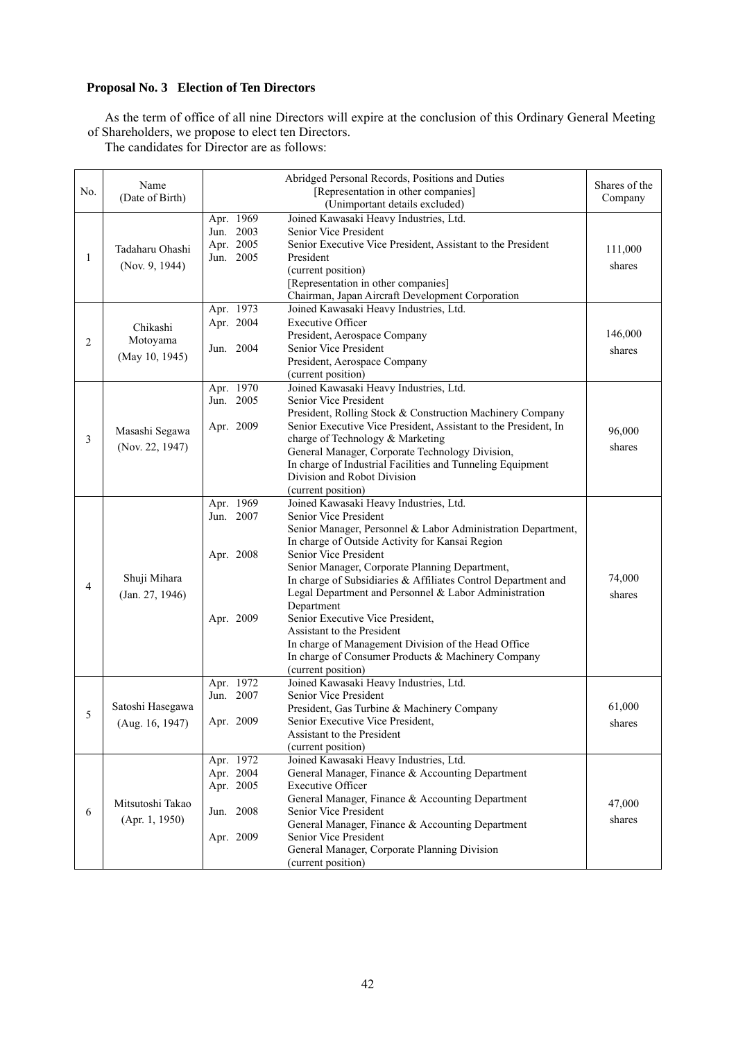## **Proposal No. 3 Election of Ten Directors**

As the term of office of all nine Directors will expire at the conclusion of this Ordinary General Meeting of Shareholders, we propose to elect ten Directors.

The candidates for Director are as follows:

| No. | Name<br>(Date of Birth) |           | Abridged Personal Records, Positions and Duties<br>[Representation in other companies]    | Shares of the<br>Company |
|-----|-------------------------|-----------|-------------------------------------------------------------------------------------------|--------------------------|
|     |                         | Apr. 1969 | (Unimportant details excluded)<br>Joined Kawasaki Heavy Industries, Ltd.                  |                          |
|     |                         | Jun. 2003 | Senior Vice President                                                                     |                          |
|     |                         | Apr. 2005 | Senior Executive Vice President, Assistant to the President                               |                          |
| 1   | Tadaharu Ohashi         | Jun. 2005 | President                                                                                 | 111,000                  |
|     | (Nov. 9, 1944)          |           | (current position)                                                                        | shares                   |
|     |                         |           | [Representation in other companies]                                                       |                          |
|     |                         |           | Chairman, Japan Aircraft Development Corporation                                          |                          |
|     |                         | Apr. 1973 | Joined Kawasaki Heavy Industries, Ltd.                                                    |                          |
|     | Chikashi                | Apr. 2004 | <b>Executive Officer</b>                                                                  |                          |
| 2   | Motoyama                |           | President, Aerospace Company                                                              | 146,000                  |
|     |                         | Jun. 2004 | Senior Vice President                                                                     | shares                   |
|     | (May 10, 1945)          |           | President, Aerospace Company                                                              |                          |
|     |                         |           | (current position)                                                                        |                          |
|     |                         | Apr. 1970 | Joined Kawasaki Heavy Industries, Ltd.                                                    |                          |
|     |                         | Jun. 2005 | Senior Vice President                                                                     |                          |
|     |                         |           | President, Rolling Stock & Construction Machinery Company                                 |                          |
|     | Masashi Segawa          | Apr. 2009 | Senior Executive Vice President, Assistant to the President, In                           | 96,000                   |
| 3   | (Nov. 22, 1947)         |           | charge of Technology & Marketing                                                          | shares                   |
|     |                         |           | General Manager, Corporate Technology Division,                                           |                          |
|     |                         |           | In charge of Industrial Facilities and Tunneling Equipment<br>Division and Robot Division |                          |
|     |                         |           |                                                                                           |                          |
|     |                         | Apr. 1969 | (current position)<br>Joined Kawasaki Heavy Industries, Ltd.                              |                          |
|     |                         | Jun. 2007 | Senior Vice President                                                                     |                          |
|     |                         |           | Senior Manager, Personnel & Labor Administration Department,                              |                          |
|     |                         |           | In charge of Outside Activity for Kansai Region                                           |                          |
|     |                         | Apr. 2008 | Senior Vice President                                                                     |                          |
|     |                         |           | Senior Manager, Corporate Planning Department,                                            |                          |
|     | Shuji Mihara            |           | In charge of Subsidiaries & Affiliates Control Department and                             | 74,000                   |
| 4   | (Jan. 27, 1946)         |           | Legal Department and Personnel & Labor Administration                                     | shares                   |
|     |                         |           | Department                                                                                |                          |
|     |                         | Apr. 2009 | Senior Executive Vice President,                                                          |                          |
|     |                         |           | Assistant to the President                                                                |                          |
|     |                         |           | In charge of Management Division of the Head Office                                       |                          |
|     |                         |           | In charge of Consumer Products & Machinery Company                                        |                          |
|     |                         |           | (current position)                                                                        |                          |
|     |                         | Apr. 1972 | Joined Kawasaki Heavy Industries, Ltd.                                                    |                          |
|     |                         | Jun. 2007 | Senior Vice President                                                                     |                          |
| 5   | Satoshi Hasegawa        |           | President, Gas Turbine & Machinery Company                                                | 61,000                   |
|     | (Aug. 16, 1947)         | Apr. 2009 | Senior Executive Vice President,                                                          | shares                   |
|     |                         |           | Assistant to the President<br>(current position)                                          |                          |
|     |                         | Apr. 1972 | Joined Kawasaki Heavy Industries, Ltd.                                                    |                          |
|     |                         | Apr. 2004 | General Manager, Finance & Accounting Department                                          |                          |
|     |                         | Apr. 2005 | <b>Executive Officer</b>                                                                  |                          |
|     |                         |           | General Manager, Finance & Accounting Department                                          |                          |
| 6   | Mitsutoshi Takao        | Jun. 2008 | Senior Vice President                                                                     | 47,000                   |
|     | (Apr. 1, 1950)          |           | General Manager, Finance & Accounting Department                                          | shares                   |
|     |                         | Apr. 2009 | Senior Vice President                                                                     |                          |
|     |                         |           | General Manager, Corporate Planning Division                                              |                          |
|     |                         |           | (current position)                                                                        |                          |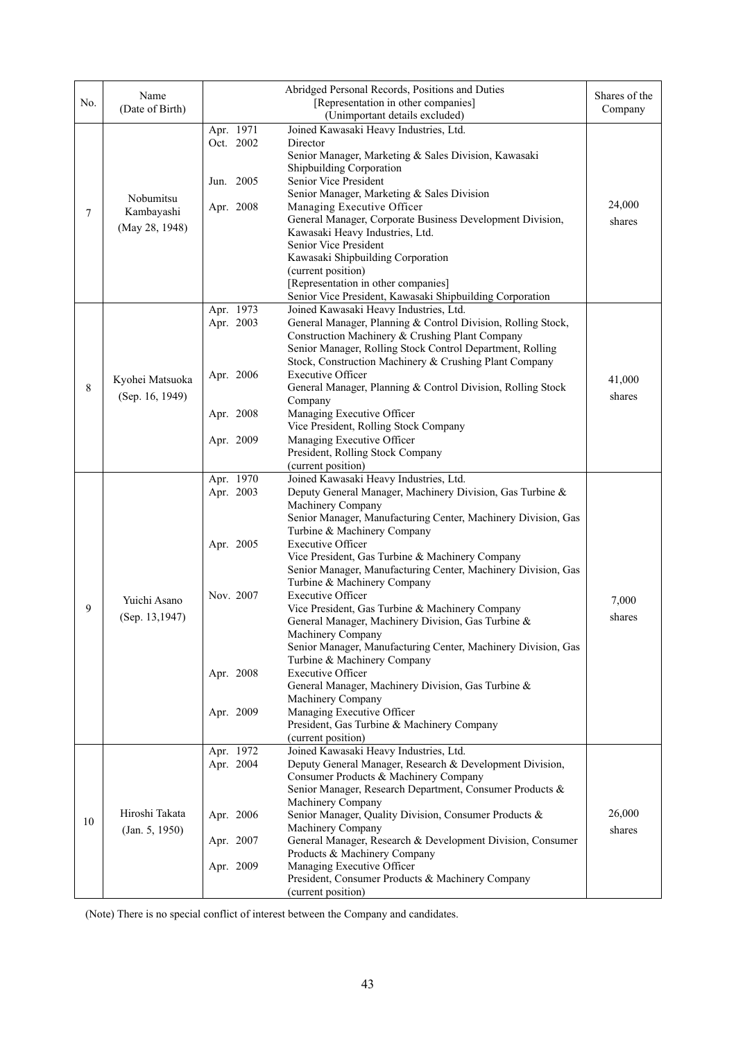| No. | Name<br>(Date of Birth)                   | Abridged Personal Records, Positions and Duties<br>Shares of the<br>[Representation in other companies]<br>(Unimportant details excluded)                                                                                                                                                                                                                                                                                                                                                                                                                                                                                                                                                                                                                                                                                                                                                                                                                |                  |
|-----|-------------------------------------------|----------------------------------------------------------------------------------------------------------------------------------------------------------------------------------------------------------------------------------------------------------------------------------------------------------------------------------------------------------------------------------------------------------------------------------------------------------------------------------------------------------------------------------------------------------------------------------------------------------------------------------------------------------------------------------------------------------------------------------------------------------------------------------------------------------------------------------------------------------------------------------------------------------------------------------------------------------|------------------|
| 7   | Nobumitsu<br>Kambayashi<br>(May 28, 1948) | Joined Kawasaki Heavy Industries, Ltd.<br>Apr. 1971<br>Oct. 2002<br>Director<br>Senior Manager, Marketing & Sales Division, Kawasaki<br>Shipbuilding Corporation<br>Jun. 2005<br>Senior Vice President<br>Senior Manager, Marketing & Sales Division<br>Managing Executive Officer<br>Apr. 2008<br>General Manager, Corporate Business Development Division,<br>Kawasaki Heavy Industries, Ltd.<br>Senior Vice President<br>Kawasaki Shipbuilding Corporation<br>(current position)<br>[Representation in other companies]<br>Senior Vice President, Kawasaki Shipbuilding Corporation                                                                                                                                                                                                                                                                                                                                                                   | 24,000<br>shares |
| 8   | Kyohei Matsuoka<br>(Sep. 16, 1949)        | Apr. 1973<br>Joined Kawasaki Heavy Industries, Ltd.<br>Apr. 2003<br>General Manager, Planning & Control Division, Rolling Stock,<br>Construction Machinery & Crushing Plant Company<br>Senior Manager, Rolling Stock Control Department, Rolling<br>Stock, Construction Machinery & Crushing Plant Company<br><b>Executive Officer</b><br>Apr. 2006<br>General Manager, Planning & Control Division, Rolling Stock<br>Company<br>Managing Executive Officer<br>Apr. 2008<br>Vice President, Rolling Stock Company<br>Managing Executive Officer<br>Apr. 2009<br>President, Rolling Stock Company<br>(current position)                                                                                                                                                                                                                                                                                                                                   | 41,000<br>shares |
| 9   | Yuichi Asano<br>(Sep. 13,1947)            | Apr. 1970<br>Joined Kawasaki Heavy Industries, Ltd.<br>Apr. 2003<br>Deputy General Manager, Machinery Division, Gas Turbine &<br>Machinery Company<br>Senior Manager, Manufacturing Center, Machinery Division, Gas<br>Turbine & Machinery Company<br><b>Executive Officer</b><br>Apr. 2005<br>Vice President, Gas Turbine & Machinery Company<br>Senior Manager, Manufacturing Center, Machinery Division, Gas<br>Turbine & Machinery Company<br>Nov. 2007<br><b>Executive Officer</b><br>Vice President, Gas Turbine & Machinery Company<br>General Manager, Machinery Division, Gas Turbine &<br>Machinery Company<br>Senior Manager, Manufacturing Center, Machinery Division, Gas<br>Turbine & Machinery Company<br><b>Executive Officer</b><br>Apr. 2008<br>General Manager, Machinery Division, Gas Turbine &<br>Machinery Company<br>Apr. 2009<br>Managing Executive Officer<br>President, Gas Turbine & Machinery Company<br>(current position) | 7,000<br>shares  |
| 10  | Hiroshi Takata<br>(Jan. 5, 1950)          | Joined Kawasaki Heavy Industries, Ltd.<br>Apr. 1972<br>Apr. 2004<br>Deputy General Manager, Research & Development Division,<br>Consumer Products & Machinery Company<br>Senior Manager, Research Department, Consumer Products &<br>Machinery Company<br>Senior Manager, Quality Division, Consumer Products &<br>Apr. 2006<br>Machinery Company<br>Apr. 2007<br>General Manager, Research & Development Division, Consumer<br>Products & Machinery Company<br>Managing Executive Officer<br>Apr. 2009<br>President, Consumer Products & Machinery Company<br>(current position)                                                                                                                                                                                                                                                                                                                                                                        | 26,000<br>shares |

(Note) There is no special conflict of interest between the Company and candidates.